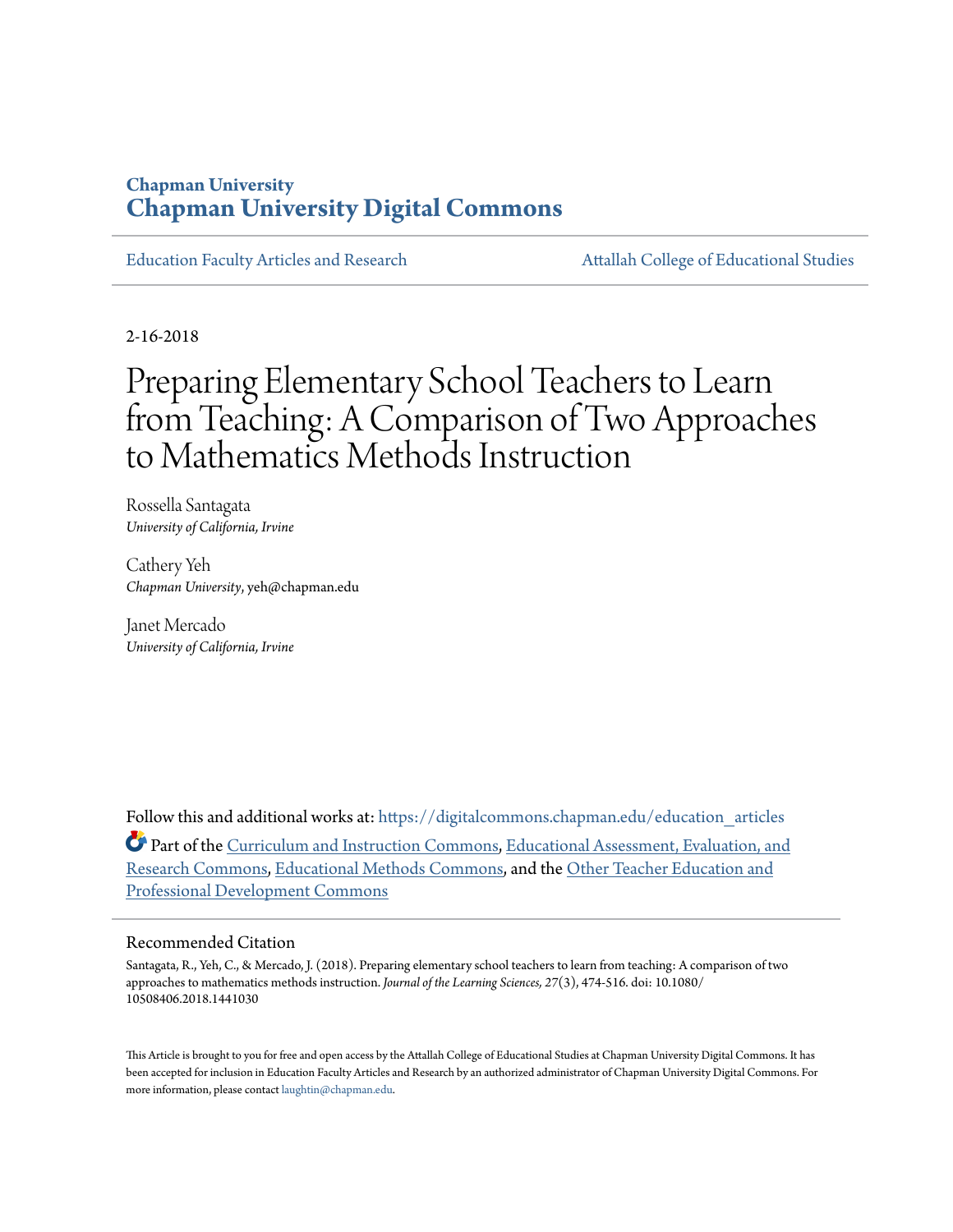## **Chapman University [Chapman University Digital Commons](https://digitalcommons.chapman.edu?utm_source=digitalcommons.chapman.edu%2Feducation_articles%2F209&utm_medium=PDF&utm_campaign=PDFCoverPages)**

[Education Faculty Articles and Research](https://digitalcommons.chapman.edu/education_articles?utm_source=digitalcommons.chapman.edu%2Feducation_articles%2F209&utm_medium=PDF&utm_campaign=PDFCoverPages) [Attallah College of Educational Studies](https://digitalcommons.chapman.edu/ces?utm_source=digitalcommons.chapman.edu%2Feducation_articles%2F209&utm_medium=PDF&utm_campaign=PDFCoverPages)

2-16-2018

# Preparing Elementary School Teachers to Learn from Teaching: A Comparison of Two Approaches to Mathematics Methods Instruction

Rossella Santagata *University of California, Irvine*

Cathery Yeh *Chapman University*, yeh@chapman.edu

Janet Mercado *University of California, Irvine*

Follow this and additional works at: [https://digitalcommons.chapman.edu/education\\_articles](https://digitalcommons.chapman.edu/education_articles?utm_source=digitalcommons.chapman.edu%2Feducation_articles%2F209&utm_medium=PDF&utm_campaign=PDFCoverPages) Part of the [Curriculum and Instruction Commons](http://network.bepress.com/hgg/discipline/786?utm_source=digitalcommons.chapman.edu%2Feducation_articles%2F209&utm_medium=PDF&utm_campaign=PDFCoverPages), [Educational Assessment, Evaluation, and](http://network.bepress.com/hgg/discipline/796?utm_source=digitalcommons.chapman.edu%2Feducation_articles%2F209&utm_medium=PDF&utm_campaign=PDFCoverPages) [Research Commons,](http://network.bepress.com/hgg/discipline/796?utm_source=digitalcommons.chapman.edu%2Feducation_articles%2F209&utm_medium=PDF&utm_campaign=PDFCoverPages) [Educational Methods Commons,](http://network.bepress.com/hgg/discipline/1227?utm_source=digitalcommons.chapman.edu%2Feducation_articles%2F209&utm_medium=PDF&utm_campaign=PDFCoverPages) and the [Other Teacher Education and](http://network.bepress.com/hgg/discipline/810?utm_source=digitalcommons.chapman.edu%2Feducation_articles%2F209&utm_medium=PDF&utm_campaign=PDFCoverPages) [Professional Development Commons](http://network.bepress.com/hgg/discipline/810?utm_source=digitalcommons.chapman.edu%2Feducation_articles%2F209&utm_medium=PDF&utm_campaign=PDFCoverPages)

#### Recommended Citation

Santagata, R., Yeh, C., & Mercado, J. (2018). Preparing elementary school teachers to learn from teaching: A comparison of two approaches to mathematics methods instruction. *Journal of the Learning Sciences, 27*(3), 474-516. doi: 10.1080/ 10508406.2018.1441030

This Article is brought to you for free and open access by the Attallah College of Educational Studies at Chapman University Digital Commons. It has been accepted for inclusion in Education Faculty Articles and Research by an authorized administrator of Chapman University Digital Commons. For more information, please contact [laughtin@chapman.edu](mailto:laughtin@chapman.edu).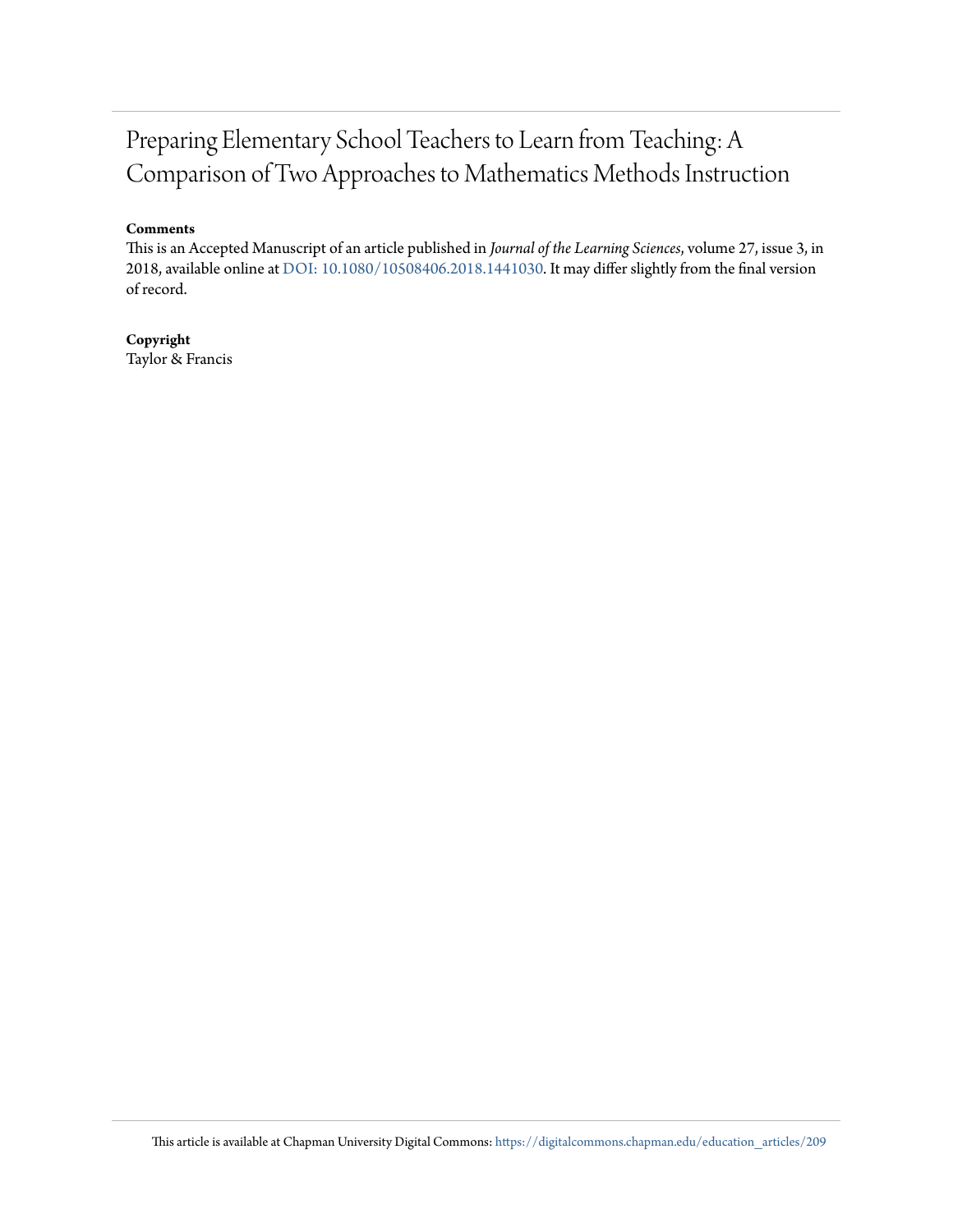## Preparing Elementary School Teachers to Learn from Teaching: A Comparison of Two Approaches to Mathematics Methods Instruction

## **Comments**

This is an Accepted Manuscript of an article published in *Journal of the Learning Sciences*, volume 27, issue 3, in 2018, available online at [DOI: 10.1080/10508406.2018.1441030](https://www.tandfonline.com/doi/abs/10.1080/10508406.2018.1441030). It may differ slightly from the final version of record.

#### **Copyright** Taylor & Francis

This article is available at Chapman University Digital Commons: [https://digitalcommons.chapman.edu/education\\_articles/209](https://digitalcommons.chapman.edu/education_articles/209?utm_source=digitalcommons.chapman.edu%2Feducation_articles%2F209&utm_medium=PDF&utm_campaign=PDFCoverPages)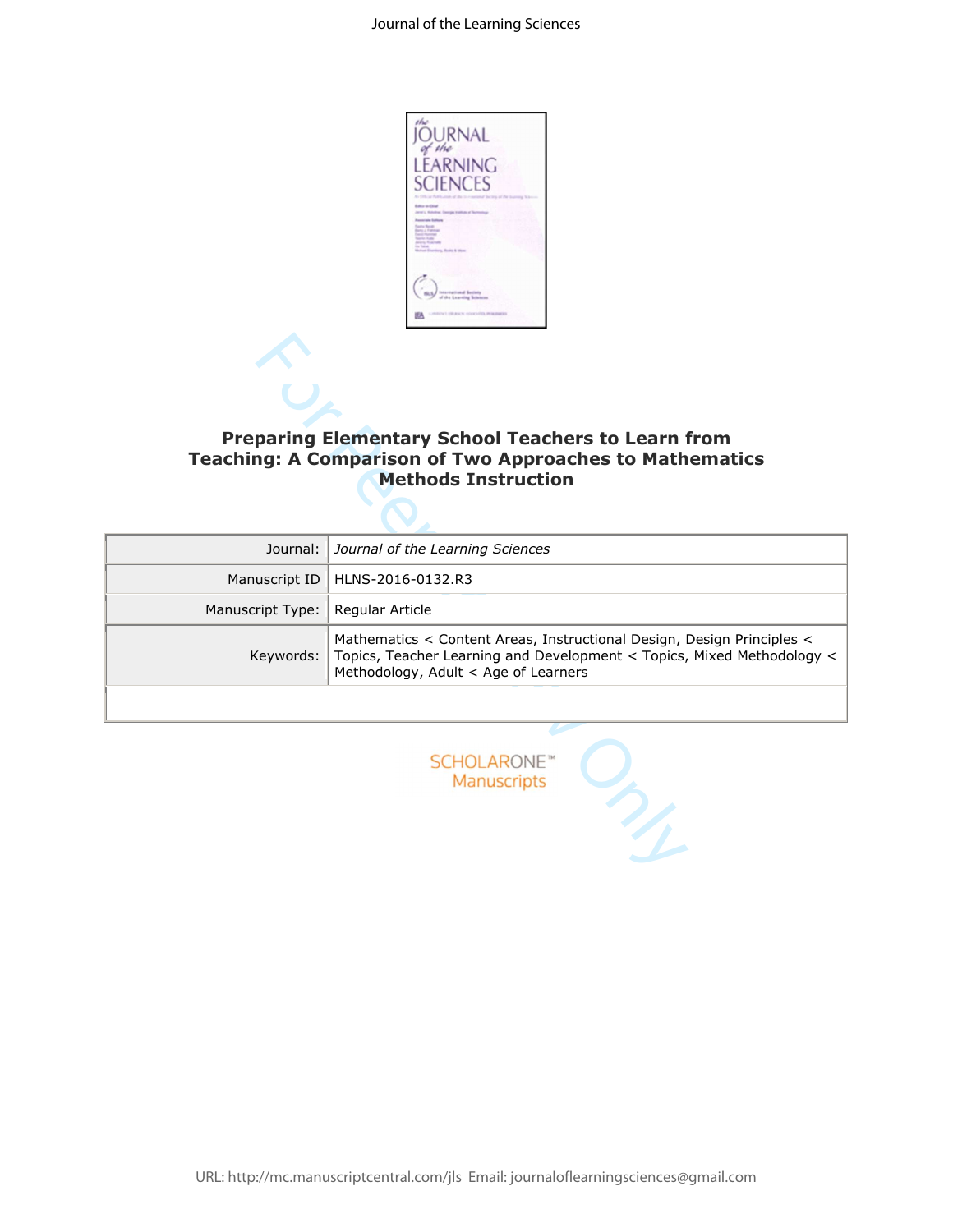

## **Preparing Elementary School Teachers to Learn from Teaching: A Comparison of Two Approaches to Mathematics Methods Instruction**

| <b>Preparing Elementary School Teachers to Learn from</b><br><b>Teaching: A Comparison of Two Approaches to Mathematics</b><br><b>Methods Instruction</b> |                                                                                                                                                                                          |
|-----------------------------------------------------------------------------------------------------------------------------------------------------------|------------------------------------------------------------------------------------------------------------------------------------------------------------------------------------------|
| Journal:                                                                                                                                                  | Journal of the Learning Sciences                                                                                                                                                         |
| Manuscript ID                                                                                                                                             | HLNS-2016-0132.R3                                                                                                                                                                        |
| Manuscript Type:                                                                                                                                          | Regular Article                                                                                                                                                                          |
| Keywords:                                                                                                                                                 | Mathematics < Content Areas, Instructional Design, Design Principles <<br>Topics, Teacher Learning and Development < Topics, Mixed Methodology <<br>Methodology, Adult < Age of Learners |
|                                                                                                                                                           |                                                                                                                                                                                          |
| <b>SCHOLARONE</b> <sup>®</sup><br><b>Manuscripts</b>                                                                                                      |                                                                                                                                                                                          |

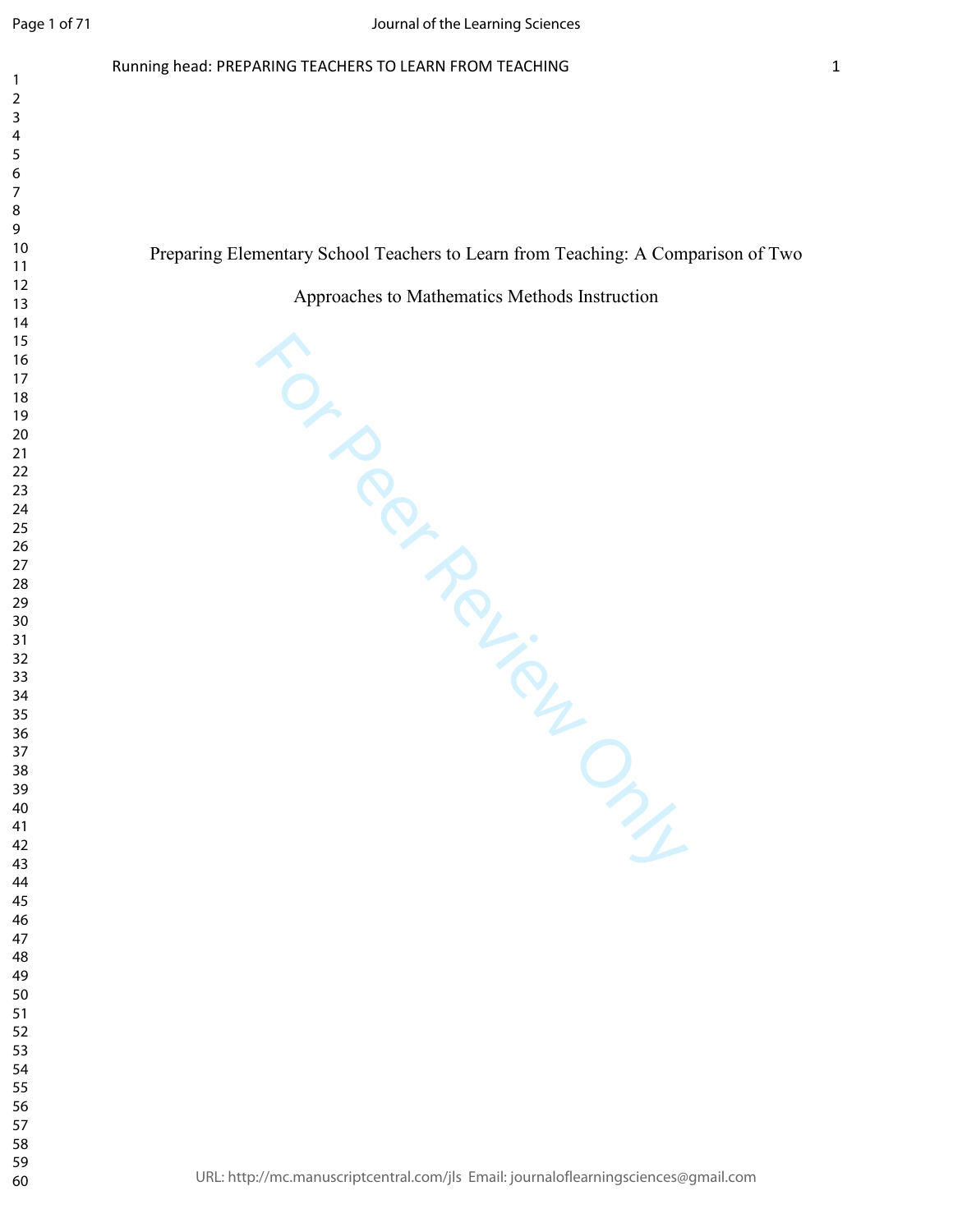$\mathbf{1}$  $\overline{2}$  $\overline{4}$  $\overline{7}$ 

#### Running head: PREPARING TEACHERS TO LEARN FROM TEACHING 1 1

Preparing Elementary School Teachers to Learn from Teaching: A Comparison of Two

Approaches to Mathematics Methods Instruction

For Perinan Only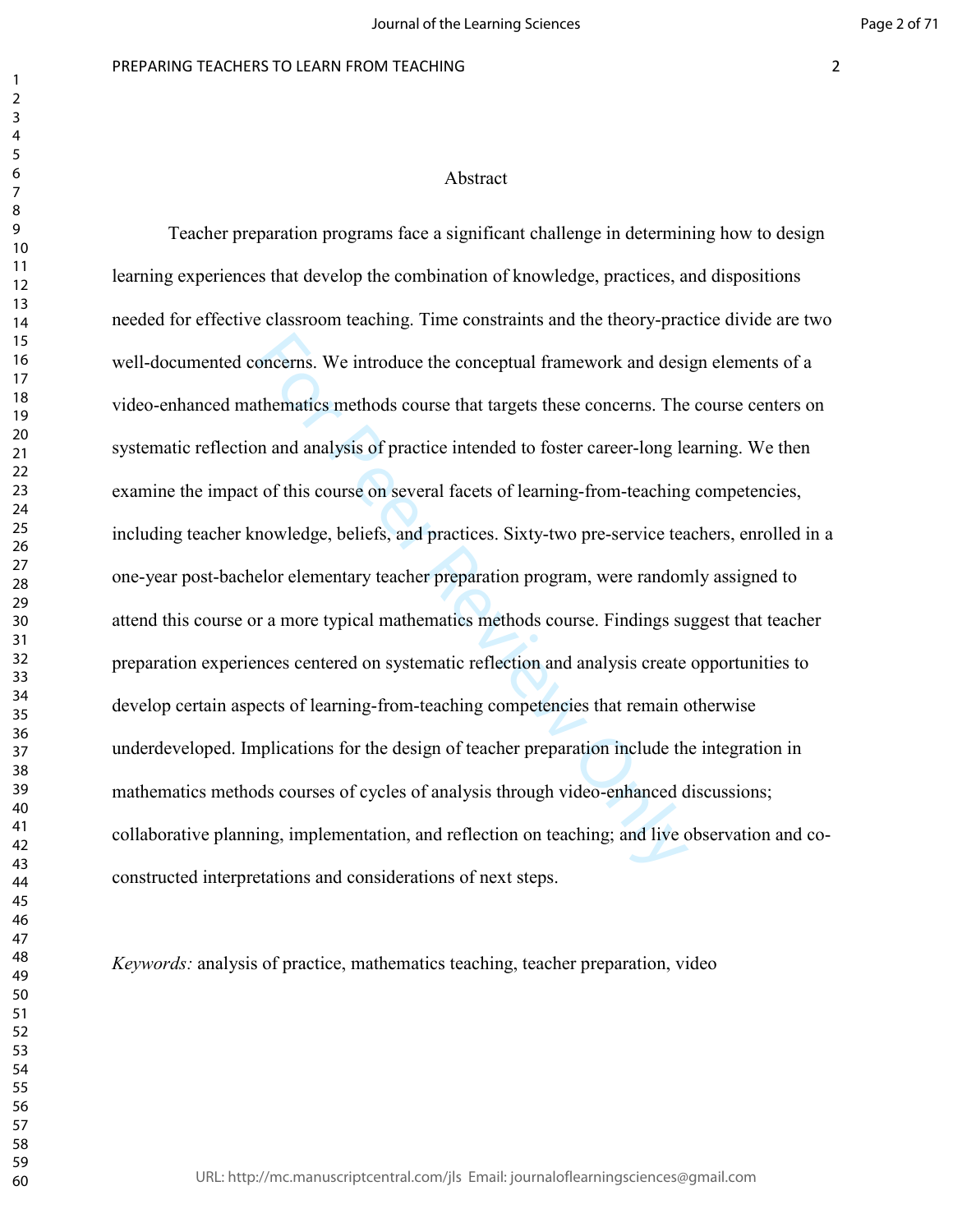#### Abstract

oncerns. We introduce the conceptual framework and desi<br>thematics methods course that targets these concerns. The<br>n and analysis of practice intended to foster career-long le<br>t of this course on several facets of learning-Teacher preparation programs face a significant challenge in determining how to design learning experiences that develop the combination of knowledge, practices, and dispositions needed for effective classroom teaching. Time constraints and the theory-practice divide are two well-documented concerns. We introduce the conceptual framework and design elements of a video-enhanced mathematics methods course that targets these concerns. The course centers on systematic reflection and analysis of practice intended to foster career-long learning. We then examine the impact of this course on several facets of learning-from-teaching competencies, including teacher knowledge, beliefs, and practices. Sixty-two pre-service teachers, enrolled in a one-year post-bachelor elementary teacher preparation program, were randomly assigned to attend this course or a more typical mathematics methods course. Findings suggest that teacher preparation experiences centered on systematic reflection and analysis create opportunities to develop certain aspects of learning-from-teaching competencies that remain otherwise underdeveloped. Implications for the design of teacher preparation include the integration in mathematics methods courses of cycles of analysis through video-enhanced discussions; collaborative planning, implementation, and reflection on teaching; and live observation and coconstructed interpretations and considerations of next steps.

*Keywords:* analysis of practice, mathematics teaching, teacher preparation, video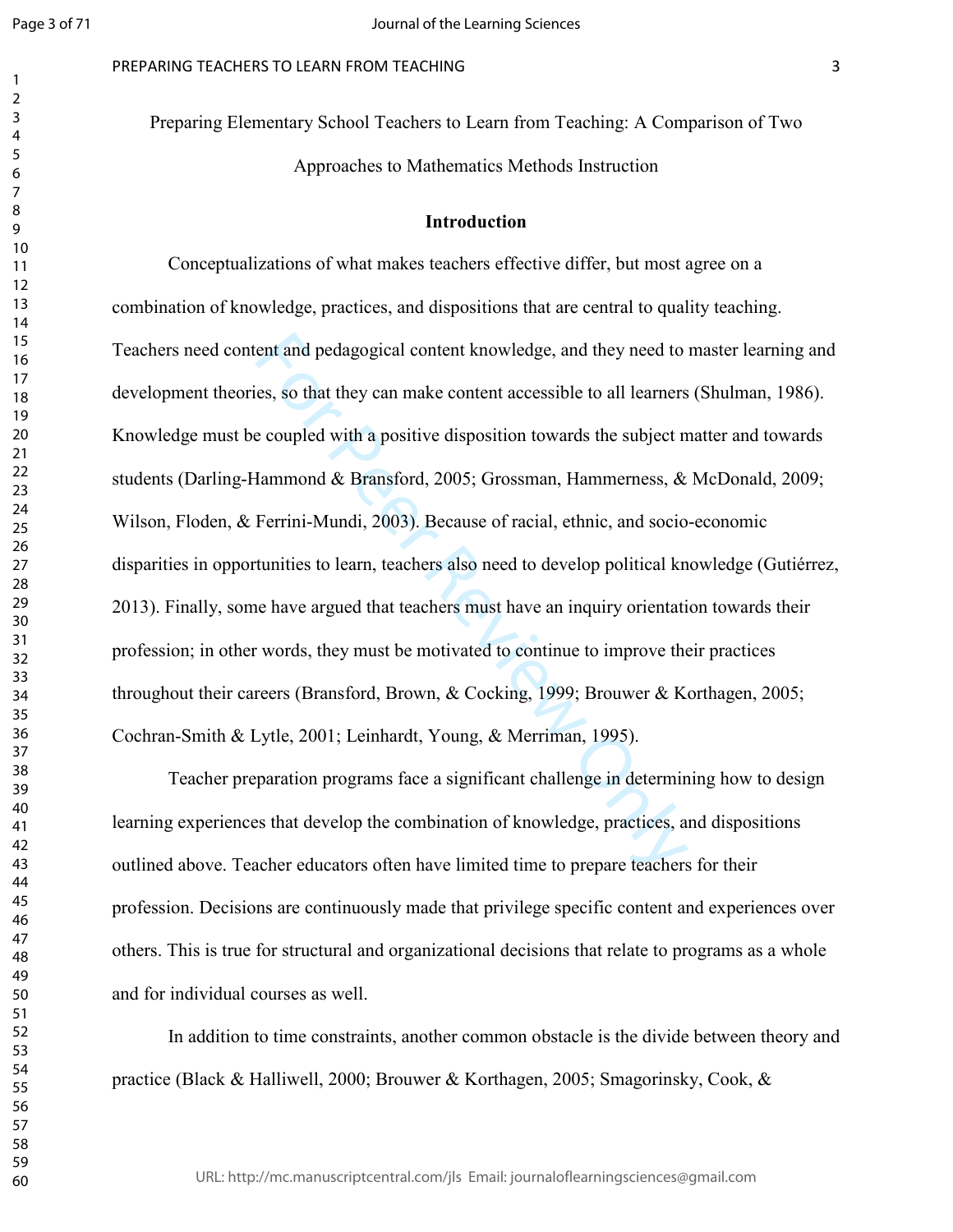## PREPARING TEACHERS TO LEARN FROM TEACHING **3** 3

Preparing Elementary School Teachers to Learn from Teaching: A Comparison of Two Approaches to Mathematics Methods Instruction

## **Introduction**

ent and pedagogical content knowledge, and they need to<br>es, so that they can make content accessible to all learners<br>e coupled with a positive disposition towards the subject n<br>Hammond & Bransford, 2005; Grossman, Hammerne Conceptualizations of what makes teachers effective differ, but most agree on a combination of knowledge, practices, and dispositions that are central to quality teaching. Teachers need content and pedagogical content knowledge, and they need to master learning and development theories, so that they can make content accessible to all learners (Shulman, 1986). Knowledge must be coupled with a positive disposition towards the subject matter and towards students (Darling-Hammond & Bransford, 2005; Grossman, Hammerness, & McDonald, 2009; Wilson, Floden, & Ferrini-Mundi, 2003). Because of racial, ethnic, and socio-economic disparities in opportunities to learn, teachers also need to develop political knowledge (Gutiérrez, 2013). Finally, some have argued that teachers must have an inquiry orientation towards their profession; in other words, they must be motivated to continue to improve their practices throughout their careers (Bransford, Brown, & Cocking, 1999; Brouwer & Korthagen, 2005; Cochran-Smith & Lytle, 2001; Leinhardt, Young, & Merriman, 1995).

Teacher preparation programs face a significant challenge in determining how to design learning experiences that develop the combination of knowledge, practices, and dispositions outlined above. Teacher educators often have limited time to prepare teachers for their profession. Decisions are continuously made that privilege specific content and experiences over others. This is true for structural and organizational decisions that relate to programs as a whole and for individual courses as well.

In addition to time constraints, another common obstacle is the divide between theory and practice (Black & Halliwell, 2000; Brouwer & Korthagen, 2005; Smagorinsky, Cook, &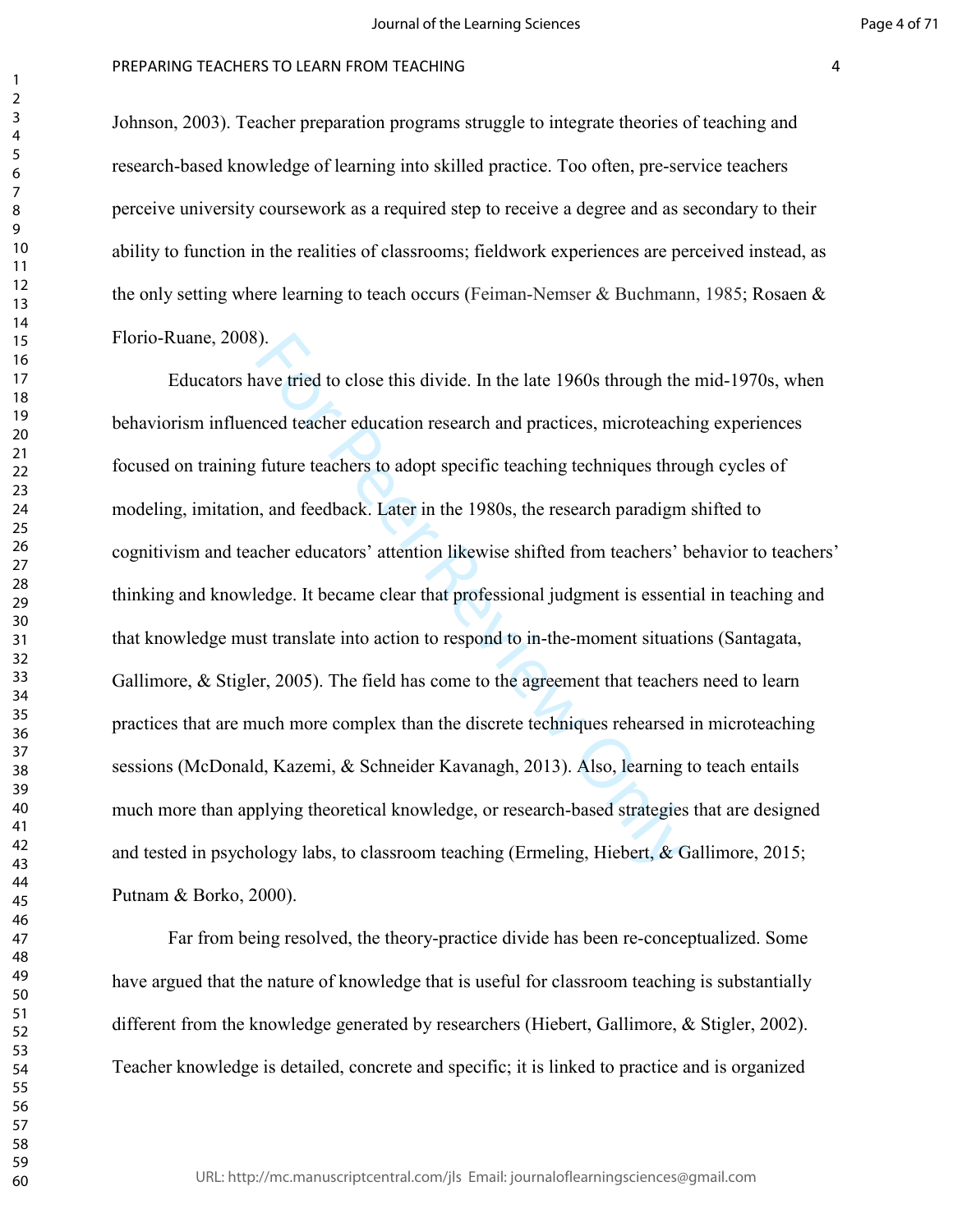Johnson, 2003). Teacher preparation programs struggle to integrate theories of teaching and research-based knowledge of learning into skilled practice. Too often, pre-service teachers perceive university coursework as a required step to receive a degree and as secondary to their ability to function in the realities of classrooms; fieldwork experiences are perceived instead, as the only setting where learning to teach occurs (Feiman-Nemser & Buchmann, 1985; Rosaen & Florio-Ruane, 2008).

5).<br>
Solvet tried to close this divide. In the late 1960s through the<br>
need teacher education research and practices, microteachi<br>
future teachers to adopt specific teaching techniques throu<br>
n, and feedback. Later in the Educators have tried to close this divide. In the late 1960s through the mid-1970s, when behaviorism influenced teacher education research and practices, microteaching experiences focused on training future teachers to adopt specific teaching techniques through cycles of modeling, imitation, and feedback. Later in the 1980s, the research paradigm shifted to cognitivism and teacher educators' attention likewise shifted from teachers' behavior to teachers' thinking and knowledge. It became clear that professional judgment is essential in teaching and that knowledge must translate into action to respond to in-the-moment situations (Santagata, Gallimore, & Stigler, 2005). The field has come to the agreement that teachers need to learn practices that are much more complex than the discrete techniques rehearsed in microteaching sessions (McDonald, Kazemi, & Schneider Kavanagh, 2013). Also, learning to teach entails much more than applying theoretical knowledge, or research-based strategies that are designed and tested in psychology labs, to classroom teaching (Ermeling, Hiebert, & Gallimore, 2015; Putnam & Borko, 2000).

Far from being resolved, the theory-practice divide has been re-conceptualized. Some have argued that the nature of knowledge that is useful for classroom teaching is substantially different from the knowledge generated by researchers (Hiebert, Gallimore, & Stigler, 2002). Teacher knowledge is detailed, concrete and specific; it is linked to practice and is organized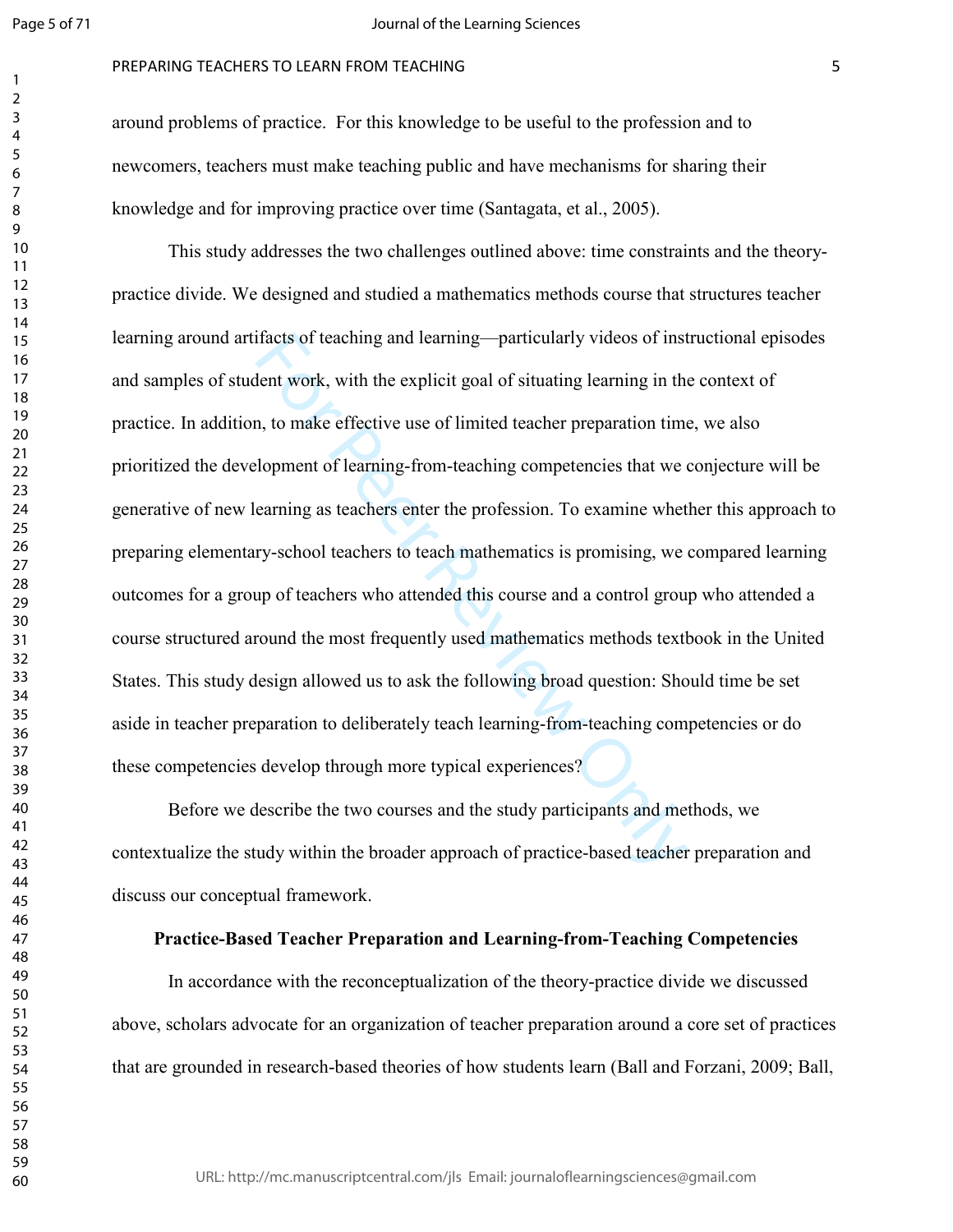#### Journal of the Learning Sciences

#### PREPARING TEACHERS TO LEARN FROM TEACHING 5

around problems of practice. For this knowledge to be useful to the profession and to newcomers, teachers must make teaching public and have mechanisms for sharing their knowledge and for improving practice over time (Santagata, et al., 2005).

racts of teaching and learning—particularly videos of inst<br>lent work, with the explicit goal of situating learning in the<br>n, to make effective use of limited teacher preparation time<br>lopment of learning-from-teaching compe This study addresses the two challenges outlined above: time constraints and the theorypractice divide. We designed and studied a mathematics methods course that structures teacher learning around artifacts of teaching and learning—particularly videos of instructional episodes and samples of student work, with the explicit goal of situating learning in the context of practice. In addition, to make effective use of limited teacher preparation time, we also prioritized the development of learning-from-teaching competencies that we conjecture will be generative of new learning as teachers enter the profession. To examine whether this approach to preparing elementary-school teachers to teach mathematics is promising, we compared learning outcomes for a group of teachers who attended this course and a control group who attended a course structured around the most frequently used mathematics methods textbook in the United States. This study design allowed us to ask the following broad question: Should time be set aside in teacher preparation to deliberately teach learning-from-teaching competencies or do these competencies develop through more typical experiences?

Before we describe the two courses and the study participants and methods, we contextualize the study within the broader approach of practice-based teacher preparation and discuss our conceptual framework.

## **Practice-Based Teacher Preparation and Learning-from-Teaching Competencies**

In accordance with the reconceptualization of the theory-practice divide we discussed above, scholars advocate for an organization of teacher preparation around a core set of practices that are grounded in research-based theories of how students learn (Ball and Forzani, 2009; Ball,

URL: http://mc.manuscriptcentral.com/jls Email: journaloflearningsciences@gmail.com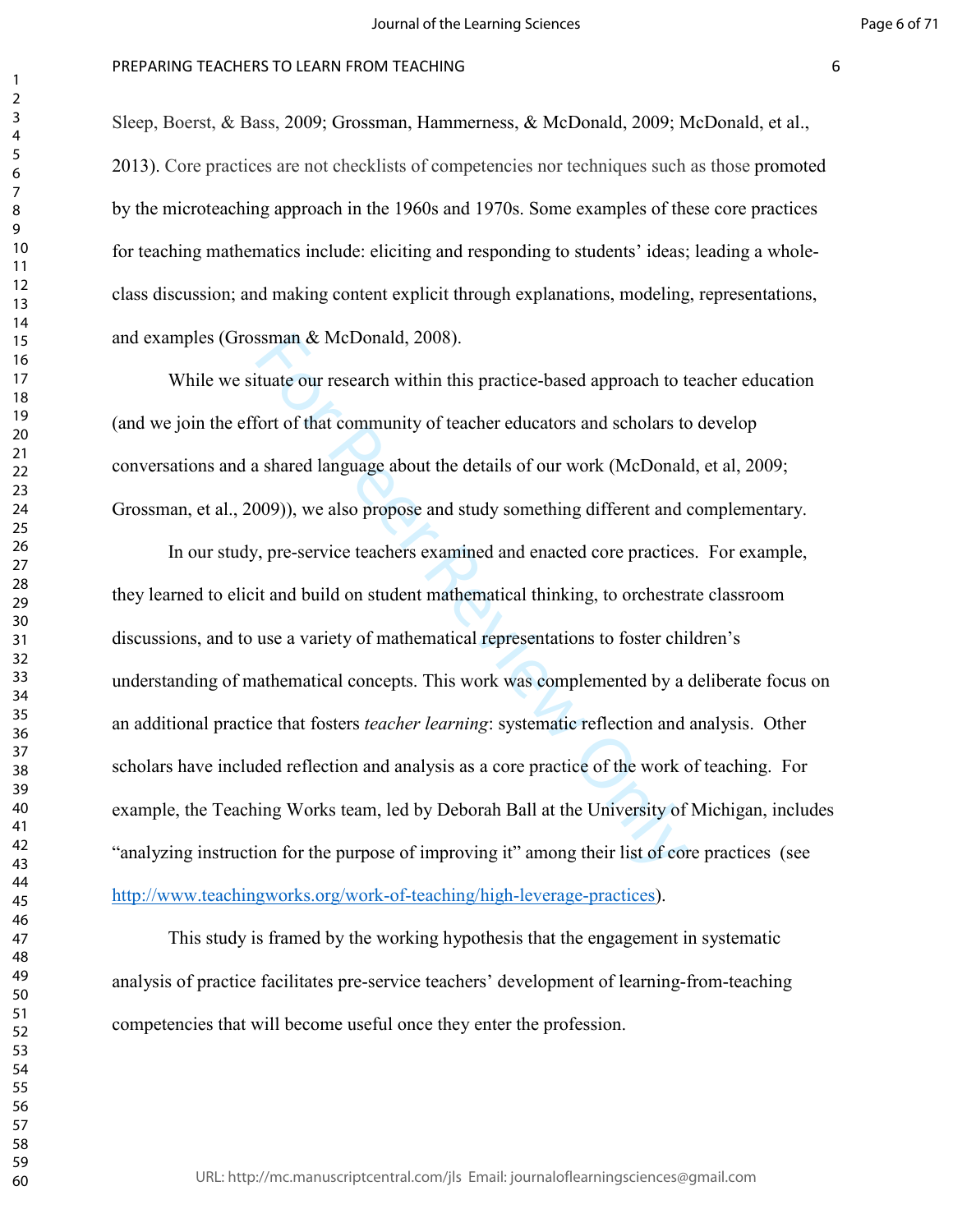Sleep, Boerst, & Bass, 2009; Grossman, Hammerness, & McDonald, 2009; McDonald, et al., 2013). Core practices are not checklists of competencies nor techniques such as those promoted by the microteaching approach in the 1960s and 1970s. Some examples of these core practices for teaching mathematics include: eliciting and responding to students' ideas; leading a wholeclass discussion; and making content explicit through explanations, modeling, representations, and examples (Grossman & McDonald, 2008).

While we situate our research within this practice-based approach to teacher education (and we join the effort of that community of teacher educators and scholars to develop conversations and a shared language about the details of our work (McDonald, et al, 2009; Grossman, et al., 2009)), we also propose and study something different and complementary.

ssman & McDonald, 2008).<br>
ttuate our research within this practice-based approach to t<br>
fort of that community of teacher educators and scholars to<br>
1 shared language about the details of our work (McDonald<br>
1099), we also In our study, pre-service teachers examined and enacted core practices. For example, they learned to elicit and build on student mathematical thinking, to orchestrate classroom discussions, and to use a variety of mathematical representations to foster children's understanding of mathematical concepts. This work was complemented by a deliberate focus on an additional practice that fosters *teacher learning*: systematic reflection and analysis. Other scholars have included reflection and analysis as a core practice of the work of teaching. For example, the Teaching Works team, led by Deborah Ball at the University of Michigan, includes "analyzing instruction for the purpose of improving it" among their list of core practices (see http://www.teachingworks.org/work-of-teaching/high-leverage-practices).

 This study is framed by the working hypothesis that the engagement in systematic analysis of practice facilitates pre-service teachers' development of learning-from-teaching competencies that will become useful once they enter the profession.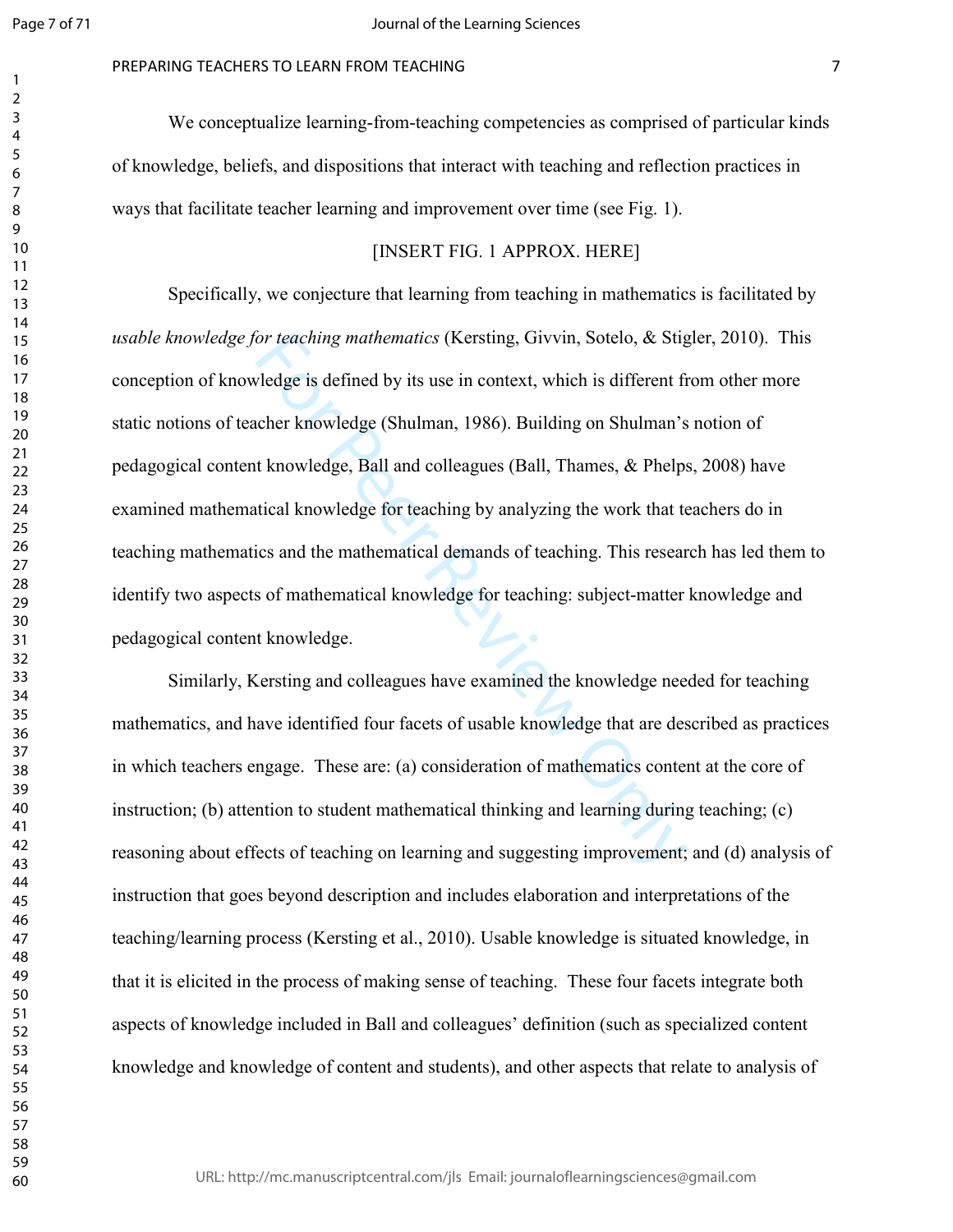## PREPARING TEACHERS TO LEARN FROM TEACHING **7** and 2 and 2 and 2 and 2 and 2 and 2 and 2 and 2 and 2 and 2 and 2 and 2 and 2 and 2 and 2 and 2 and 2 and 2 and 2 and 2 and 2 and 2 and 2 and 2 and 2 and 2 and 2 and 2 and 2 an

We conceptualize learning-from-teaching competencies as comprised of particular kinds of knowledge, beliefs, and dispositions that interact with teaching and reflection practices in ways that facilitate teacher learning and improvement over time (see Fig. 1).

## [INSERT FIG. 1 APPROX. HERE]

or teaching mathematics (Kersting, Givvin, Sotelo, & Stig<br>vledge is defined by its use in context, which is different fr<br>incher knowledge (Shulman, 1986). Building on Shulman's<br>t knowledge, Ball and colleagues (Ball, Thame Specifically, we conjecture that learning from teaching in mathematics is facilitated by *usable knowledge for teaching mathematics* (Kersting, Givvin, Sotelo, & Stigler, 2010). This conception of knowledge is defined by its use in context, which is different from other more static notions of teacher knowledge (Shulman, 1986). Building on Shulman's notion of pedagogical content knowledge, Ball and colleagues (Ball, Thames, & Phelps, 2008) have examined mathematical knowledge for teaching by analyzing the work that teachers do in teaching mathematics and the mathematical demands of teaching. This research has led them to identify two aspects of mathematical knowledge for teaching: subject-matter knowledge and pedagogical content knowledge.

Similarly, Kersting and colleagues have examined the knowledge needed for teaching mathematics, and have identified four facets of usable knowledge that are described as practices in which teachers engage. These are: (a) consideration of mathematics content at the core of instruction; (b) attention to student mathematical thinking and learning during teaching; (c) reasoning about effects of teaching on learning and suggesting improvement; and (d) analysis of instruction that goes beyond description and includes elaboration and interpretations of the teaching/learning process (Kersting et al., 2010). Usable knowledge is situated knowledge, in that it is elicited in the process of making sense of teaching. These four facets integrate both aspects of knowledge included in Ball and colleagues' definition (such as specialized content knowledge and knowledge of content and students), and other aspects that relate to analysis of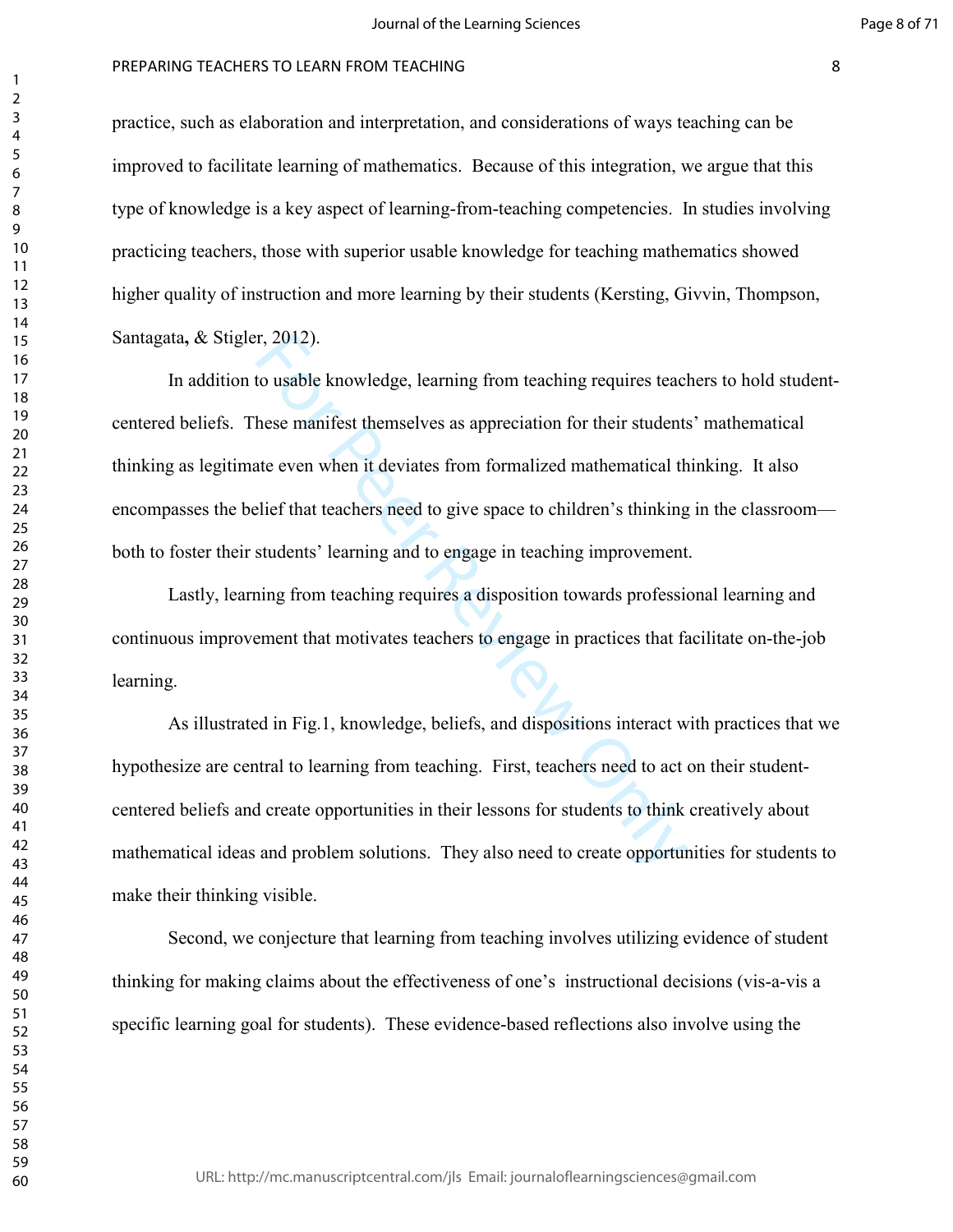practice, such as elaboration and interpretation, and considerations of ways teaching can be improved to facilitate learning of mathematics. Because of this integration, we argue that this type of knowledge is a key aspect of learning-from-teaching competencies. In studies involving practicing teachers, those with superior usable knowledge for teaching mathematics showed higher quality of instruction and more learning by their students (Kersting, Givvin, Thompson, Santagata**,** & Stigler, 2012).

For 2012).<br>
to usable knowledge, learning from teaching requires teacl<br>
hese manifest themselves as appreciation for their students<br>
atte even when it deviates from formalized mathematical th<br>
ellief that teachers need to In addition to usable knowledge, learning from teaching requires teachers to hold studentcentered beliefs. These manifest themselves as appreciation for their students' mathematical thinking as legitimate even when it deviates from formalized mathematical thinking. It also encompasses the belief that teachers need to give space to children's thinking in the classroom both to foster their students' learning and to engage in teaching improvement.

Lastly, learning from teaching requires a disposition towards professional learning and continuous improvement that motivates teachers to engage in practices that facilitate on-the-job learning.

As illustrated in Fig.1, knowledge, beliefs, and dispositions interact with practices that we hypothesize are central to learning from teaching. First, teachers need to act on their studentcentered beliefs and create opportunities in their lessons for students to think creatively about mathematical ideas and problem solutions. They also need to create opportunities for students to make their thinking visible.

Second, we conjecture that learning from teaching involves utilizing evidence of student thinking for making claims about the effectiveness of one's instructional decisions (vis-a-vis a specific learning goal for students). These evidence-based reflections also involve using the

 $\mathbf{1}$  $\overline{2}$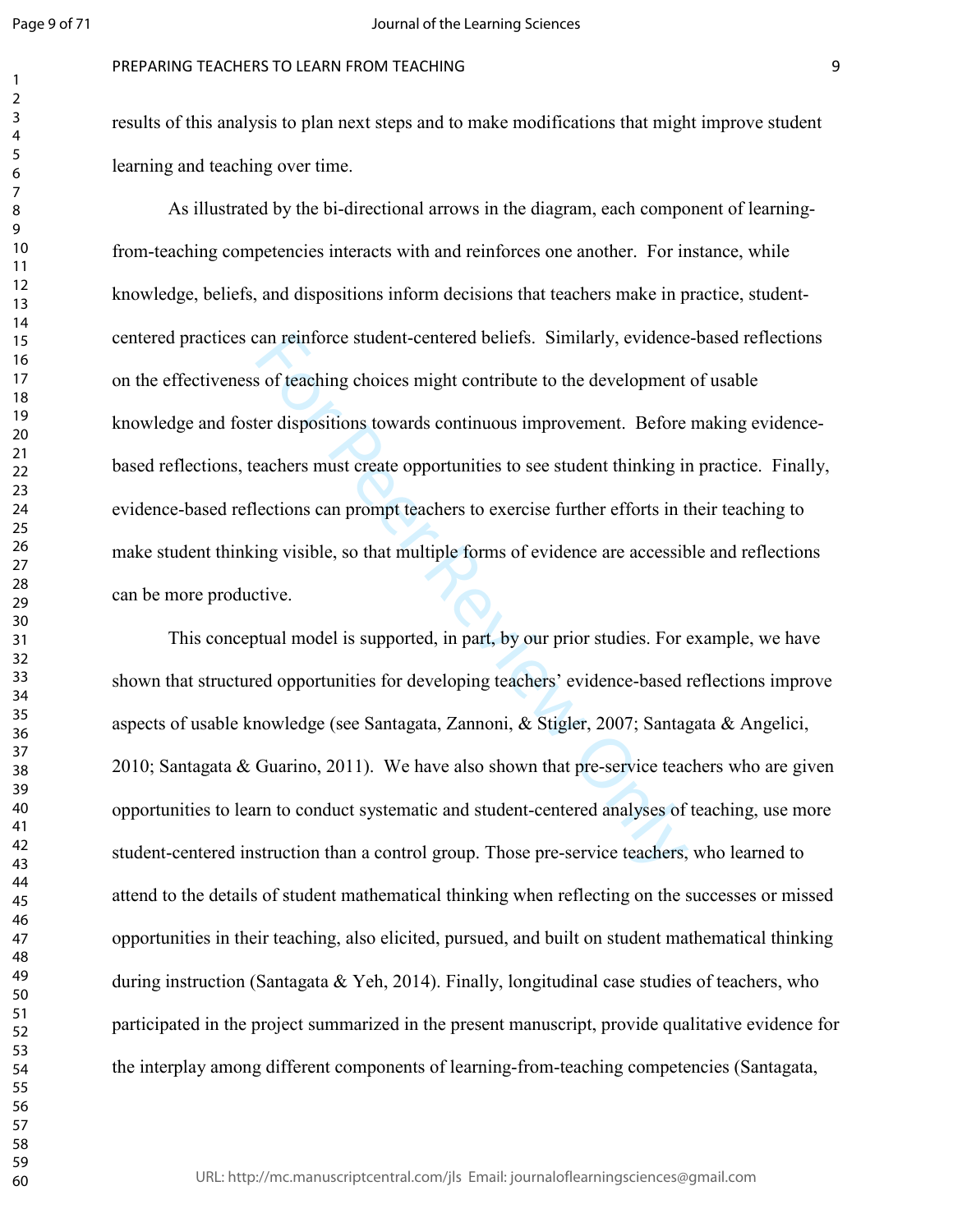## PREPARING TEACHERS TO LEARN FROM TEACHING 9

results of this analysis to plan next steps and to make modifications that might improve student learning and teaching over time.

can reinforce student-centered beliefs. Similarly, evidence<br>s of teaching choices might contribute to the development<br>ter dispositions towards continuous improvement. Before<br>eachers must create opportunities to see student As illustrated by the bi-directional arrows in the diagram, each component of learningfrom-teaching competencies interacts with and reinforces one another. For instance, while knowledge, beliefs, and dispositions inform decisions that teachers make in practice, studentcentered practices can reinforce student-centered beliefs. Similarly, evidence-based reflections on the effectiveness of teaching choices might contribute to the development of usable knowledge and foster dispositions towards continuous improvement. Before making evidencebased reflections, teachers must create opportunities to see student thinking in practice. Finally, evidence-based reflections can prompt teachers to exercise further efforts in their teaching to make student thinking visible, so that multiple forms of evidence are accessible and reflections can be more productive.

This conceptual model is supported, in part, by our prior studies. For example, we have shown that structured opportunities for developing teachers' evidence-based reflections improve aspects of usable knowledge (see Santagata, Zannoni, & Stigler, 2007; Santagata & Angelici, 2010; Santagata  $\&$  Guarino, 2011). We have also shown that pre-service teachers who are given opportunities to learn to conduct systematic and student-centered analyses of teaching, use more student-centered instruction than a control group. Those pre-service teachers, who learned to attend to the details of student mathematical thinking when reflecting on the successes or missed opportunities in their teaching, also elicited, pursued, and built on student mathematical thinking during instruction (Santagata & Yeh, 2014). Finally, longitudinal case studies of teachers, who participated in the project summarized in the present manuscript, provide qualitative evidence for the interplay among different components of learning-from-teaching competencies (Santagata,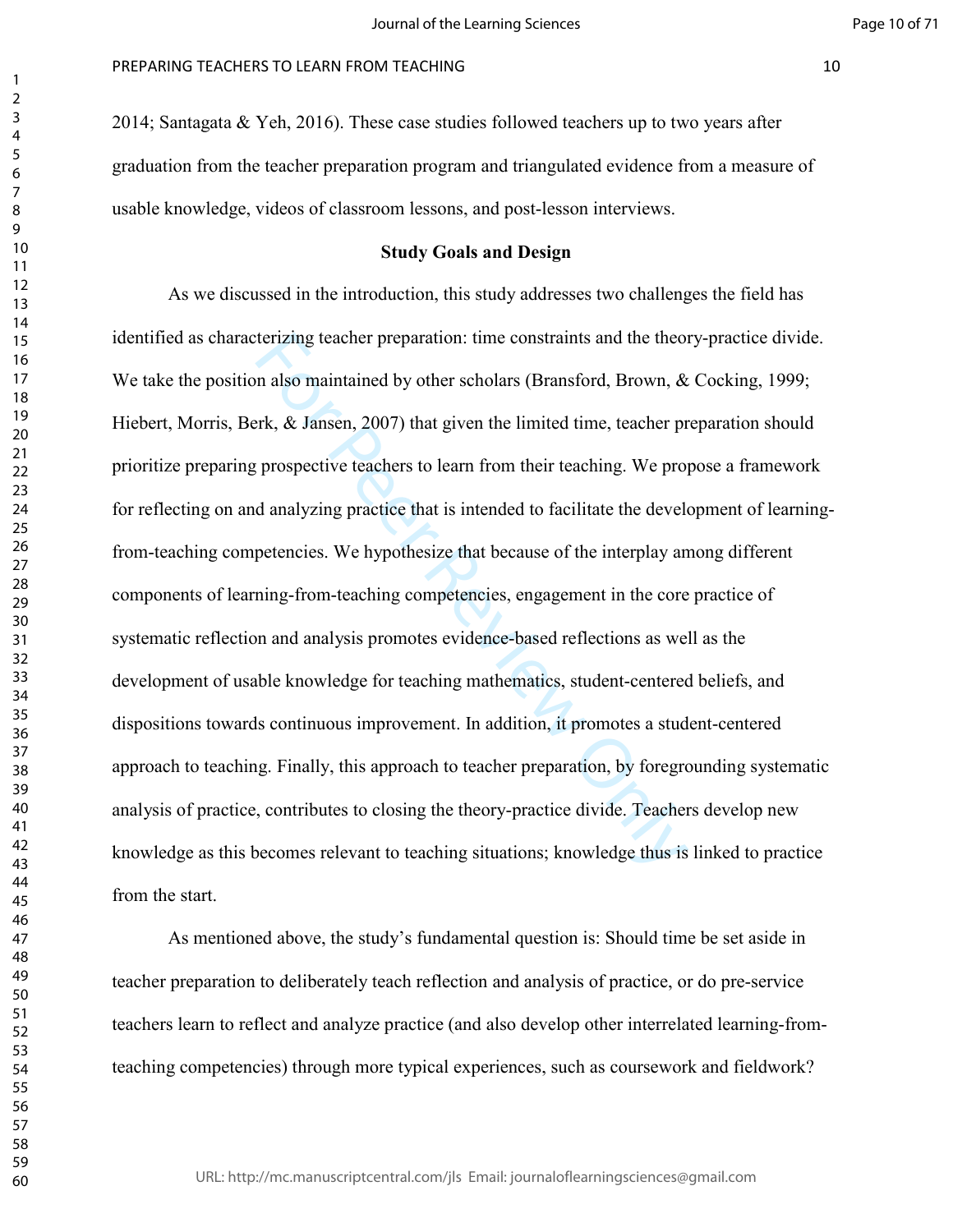Page 10 of 71

2014; Santagata  $\&$  Yeh, 2016). These case studies followed teachers up to two years after graduation from the teacher preparation program and triangulated evidence from a measure of usable knowledge, videos of classroom lessons, and post-lesson interviews.

## **Study Goals and Design**

terizing teacher preparation: time constraints and the theorem also maintained by other scholars (Bransford, Brown, & rk, & Jansen, 2007) that given the limited time, teacher pr<br>prospective teachers to learn from their tea As we discussed in the introduction, this study addresses two challenges the field has identified as characterizing teacher preparation: time constraints and the theory-practice divide. We take the position also maintained by other scholars (Bransford, Brown, & Cocking, 1999; Hiebert, Morris, Berk, & Jansen, 2007) that given the limited time, teacher preparation should prioritize preparing prospective teachers to learn from their teaching. We propose a framework for reflecting on and analyzing practice that is intended to facilitate the development of learningfrom-teaching competencies. We hypothesize that because of the interplay among different components of learning-from-teaching competencies, engagement in the core practice of systematic reflection and analysis promotes evidence-based reflections as well as the development of usable knowledge for teaching mathematics, student-centered beliefs, and dispositions towards continuous improvement. In addition, it promotes a student-centered approach to teaching. Finally, this approach to teacher preparation, by foregrounding systematic analysis of practice, contributes to closing the theory-practice divide. Teachers develop new knowledge as this becomes relevant to teaching situations; knowledge thus is linked to practice from the start.

As mentioned above, the study's fundamental question is: Should time be set aside in teacher preparation to deliberately teach reflection and analysis of practice, or do pre-service teachers learn to reflect and analyze practice (and also develop other interrelated learning-fromteaching competencies) through more typical experiences, such as coursework and fieldwork?

URL: http://mc.manuscriptcentral.com/jls Email: journaloflearningsciences@gmail.com

 $\mathbf{1}$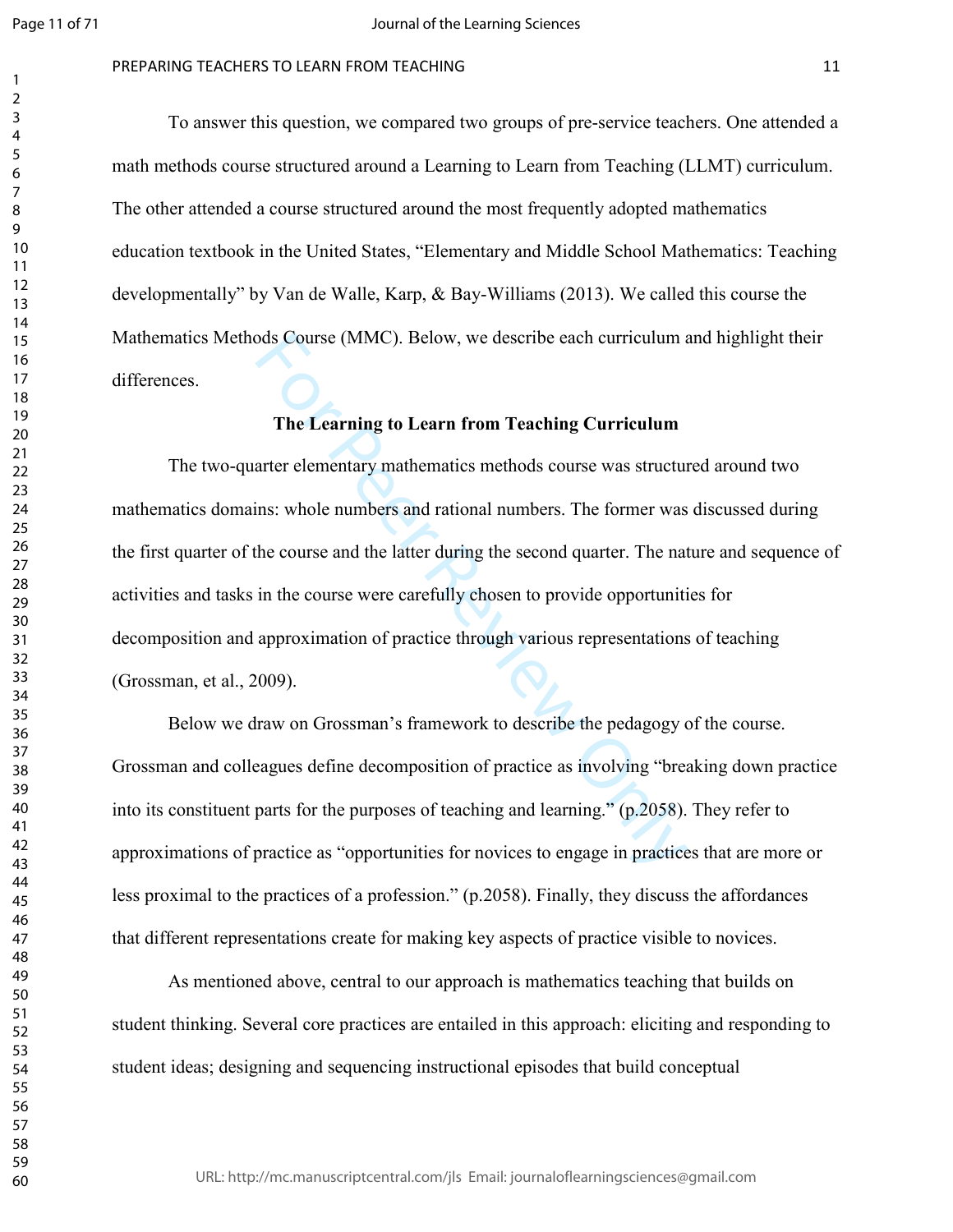#### PREPARING TEACHERS TO LEARN FROM TEACHING 11 11 12 12 12 13 14 15 16 17 18 19 19 11 11 11 11 11 11 11 11 11 11

To answer this question, we compared two groups of pre-service teachers. One attended a math methods course structured around a Learning to Learn from Teaching (LLMT) curriculum. The other attended a course structured around the most frequently adopted mathematics education textbook in the United States, "Elementary and Middle School Mathematics: Teaching developmentally" by Van de Walle, Karp, & Bay-Williams (2013). We called this course the Mathematics Methods Course (MMC). Below, we describe each curriculum and highlight their differences.

## **The Learning to Learn from Teaching Curriculum**

ods Course (MMC). Below, we describe each curriculum a<br> **The Learning to Learn from Teaching Curriculum**<br>
arter elementary mathematics methods course was structured<br>
ins: whole numbers and rational numbers. The former was<br> The two-quarter elementary mathematics methods course was structured around two mathematics domains: whole numbers and rational numbers. The former was discussed during the first quarter of the course and the latter during the second quarter. The nature and sequence of activities and tasks in the course were carefully chosen to provide opportunities for decomposition and approximation of practice through various representations of teaching (Grossman, et al., 2009).

Below we draw on Grossman's framework to describe the pedagogy of the course. Grossman and colleagues define decomposition of practice as involving "breaking down practice into its constituent parts for the purposes of teaching and learning." (p.2058). They refer to approximations of practice as "opportunities for novices to engage in practices that are more or less proximal to the practices of a profession." (p.2058). Finally, they discuss the affordances that different representations create for making key aspects of practice visible to novices.

As mentioned above, central to our approach is mathematics teaching that builds on student thinking. Several core practices are entailed in this approach: eliciting and responding to student ideas; designing and sequencing instructional episodes that build conceptual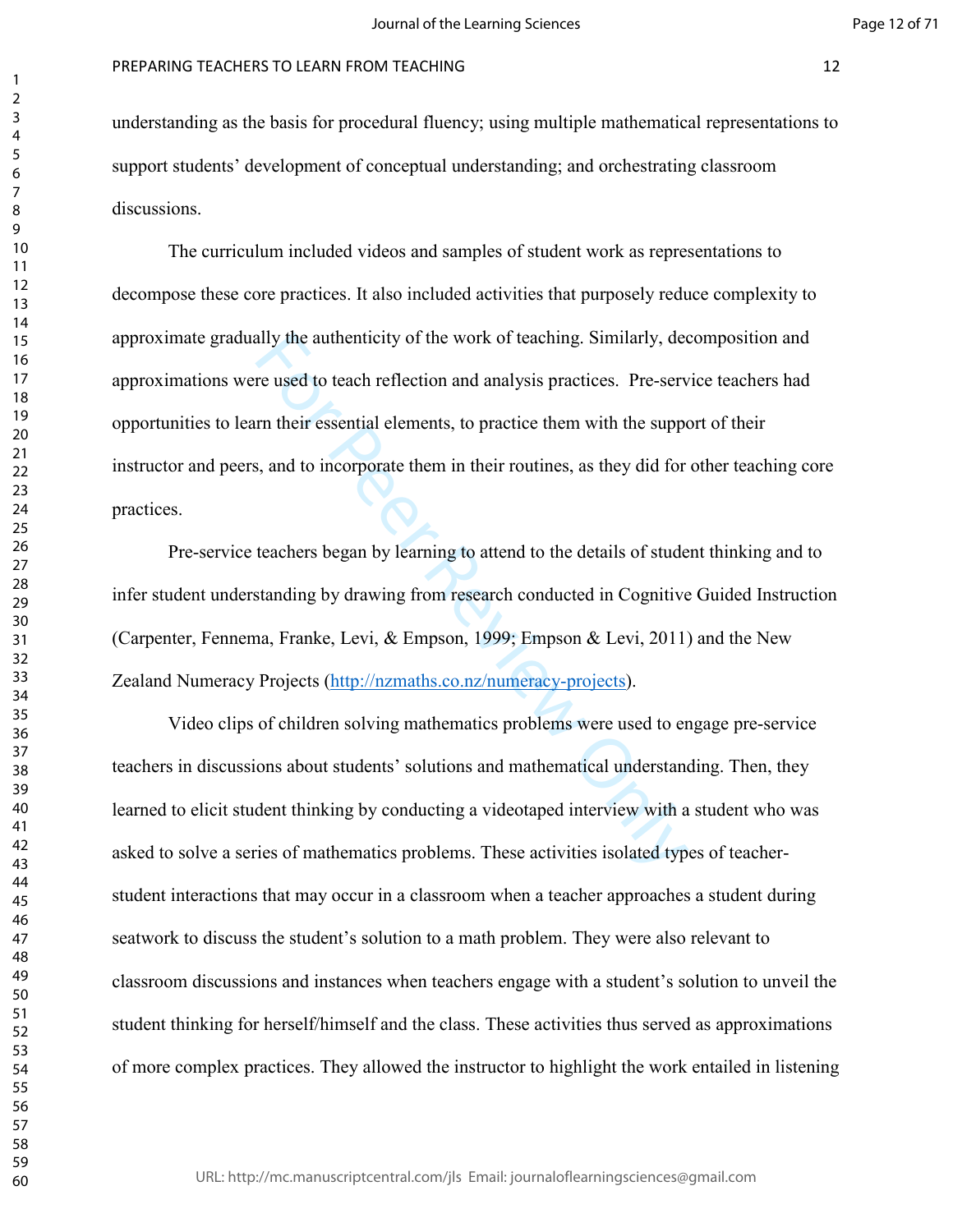understanding as the basis for procedural fluency; using multiple mathematical representations to support students' development of conceptual understanding; and orchestrating classroom discussions.

ally the authenticity of the work of teaching. Similarly, deverting the authenticity of the work of teaching. Similarly, deverting the used to teach reflection and analysis practices. Pre-serv m their essential elements, t The curriculum included videos and samples of student work as representations to decompose these core practices. It also included activities that purposely reduce complexity to approximate gradually the authenticity of the work of teaching. Similarly, decomposition and approximations were used to teach reflection and analysis practices. Pre-service teachers had opportunities to learn their essential elements, to practice them with the support of their instructor and peers, and to incorporate them in their routines, as they did for other teaching core practices.

Pre-service teachers began by learning to attend to the details of student thinking and to infer student understanding by drawing from research conducted in Cognitive Guided Instruction (Carpenter, Fennema, Franke, Levi, & Empson, 1999; Empson & Levi, 2011) and the New Zealand Numeracy Projects (http://nzmaths.co.nz/numeracy-projects).

Video clips of children solving mathematics problems were used to engage pre-service teachers in discussions about students' solutions and mathematical understanding. Then, they learned to elicit student thinking by conducting a videotaped interview with a student who was asked to solve a series of mathematics problems. These activities isolated types of teacherstudent interactions that may occur in a classroom when a teacher approaches a student during seatwork to discuss the student's solution to a math problem. They were also relevant to classroom discussions and instances when teachers engage with a student's solution to unveil the student thinking for herself/himself and the class. These activities thus served as approximations of more complex practices. They allowed the instructor to highlight the work entailed in listening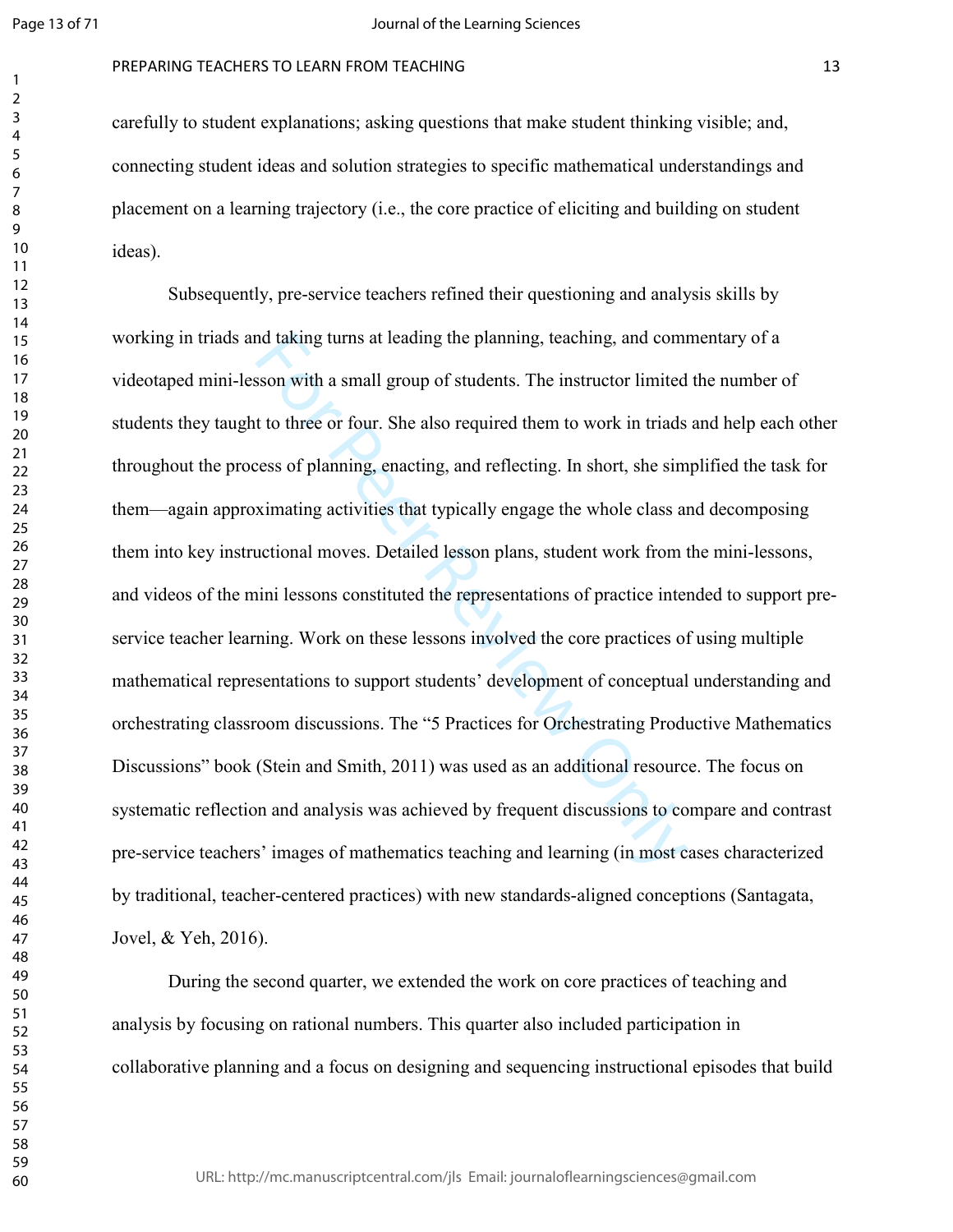$\mathbf{1}$  $\overline{2}$ 

#### Journal of the Learning Sciences

## PREPARING TEACHERS TO LEARN FROM TEACHING 13

carefully to student explanations; asking questions that make student thinking visible; and, connecting student ideas and solution strategies to specific mathematical understandings and placement on a learning trajectory (i.e., the core practice of eliciting and building on student ideas).

nd taking turns at leading the planning, teaching, and comisson with a small group of students. The instructor limited to three or four. She also required them to work in triads eess of planning, enacting, and reflecting. Subsequently, pre-service teachers refined their questioning and analysis skills by working in triads and taking turns at leading the planning, teaching, and commentary of a videotaped mini-lesson with a small group of students. The instructor limited the number of students they taught to three or four. She also required them to work in triads and help each other throughout the process of planning, enacting, and reflecting. In short, she simplified the task for them—again approximating activities that typically engage the whole class and decomposing them into key instructional moves. Detailed lesson plans, student work from the mini-lessons, and videos of the mini lessons constituted the representations of practice intended to support preservice teacher learning. Work on these lessons involved the core practices of using multiple mathematical representations to support students' development of conceptual understanding and orchestrating classroom discussions. The "5 Practices for Orchestrating Productive Mathematics Discussions" book (Stein and Smith, 2011) was used as an additional resource. The focus on systematic reflection and analysis was achieved by frequent discussions to compare and contrast pre-service teachers' images of mathematics teaching and learning (in most cases characterized by traditional, teacher-centered practices) with new standards-aligned conceptions (Santagata, Jovel, & Yeh, 2016).

During the second quarter, we extended the work on core practices of teaching and analysis by focusing on rational numbers. This quarter also included participation in collaborative planning and a focus on designing and sequencing instructional episodes that build

URL: http://mc.manuscriptcentral.com/jls Email: journaloflearningsciences@gmail.com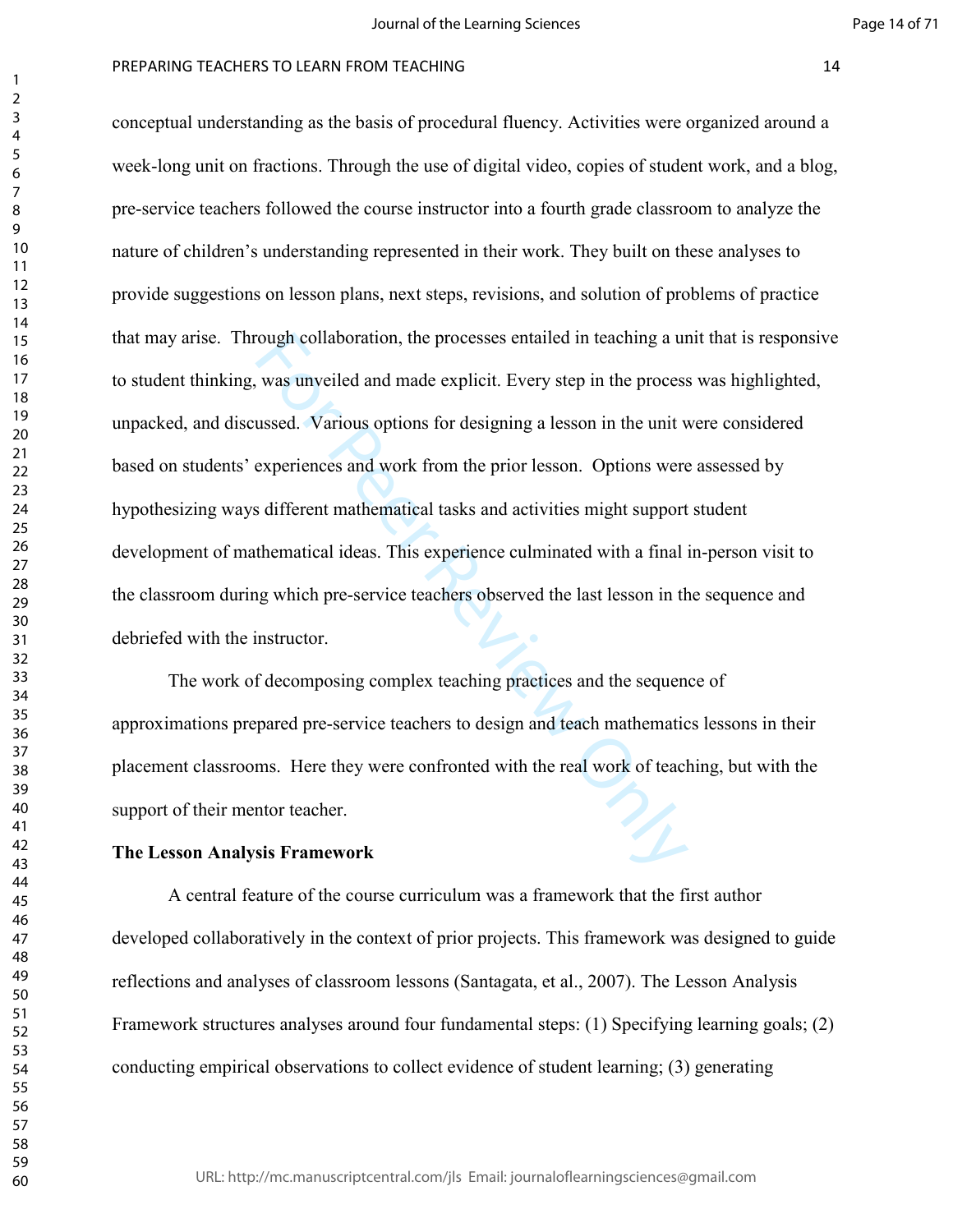Fough collaboration, the processes entailed in teaching a university was unveiled and made explicit. Every step in the process ussed. Various options for designing a lesson in the unit vexperiences and work from the prior conceptual understanding as the basis of procedural fluency. Activities were organized around a week-long unit on fractions. Through the use of digital video, copies of student work, and a blog, pre-service teachers followed the course instructor into a fourth grade classroom to analyze the nature of children's understanding represented in their work. They built on these analyses to provide suggestions on lesson plans, next steps, revisions, and solution of problems of practice that may arise. Through collaboration, the processes entailed in teaching a unit that is responsive to student thinking, was unveiled and made explicit. Every step in the process was highlighted, unpacked, and discussed. Various options for designing a lesson in the unit were considered based on students' experiences and work from the prior lesson. Options were assessed by hypothesizing ways different mathematical tasks and activities might support student development of mathematical ideas. This experience culminated with a final in-person visit to the classroom during which pre-service teachers observed the last lesson in the sequence and debriefed with the instructor.

The work of decomposing complex teaching practices and the sequence of approximations prepared pre-service teachers to design and teach mathematics lessons in their placement classrooms. Here they were confronted with the real work of teaching, but with the support of their mentor teacher.

## **The Lesson Analysis Framework**

A central feature of the course curriculum was a framework that the first author developed collaboratively in the context of prior projects. This framework was designed to guide reflections and analyses of classroom lessons (Santagata, et al., 2007). The Lesson Analysis Framework structures analyses around four fundamental steps: (1) Specifying learning goals; (2) conducting empirical observations to collect evidence of student learning; (3) generating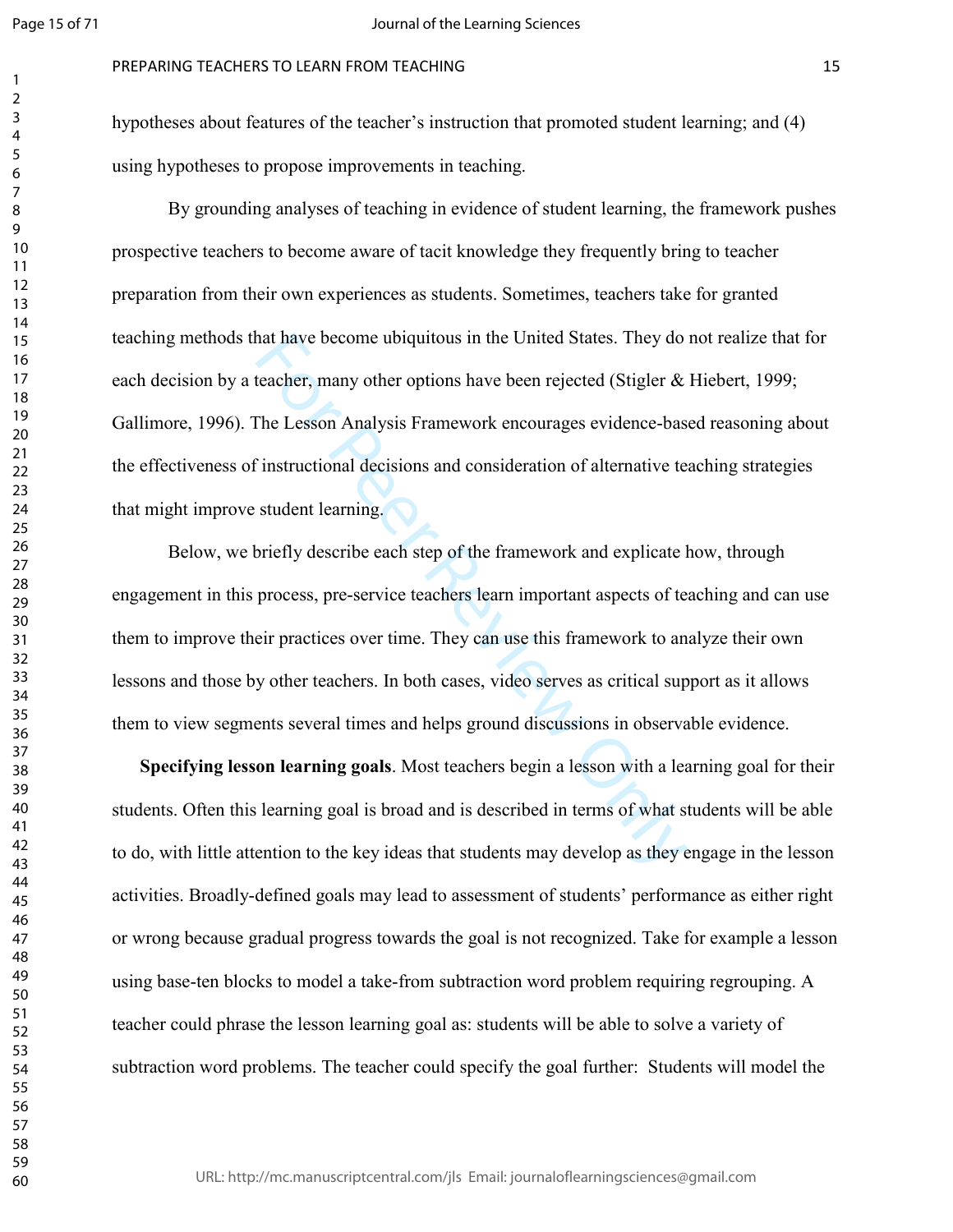## PREPARING TEACHERS TO LEARN FROM TEACHING 15

hypotheses about features of the teacher's instruction that promoted student learning; and (4) using hypotheses to propose improvements in teaching.

By grounding analyses of teaching in evidence of student learning, the framework pushes prospective teachers to become aware of tacit knowledge they frequently bring to teacher preparation from their own experiences as students. Sometimes, teachers take for granted teaching methods that have become ubiquitous in the United States. They do not realize that for each decision by a teacher, many other options have been rejected (Stigler & Hiebert, 1999; Gallimore, 1996). The Lesson Analysis Framework encourages evidence-based reasoning about the effectiveness of instructional decisions and consideration of alternative teaching strategies that might improve student learning.

hat have become ubiquitous in the United States. They do<br>teacher, many other options have been rejected (Stigler &<br>The Lesson Analysis Framework encourages evidence-bas<br>instructional decisions and consideration of alternat Below, we briefly describe each step of the framework and explicate how, through engagement in this process, pre-service teachers learn important aspects of teaching and can use them to improve their practices over time. They can use this framework to analyze their own lessons and those by other teachers. In both cases, video serves as critical support as it allows them to view segments several times and helps ground discussions in observable evidence.

**Specifying lesson learning goals**. Most teachers begin a lesson with a learning goal for their students. Often this learning goal is broad and is described in terms of what students will be able to do, with little attention to the key ideas that students may develop as they engage in the lesson activities. Broadly-defined goals may lead to assessment of students' performance as either right or wrong because gradual progress towards the goal is not recognized. Take for example a lesson using base-ten blocks to model a take-from subtraction word problem requiring regrouping. A teacher could phrase the lesson learning goal as: students will be able to solve a variety of subtraction word problems. The teacher could specify the goal further: Students will model the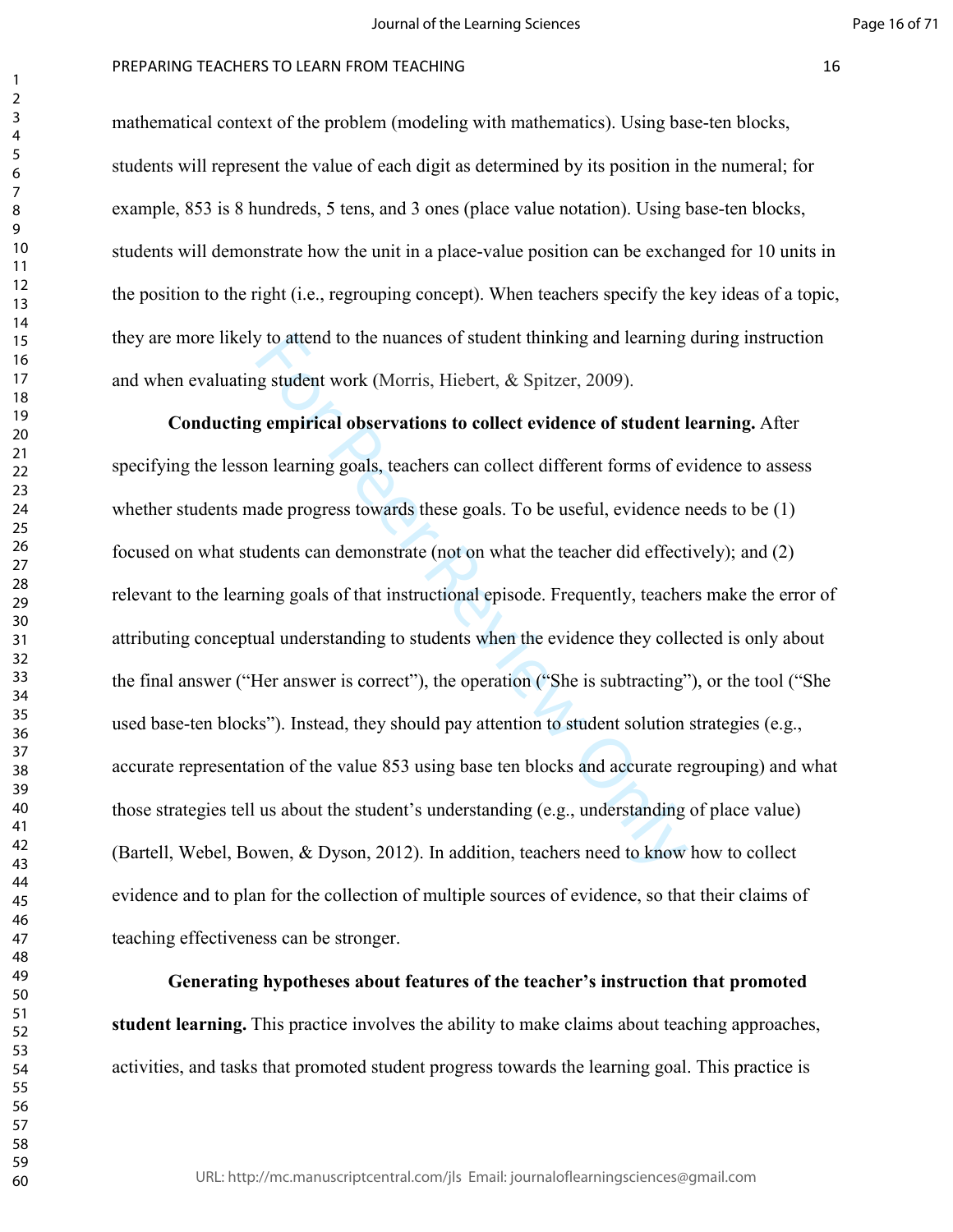#### PREPARING TEACHERS TO LEARN FROM TEACHING 16 16 16 16 17 18 18 18 19 18 18 19 18 18 19 18 18 19 18 19 18 19 18

mathematical context of the problem (modeling with mathematics). Using base-ten blocks, students will represent the value of each digit as determined by its position in the numeral; for example, 853 is 8 hundreds, 5 tens, and 3 ones (place value notation). Using base-ten blocks, students will demonstrate how the unit in a place-value position can be exchanged for 10 units in the position to the right (i.e., regrouping concept). When teachers specify the key ideas of a topic, they are more likely to attend to the nuances of student thinking and learning during instruction and when evaluating student work (Morris, Hiebert, & Spitzer, 2009).

by to attend to the nuances of student thinking and learning<br>g student work (Morris, Hiebert, & Spitzer, 2009).<br>**g empirical observations to collect evidence of student l**<br>on learning goals, teachers can collect different **Conducting empirical observations to collect evidence of student learning.** After specifying the lesson learning goals, teachers can collect different forms of evidence to assess whether students made progress towards these goals. To be useful, evidence needs to be (1) focused on what students can demonstrate (not on what the teacher did effectively); and (2) relevant to the learning goals of that instructional episode. Frequently, teachers make the error of attributing conceptual understanding to students when the evidence they collected is only about the final answer ("Her answer is correct"), the operation ("She is subtracting"), or the tool ("She used base-ten blocks"). Instead, they should pay attention to student solution strategies (e.g., accurate representation of the value 853 using base ten blocks and accurate regrouping) and what those strategies tell us about the student's understanding (e.g., understanding of place value) (Bartell, Webel, Bowen, & Dyson, 2012). In addition, teachers need to know how to collect evidence and to plan for the collection of multiple sources of evidence, so that their claims of teaching effectiveness can be stronger.

**Generating hypotheses about features of the teacher's instruction that promoted student learning.** This practice involves the ability to make claims about teaching approaches, activities, and tasks that promoted student progress towards the learning goal. This practice is

URL: http://mc.manuscriptcentral.com/jls Email: journaloflearningsciences@gmail.com

 $\mathbf{1}$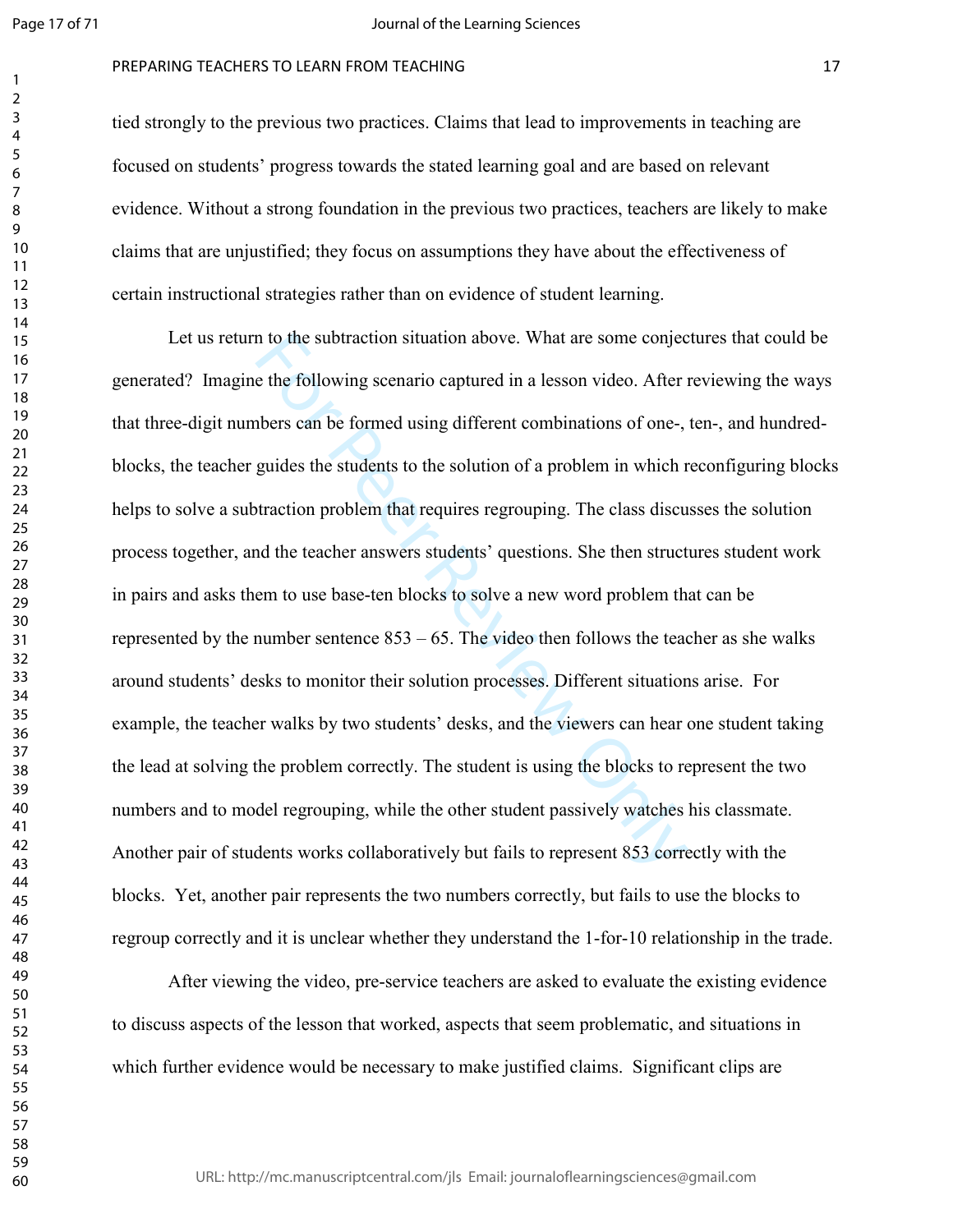## PREPARING TEACHERS TO LEARN FROM TEACHING 17 17

tied strongly to the previous two practices. Claims that lead to improvements in teaching are focused on students' progress towards the stated learning goal and are based on relevant evidence. Without a strong foundation in the previous two practices, teachers are likely to make claims that are unjustified; they focus on assumptions they have about the effectiveness of certain instructional strategies rather than on evidence of student learning.

n to the subtraction situation above. What are some conjection et the following scenario captured in a lesson video. After independent and a lesson video. After independent and using different combinations of one-guides th Let us return to the subtraction situation above. What are some conjectures that could be generated? Imagine the following scenario captured in a lesson video. After reviewing the ways that three-digit numbers can be formed using different combinations of one-, ten-, and hundredblocks, the teacher guides the students to the solution of a problem in which reconfiguring blocks helps to solve a subtraction problem that requires regrouping. The class discusses the solution process together, and the teacher answers students' questions. She then structures student work in pairs and asks them to use base-ten blocks to solve a new word problem that can be represented by the number sentence  $853 - 65$ . The video then follows the teacher as she walks around students' desks to monitor their solution processes. Different situations arise. For example, the teacher walks by two students' desks, and the viewers can hear one student taking the lead at solving the problem correctly. The student is using the blocks to represent the two numbers and to model regrouping, while the other student passively watches his classmate. Another pair of students works collaboratively but fails to represent 853 correctly with the blocks. Yet, another pair represents the two numbers correctly, but fails to use the blocks to regroup correctly and it is unclear whether they understand the 1-for-10 relationship in the trade.

After viewing the video, pre-service teachers are asked to evaluate the existing evidence to discuss aspects of the lesson that worked, aspects that seem problematic, and situations in which further evidence would be necessary to make justified claims. Significant clips are

URL: http://mc.manuscriptcentral.com/jls Email: journaloflearningsciences@gmail.com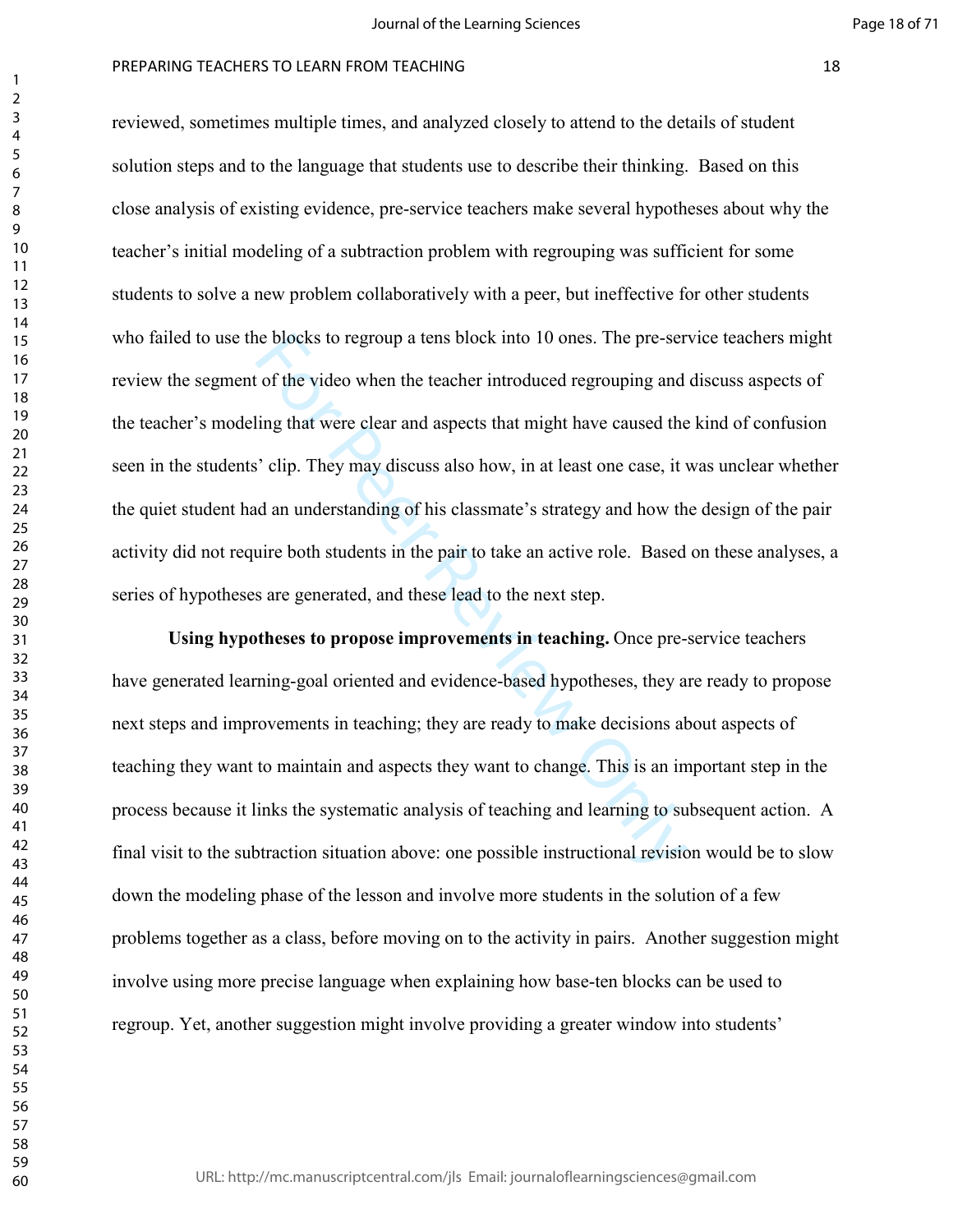is the video when the teacher introduced regrouping and<br>ting that were clear and aspects that might have caused the<br>in the video when the teacher introduced regrouping and<br>ing that were clear and aspects that might have ca reviewed, sometimes multiple times, and analyzed closely to attend to the details of student solution steps and to the language that students use to describe their thinking. Based on this close analysis of existing evidence, pre-service teachers make several hypotheses about why the teacher's initial modeling of a subtraction problem with regrouping was sufficient for some students to solve a new problem collaboratively with a peer, but ineffective for other students who failed to use the blocks to regroup a tens block into 10 ones. The pre-service teachers might review the segment of the video when the teacher introduced regrouping and discuss aspects of the teacher's modeling that were clear and aspects that might have caused the kind of confusion seen in the students' clip. They may discuss also how, in at least one case, it was unclear whether the quiet student had an understanding of his classmate's strategy and how the design of the pair activity did not require both students in the pair to take an active role. Based on these analyses, a series of hypotheses are generated, and these lead to the next step.

**Using hypotheses to propose improvements in teaching.** Once pre-service teachers have generated learning-goal oriented and evidence-based hypotheses, they are ready to propose next steps and improvements in teaching; they are ready to make decisions about aspects of teaching they want to maintain and aspects they want to change. This is an important step in the process because it links the systematic analysis of teaching and learning to subsequent action. A final visit to the subtraction situation above: one possible instructional revision would be to slow down the modeling phase of the lesson and involve more students in the solution of a few problems together as a class, before moving on to the activity in pairs. Another suggestion might involve using more precise language when explaining how base-ten blocks can be used to regroup. Yet, another suggestion might involve providing a greater window into students'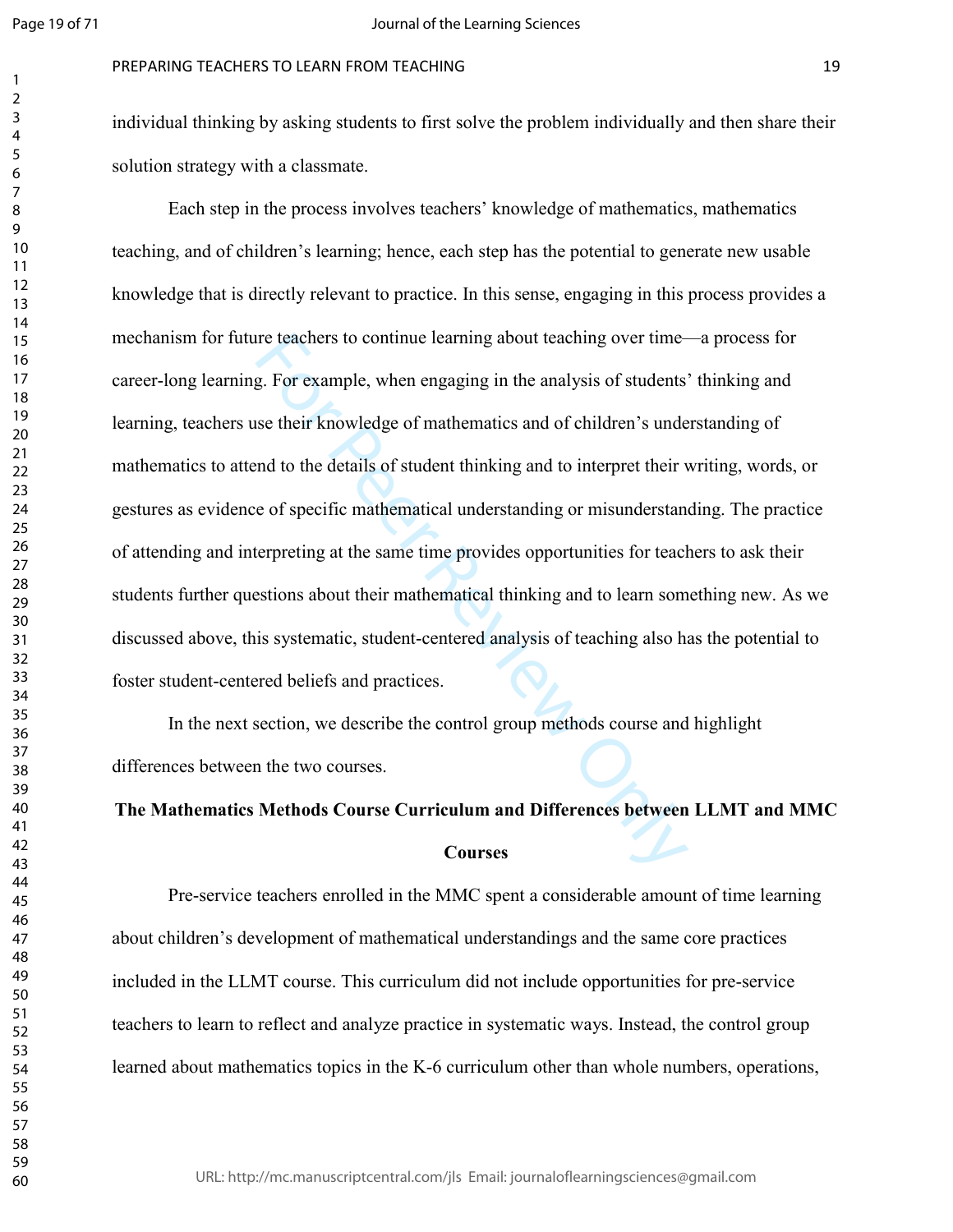#### PREPARING TEACHERS TO LEARN FROM TEACHING 19 19 19 19

individual thinking by asking students to first solve the problem individually and then share their solution strategy with a classmate.

re teachers to continue learning about teaching over time-<br>g. For example, when engaging in the analysis of students<br>see their knowledge of mathematics and of children's under<br>and to the details of student thinking and to Each step in the process involves teachers' knowledge of mathematics, mathematics teaching, and of children's learning; hence, each step has the potential to generate new usable knowledge that is directly relevant to practice. In this sense, engaging in this process provides a mechanism for future teachers to continue learning about teaching over time—a process for career-long learning. For example, when engaging in the analysis of students' thinking and learning, teachers use their knowledge of mathematics and of children's understanding of mathematics to attend to the details of student thinking and to interpret their writing, words, or gestures as evidence of specific mathematical understanding or misunderstanding. The practice of attending and interpreting at the same time provides opportunities for teachers to ask their students further questions about their mathematical thinking and to learn something new. As we discussed above, this systematic, student-centered analysis of teaching also has the potential to foster student-centered beliefs and practices.

In the next section, we describe the control group methods course and highlight differences between the two courses.

## **The Mathematics Methods Course Curriculum and Differences between LLMT and MMC Courses**

Pre-service teachers enrolled in the MMC spent a considerable amount of time learning about children's development of mathematical understandings and the same core practices included in the LLMT course. This curriculum did not include opportunities for pre-service teachers to learn to reflect and analyze practice in systematic ways. Instead, the control group learned about mathematics topics in the K-6 curriculum other than whole numbers, operations,

URL: http://mc.manuscriptcentral.com/jls Email: journaloflearningsciences@gmail.com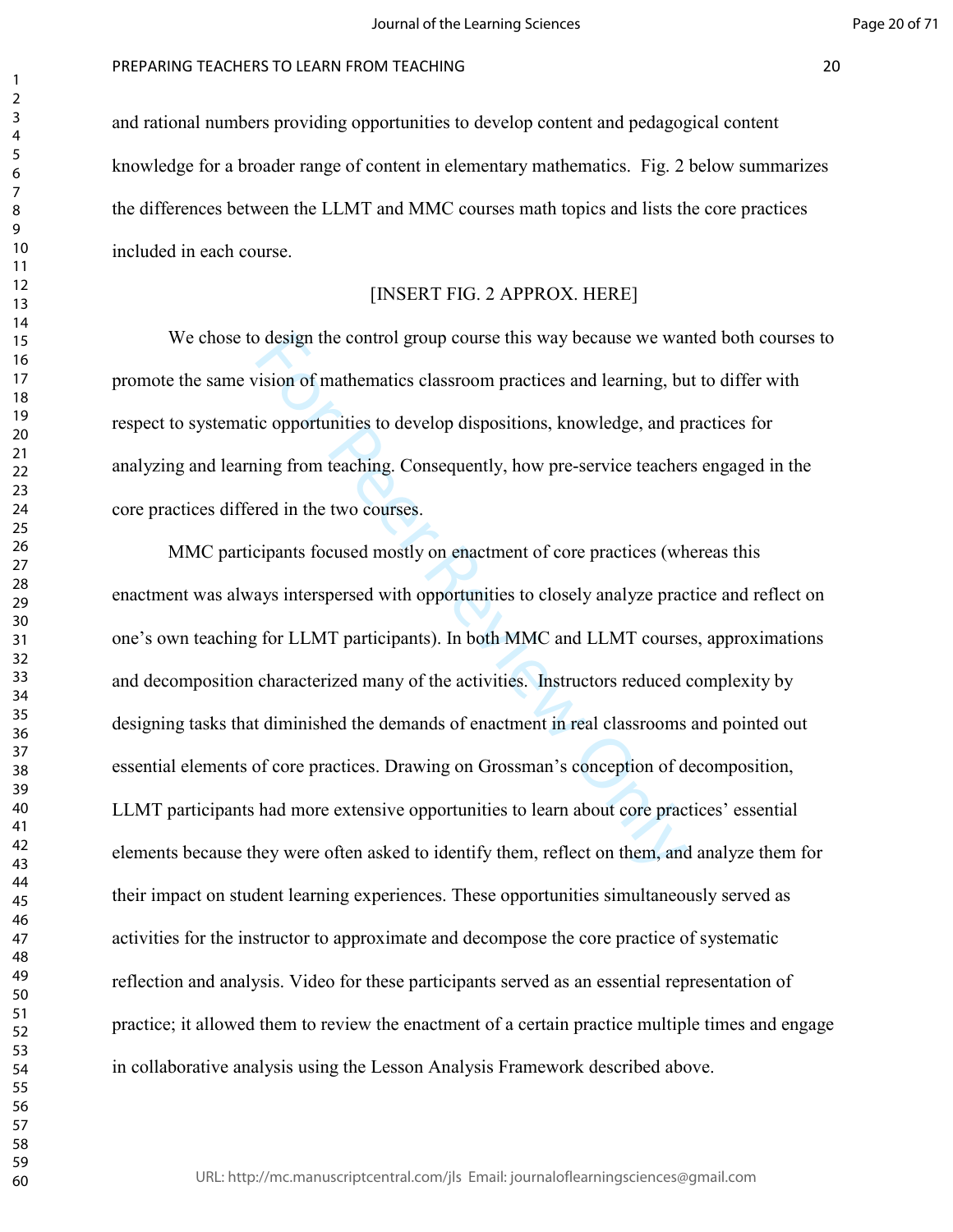and rational numbers providing opportunities to develop content and pedagogical content knowledge for a broader range of content in elementary mathematics. Fig. 2 below summarizes the differences between the LLMT and MMC courses math topics and lists the core practices included in each course.

## [INSERT FIG. 2 APPROX. HERE]

We chose to design the control group course this way because we wanted both courses to promote the same vision of mathematics classroom practices and learning, but to differ with respect to systematic opportunities to develop dispositions, knowledge, and practices for analyzing and learning from teaching. Consequently, how pre-service teachers engaged in the core practices differed in the two courses.

of design the control group course this way because we war<br>
ision of mathematics classroom practices and learning, bu<br>
ic opportunities to develop dispositions, knowledge, and p<br>
ing from teaching. Consequently, how pre-se MMC participants focused mostly on enactment of core practices (whereas this enactment was always interspersed with opportunities to closely analyze practice and reflect on one's own teaching for LLMT participants). In both MMC and LLMT courses, approximations and decomposition characterized many of the activities. Instructors reduced complexity by designing tasks that diminished the demands of enactment in real classrooms and pointed out essential elements of core practices. Drawing on Grossman's conception of decomposition, LLMT participants had more extensive opportunities to learn about core practices' essential elements because they were often asked to identify them, reflect on them, and analyze them for their impact on student learning experiences. These opportunities simultaneously served as activities for the instructor to approximate and decompose the core practice of systematic reflection and analysis. Video for these participants served as an essential representation of practice; it allowed them to review the enactment of a certain practice multiple times and engage in collaborative analysis using the Lesson Analysis Framework described above.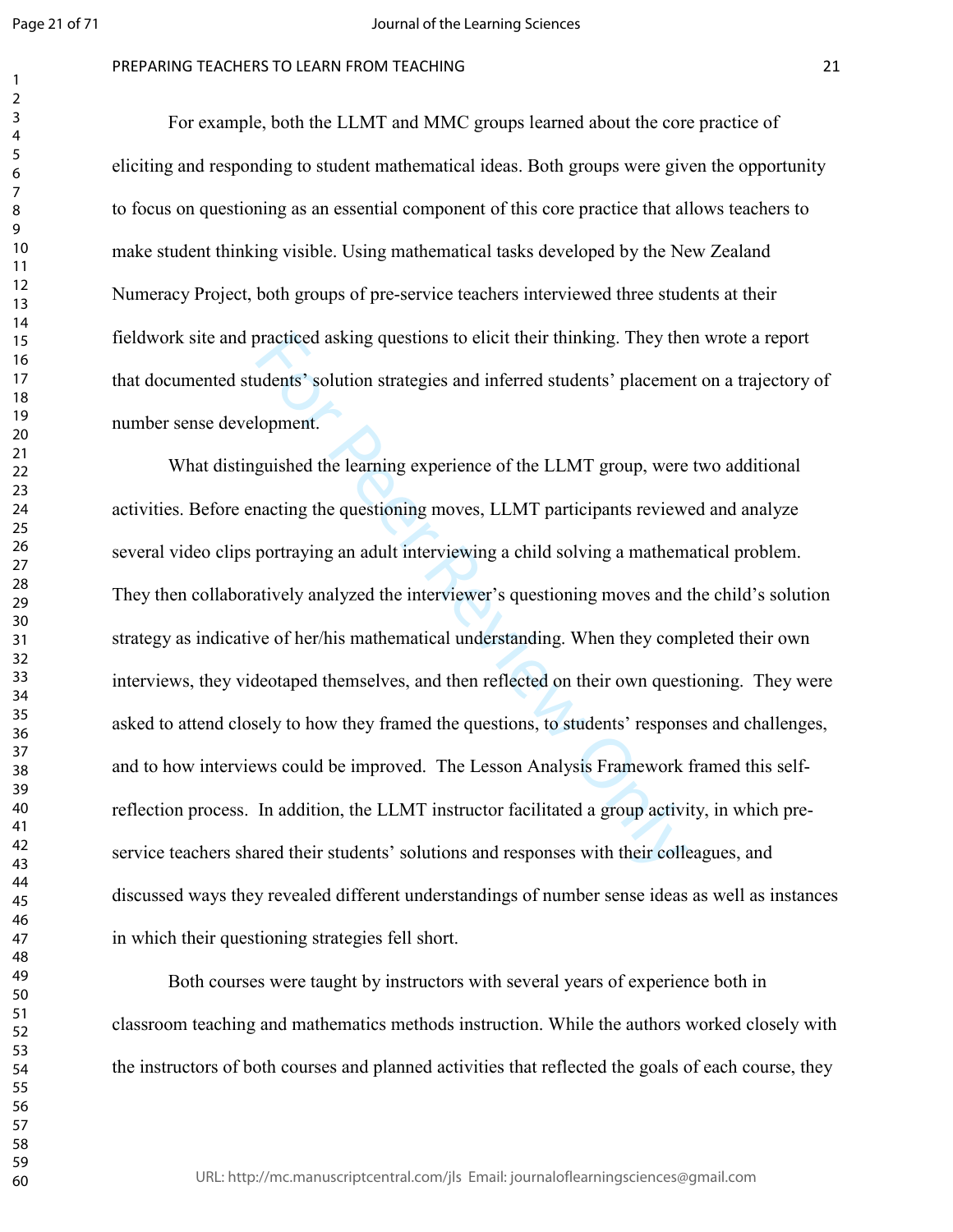#### PREPARING TEACHERS TO LEARN FROM TEACHING 21

For example, both the LLMT and MMC groups learned about the core practice of eliciting and responding to student mathematical ideas. Both groups were given the opportunity to focus on questioning as an essential component of this core practice that allows teachers to make student thinking visible. Using mathematical tasks developed by the New Zealand Numeracy Project, both groups of pre-service teachers interviewed three students at their fieldwork site and practiced asking questions to elicit their thinking. They then wrote a report that documented students' solution strategies and inferred students' placement on a trajectory of number sense development.

practiced asking questions to elicit their thinking. They the<br>udents' solution strategies and inferred students' placemen<br>lopment.<br>guished the learning experience of the LLMT group, were<br>nacting the questioning moves, LLMT What distinguished the learning experience of the LLMT group, were two additional activities. Before enacting the questioning moves, LLMT participants reviewed and analyze several video clips portraying an adult interviewing a child solving a mathematical problem. They then collaboratively analyzed the interviewer's questioning moves and the child's solution strategy as indicative of her/his mathematical understanding. When they completed their own interviews, they videotaped themselves, and then reflected on their own questioning. They were asked to attend closely to how they framed the questions, to students' responses and challenges, and to how interviews could be improved. The Lesson Analysis Framework framed this selfreflection process. In addition, the LLMT instructor facilitated a group activity, in which preservice teachers shared their students' solutions and responses with their colleagues, and discussed ways they revealed different understandings of number sense ideas as well as instances in which their questioning strategies fell short.

Both courses were taught by instructors with several years of experience both in classroom teaching and mathematics methods instruction. While the authors worked closely with the instructors of both courses and planned activities that reflected the goals of each course, they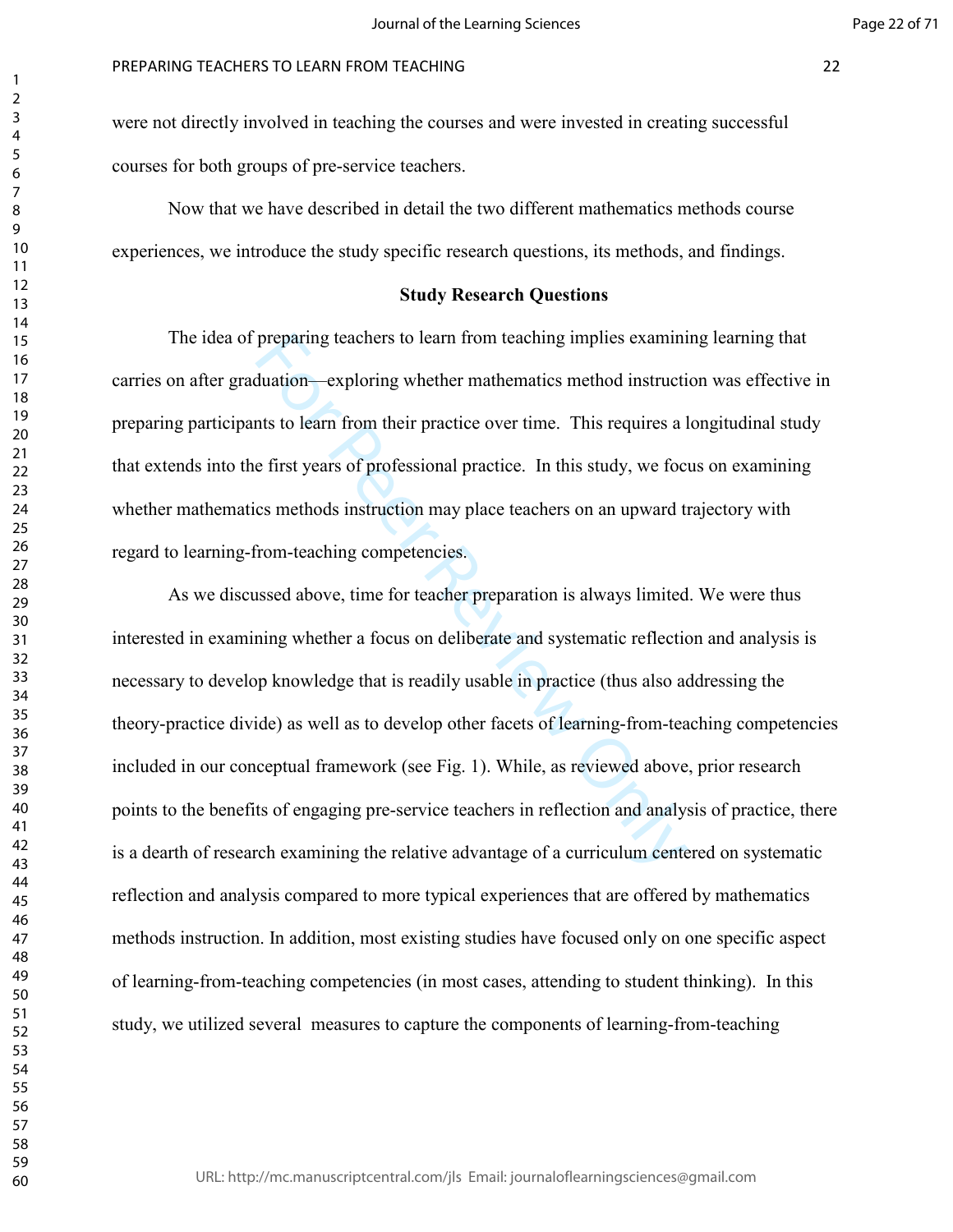were not directly involved in teaching the courses and were invested in creating successful courses for both groups of pre-service teachers.

Now that we have described in detail the two different mathematics methods course experiences, we introduce the study specific research questions, its methods, and findings.

## **Study Research Questions**

The idea of preparing teachers to learn from teaching implies examining learning that carries on after graduation—exploring whether mathematics method instruction was effective in preparing participants to learn from their practice over time. This requires a longitudinal study that extends into the first years of professional practice. In this study, we focus on examining whether mathematics methods instruction may place teachers on an upward trajectory with regard to learning-from-teaching competencies.

preparing teachers to learn from teaching implies examiniduation—exploring whether mathematics method instructions to learn from their practice over time. This requires a le first years of professional practice. In this st As we discussed above, time for teacher preparation is always limited. We were thus interested in examining whether a focus on deliberate and systematic reflection and analysis is necessary to develop knowledge that is readily usable in practice (thus also addressing the theory-practice divide) as well as to develop other facets of learning-from-teaching competencies included in our conceptual framework (see Fig. 1). While, as reviewed above, prior research points to the benefits of engaging pre-service teachers in reflection and analysis of practice, there is a dearth of research examining the relative advantage of a curriculum centered on systematic reflection and analysis compared to more typical experiences that are offered by mathematics methods instruction. In addition, most existing studies have focused only on one specific aspect of learning-from-teaching competencies (in most cases, attending to student thinking). In this study, we utilized several measures to capture the components of learning-from-teaching

 $\mathbf{1}$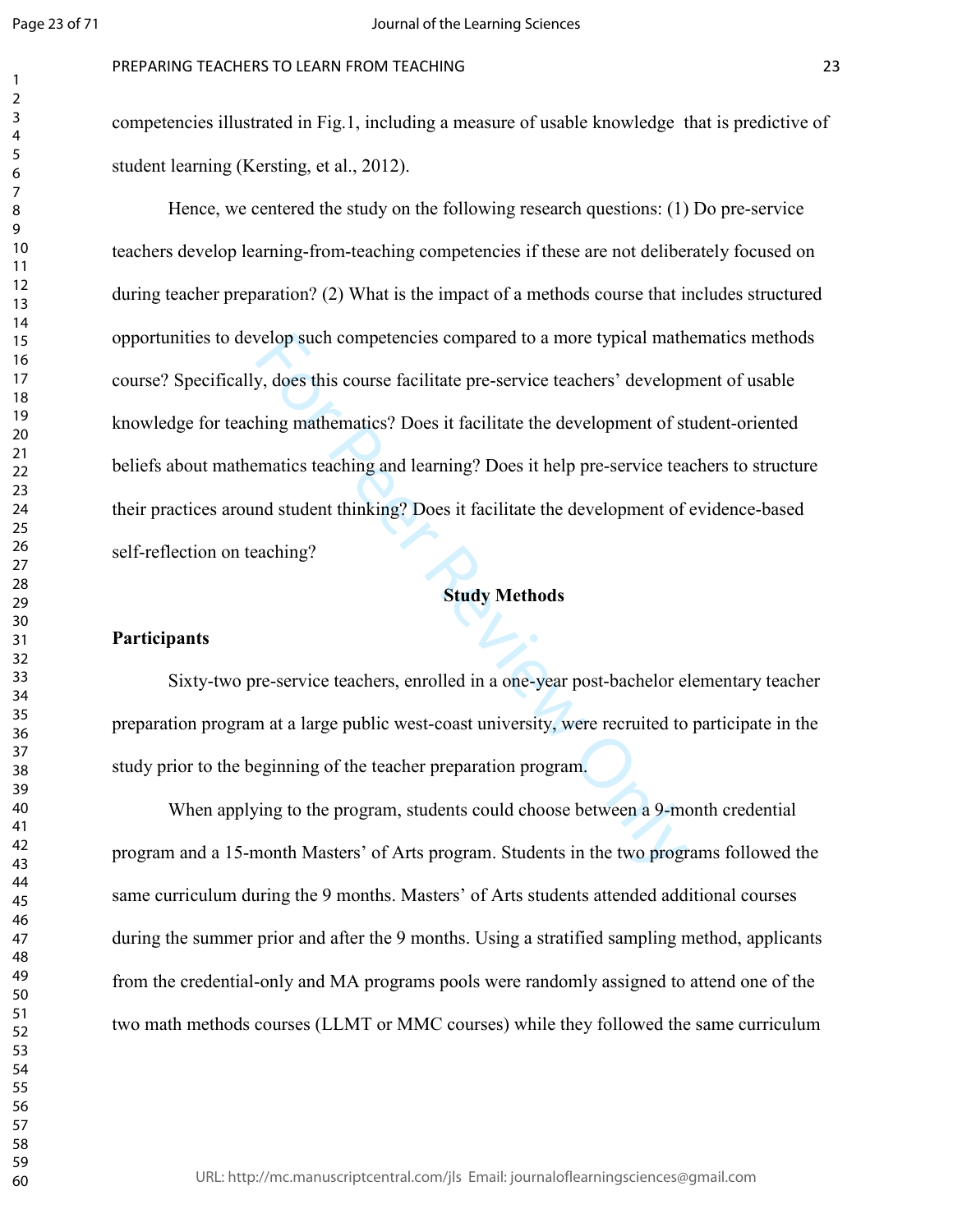## PREPARING TEACHERS TO LEARN FROM TEACHING 23

competencies illustrated in Fig.1, including a measure of usable knowledge that is predictive of student learning (Kersting, et al., 2012).

velop such competencies compared to a more typical math<br>y, does this course facilitate pre-service teachers' developin<br>hing mathematics? Does it facilitate the development of st<br>ematics teaching and learning? Does it help Hence, we centered the study on the following research questions: (1) Do pre-service teachers develop learning-from-teaching competencies if these are not deliberately focused on during teacher preparation? (2) What is the impact of a methods course that includes structured opportunities to develop such competencies compared to a more typical mathematics methods course? Specifically, does this course facilitate pre-service teachers' development of usable knowledge for teaching mathematics? Does it facilitate the development of student-oriented beliefs about mathematics teaching and learning? Does it help pre-service teachers to structure their practices around student thinking? Does it facilitate the development of evidence-based self-reflection on teaching?

## **Study Methods**

#### **Participants**

Sixty-two pre-service teachers, enrolled in a one-year post-bachelor elementary teacher preparation program at a large public west-coast university, were recruited to participate in the study prior to the beginning of the teacher preparation program.

When applying to the program, students could choose between a 9-month credential program and a 15-month Masters' of Arts program. Students in the two programs followed the same curriculum during the 9 months. Masters' of Arts students attended additional courses during the summer prior and after the 9 months. Using a stratified sampling method, applicants from the credential-only and MA programs pools were randomly assigned to attend one of the two math methods courses (LLMT or MMC courses) while they followed the same curriculum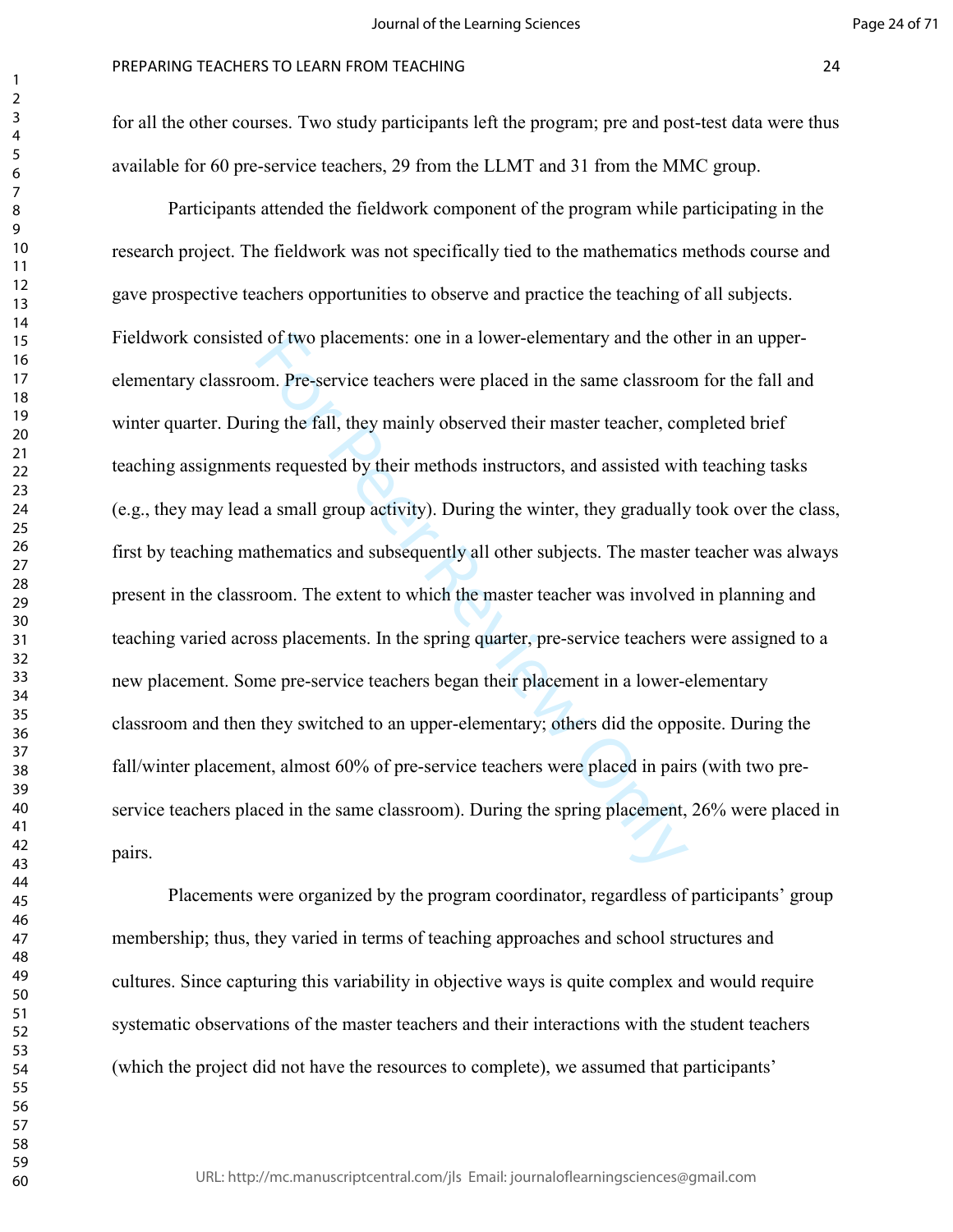for all the other courses. Two study participants left the program; pre and post-test data were thus available for 60 pre-service teachers, 29 from the LLMT and 31 from the MMC group.

d of two placements: one in a lower-elementary and the ot<br>om. Pre-service teachers were placed in the same classroor<br>ing the fall, they mainly observed their master teacher, conts<br>requested by their methods instructors, an Participants attended the fieldwork component of the program while participating in the research project. The fieldwork was not specifically tied to the mathematics methods course and gave prospective teachers opportunities to observe and practice the teaching of all subjects. Fieldwork consisted of two placements: one in a lower-elementary and the other in an upperelementary classroom. Pre-service teachers were placed in the same classroom for the fall and winter quarter. During the fall, they mainly observed their master teacher, completed brief teaching assignments requested by their methods instructors, and assisted with teaching tasks (e.g., they may lead a small group activity). During the winter, they gradually took over the class, first by teaching mathematics and subsequently all other subjects. The master teacher was always present in the classroom. The extent to which the master teacher was involved in planning and teaching varied across placements. In the spring quarter, pre-service teachers were assigned to a new placement. Some pre-service teachers began their placement in a lower-elementary classroom and then they switched to an upper-elementary; others did the opposite. During the fall/winter placement, almost 60% of pre-service teachers were placed in pairs (with two preservice teachers placed in the same classroom). During the spring placement, 26% were placed in pairs.

Placements were organized by the program coordinator, regardless of participants' group membership; thus, they varied in terms of teaching approaches and school structures and cultures. Since capturing this variability in objective ways is quite complex and would require systematic observations of the master teachers and their interactions with the student teachers (which the project did not have the resources to complete), we assumed that participants'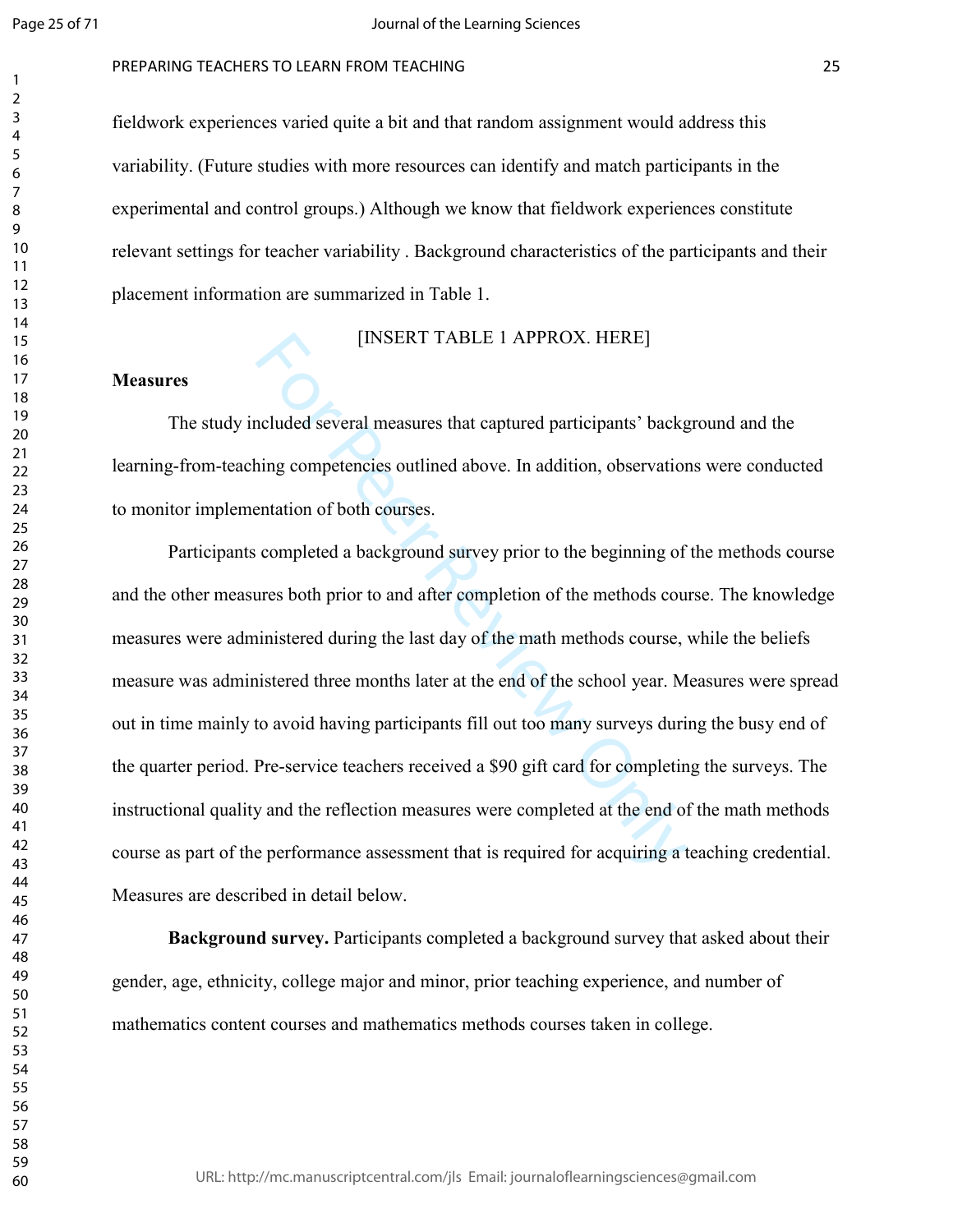## PREPARING TEACHERS TO LEARN FROM TEACHING 25

fieldwork experiences varied quite a bit and that random assignment would address this variability. (Future studies with more resources can identify and match participants in the experimental and control groups.) Although we know that fieldwork experiences constitute relevant settings for teacher variability . Background characteristics of the participants and their placement information are summarized in Table 1.

## [INSERT TABLE 1 APPROX. HERE]

#### **Measures**

The study included several measures that captured participants' background and the learning-from-teaching competencies outlined above. In addition, observations were conducted to monitor implementation of both courses.

[INSERT TABLE 1 APPROX. HERE]<br>
ncluded several measures that captured participants' background several measures that captured participants' background<br>
entation of both courses.<br>
completed a background survey prior to the Participants completed a background survey prior to the beginning of the methods course and the other measures both prior to and after completion of the methods course. The knowledge measures were administered during the last day of the math methods course, while the beliefs measure was administered three months later at the end of the school year. Measures were spread out in time mainly to avoid having participants fill out too many surveys during the busy end of the quarter period. Pre-service teachers received a \$90 gift card for completing the surveys. The instructional quality and the reflection measures were completed at the end of the math methods course as part of the performance assessment that is required for acquiring a teaching credential. Measures are described in detail below.

**Background survey.** Participants completed a background survey that asked about their gender, age, ethnicity, college major and minor, prior teaching experience, and number of mathematics content courses and mathematics methods courses taken in college.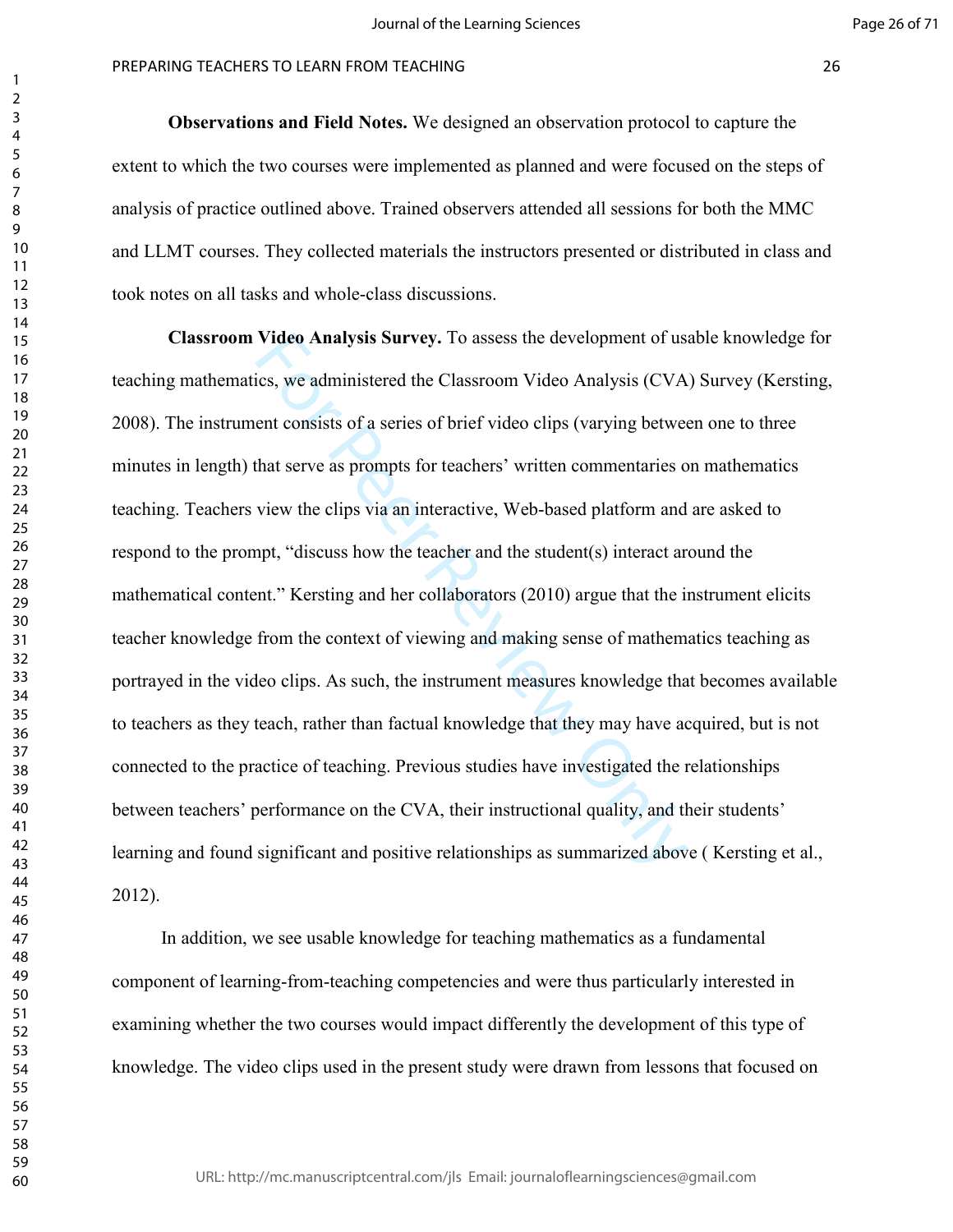**Observations and Field Notes.** We designed an observation protocol to capture the extent to which the two courses were implemented as planned and were focused on the steps of analysis of practice outlined above. Trained observers attended all sessions for both the MMC and LLMT courses. They collected materials the instructors presented or distributed in class and took notes on all tasks and whole-class discussions.

Video Analysis Survey. To assess the development of usings, we administered the Classroom Video Analysis (CVA ent consists of a series of brief video clips (varying betwee that serve as prompts for teachers' written commen **Classroom Video Analysis Survey.** To assess the development of usable knowledge for teaching mathematics, we administered the Classroom Video Analysis (CVA) Survey (Kersting, 2008). The instrument consists of a series of brief video clips (varying between one to three minutes in length) that serve as prompts for teachers' written commentaries on mathematics teaching. Teachers view the clips via an interactive, Web-based platform and are asked to respond to the prompt, "discuss how the teacher and the student(s) interact around the mathematical content." Kersting and her collaborators (2010) argue that the instrument elicits teacher knowledge from the context of viewing and making sense of mathematics teaching as portrayed in the video clips. As such, the instrument measures knowledge that becomes available to teachers as they teach, rather than factual knowledge that they may have acquired, but is not connected to the practice of teaching. Previous studies have investigated the relationships between teachers' performance on the CVA, their instructional quality, and their students' learning and found significant and positive relationships as summarized above ( Kersting et al., 2012).

In addition, we see usable knowledge for teaching mathematics as a fundamental component of learning-from-teaching competencies and were thus particularly interested in examining whether the two courses would impact differently the development of this type of knowledge. The video clips used in the present study were drawn from lessons that focused on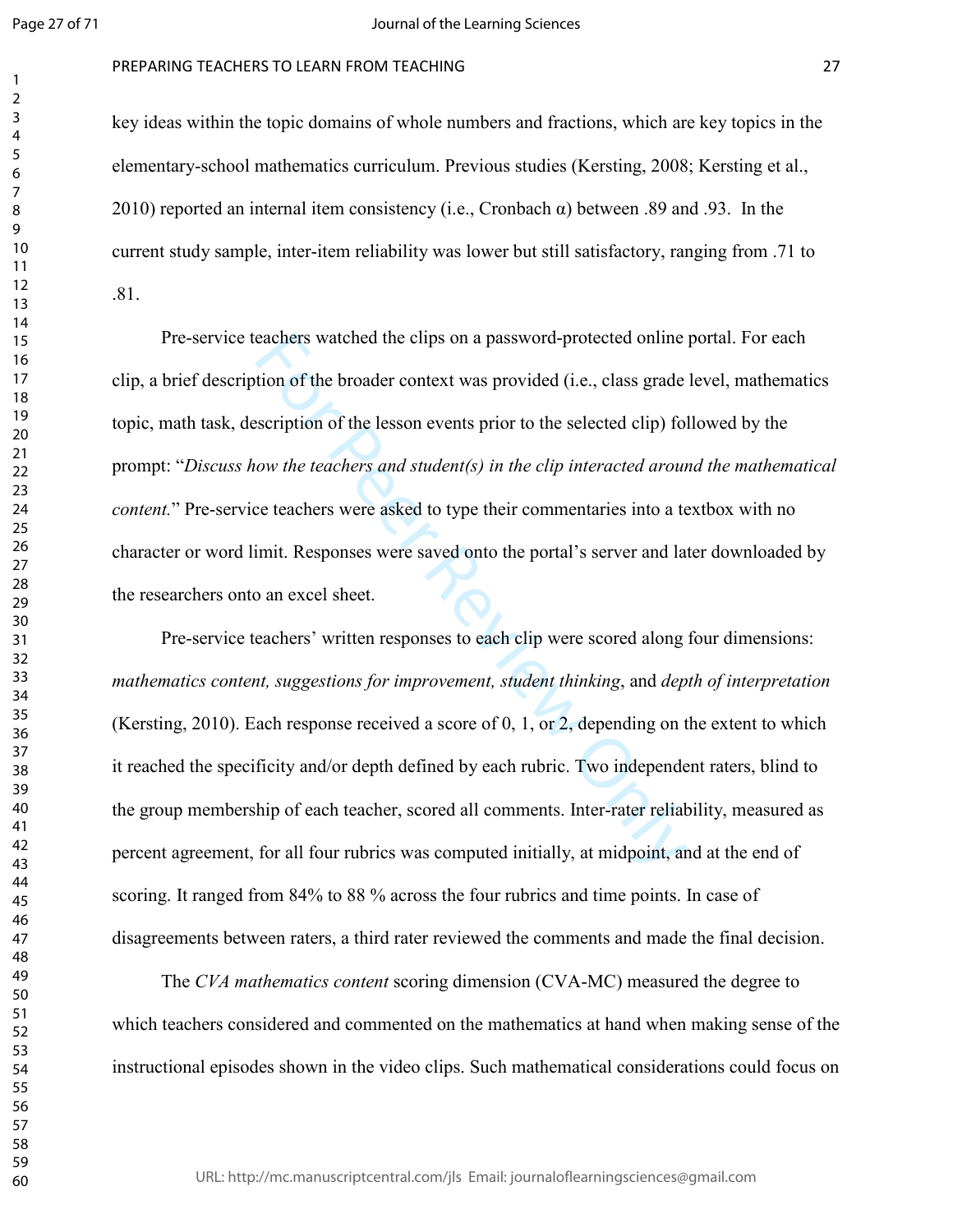## PREPARING TEACHERS TO LEARN FROM TEACHING 27 27

key ideas within the topic domains of whole numbers and fractions, which are key topics in the elementary-school mathematics curriculum. Previous studies (Kersting, 2008; Kersting et al., 2010) reported an internal item consistency (i.e., Cronbach α) between .89 and .93. In the current study sample, inter-item reliability was lower but still satisfactory, ranging from .71 to .81.

eachers watched the clips on a password-protected online<br>tion of the broader context was provided (i.e., class grade<br>scription of the lesson events prior to the selected clip) fol<br>ow the teachers and student(s) in the clip Pre-service teachers watched the clips on a password-protected online portal. For each clip, a brief description of the broader context was provided (i.e., class grade level, mathematics topic, math task, description of the lesson events prior to the selected clip) followed by the prompt: "*Discuss how the teachers and student(s) in the clip interacted around the mathematical content.*" Pre-service teachers were asked to type their commentaries into a textbox with no character or word limit. Responses were saved onto the portal's server and later downloaded by the researchers onto an excel sheet.

Pre-service teachers' written responses to each clip were scored along four dimensions: *mathematics content, suggestions for improvement, student thinking*, and *depth of interpretation*  (Kersting, 2010). Each response received a score of 0, 1, or 2, depending on the extent to which it reached the specificity and/or depth defined by each rubric. Two independent raters, blind to the group membership of each teacher, scored all comments. Inter-rater reliability, measured as percent agreement, for all four rubrics was computed initially, at midpoint, and at the end of scoring. It ranged from 84% to 88 % across the four rubrics and time points. In case of disagreements between raters, a third rater reviewed the comments and made the final decision.

The *CVA mathematics content* scoring dimension (CVA-MC) measured the degree to which teachers considered and commented on the mathematics at hand when making sense of the instructional episodes shown in the video clips. Such mathematical considerations could focus on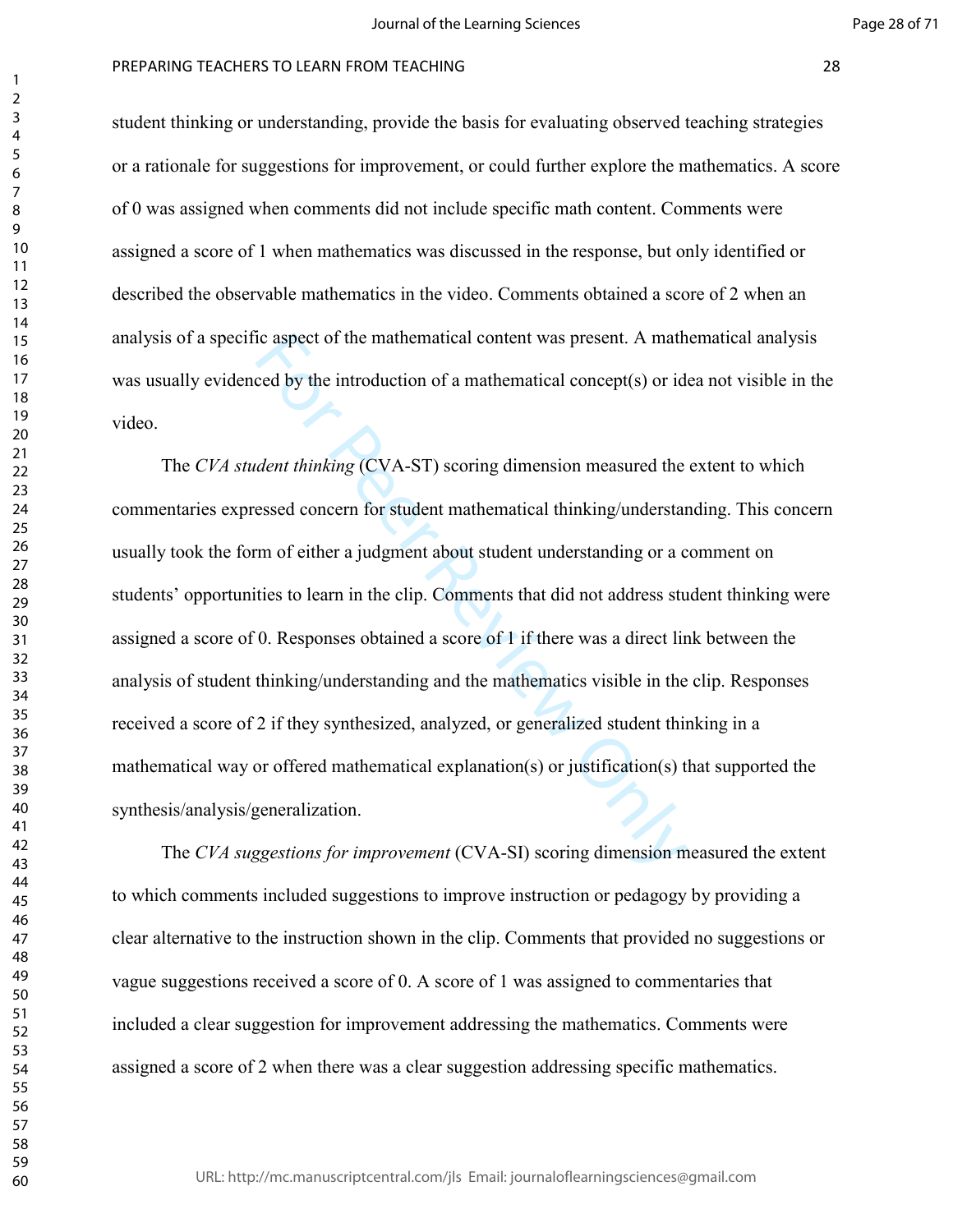student thinking or understanding, provide the basis for evaluating observed teaching strategies or a rationale for suggestions for improvement, or could further explore the mathematics. A score of 0 was assigned when comments did not include specific math content. Comments were assigned a score of 1 when mathematics was discussed in the response, but only identified or described the observable mathematics in the video. Comments obtained a score of 2 when an analysis of a specific aspect of the mathematical content was present. A mathematical analysis was usually evidenced by the introduction of a mathematical concept(s) or idea not visible in the video.

ic aspect of the mathematical content was present. A math<br>ced by the introduction of a mathematical concept(s) or id-<br>dent thinking (CVA-ST) scoring dimension measured the<br>essed concern for student mathematical thinking/un The *CVA student thinking* (CVA-ST) scoring dimension measured the extent to which commentaries expressed concern for student mathematical thinking/understanding. This concern usually took the form of either a judgment about student understanding or a comment on students' opportunities to learn in the clip. Comments that did not address student thinking were assigned a score of 0. Responses obtained a score of 1 if there was a direct link between the analysis of student thinking/understanding and the mathematics visible in the clip. Responses received a score of 2 if they synthesized, analyzed, or generalized student thinking in a mathematical way or offered mathematical explanation(s) or justification(s) that supported the synthesis/analysis/generalization.

The *CVA suggestions for improvement* (CVA-SI) scoring dimension measured the extent to which comments included suggestions to improve instruction or pedagogy by providing a clear alternative to the instruction shown in the clip. Comments that provided no suggestions or vague suggestions received a score of 0. A score of 1 was assigned to commentaries that included a clear suggestion for improvement addressing the mathematics. Comments were assigned a score of 2 when there was a clear suggestion addressing specific mathematics.

URL: http://mc.manuscriptcentral.com/jls Email: journaloflearningsciences@gmail.com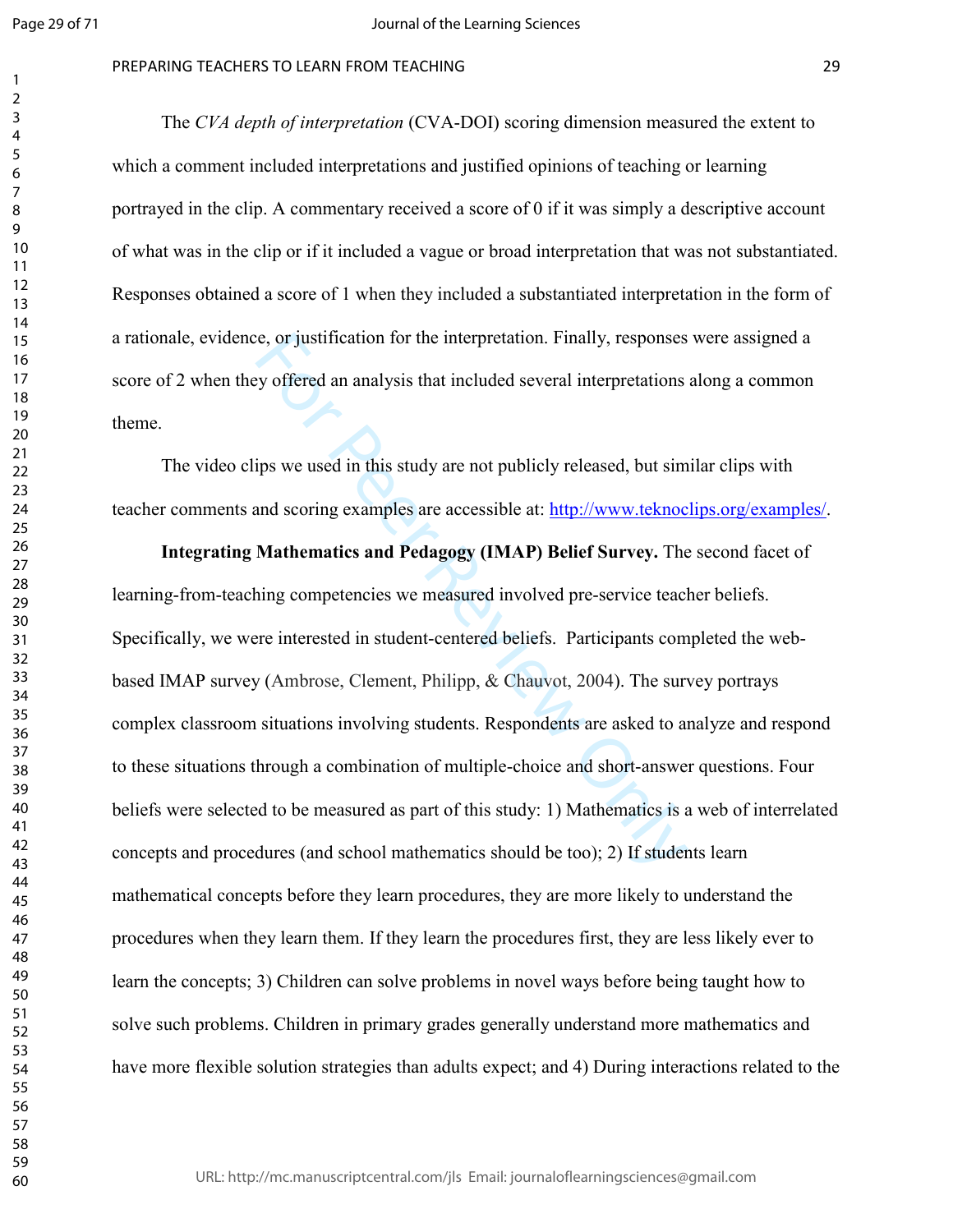#### PREPARING TEACHERS TO LEARN FROM TEACHING 29

The *CVA depth of interpretation* (CVA-DOI) scoring dimension measured the extent to which a comment included interpretations and justified opinions of teaching or learning portrayed in the clip. A commentary received a score of 0 if it was simply a descriptive account of what was in the clip or if it included a vague or broad interpretation that was not substantiated. Responses obtained a score of 1 when they included a substantiated interpretation in the form of a rationale, evidence, or justification for the interpretation. Finally, responses were assigned a score of 2 when they offered an analysis that included several interpretations along a common theme.

The video clips we used in this study are not publicly released, but similar clips with teacher comments and scoring examples are accessible at: http://www.teknoclips.org/examples/.

e, or justification for the interpretation. Finally, responses<br>by offered an analysis that included several interpretations<br>ips we used in this study are not publicly released, but sim<br>and scoring examples are accessible a **Integrating Mathematics and Pedagogy (IMAP) Belief Survey.** The second facet of learning-from-teaching competencies we measured involved pre-service teacher beliefs. Specifically, we were interested in student-centered beliefs. Participants completed the webbased IMAP survey (Ambrose, Clement, Philipp, & Chauvot, 2004). The survey portrays complex classroom situations involving students. Respondents are asked to analyze and respond to these situations through a combination of multiple-choice and short-answer questions. Four beliefs were selected to be measured as part of this study: 1) Mathematics is a web of interrelated concepts and procedures (and school mathematics should be too); 2) If students learn mathematical concepts before they learn procedures, they are more likely to understand the procedures when they learn them. If they learn the procedures first, they are less likely ever to learn the concepts; 3) Children can solve problems in novel ways before being taught how to solve such problems. Children in primary grades generally understand more mathematics and have more flexible solution strategies than adults expect; and 4) During interactions related to the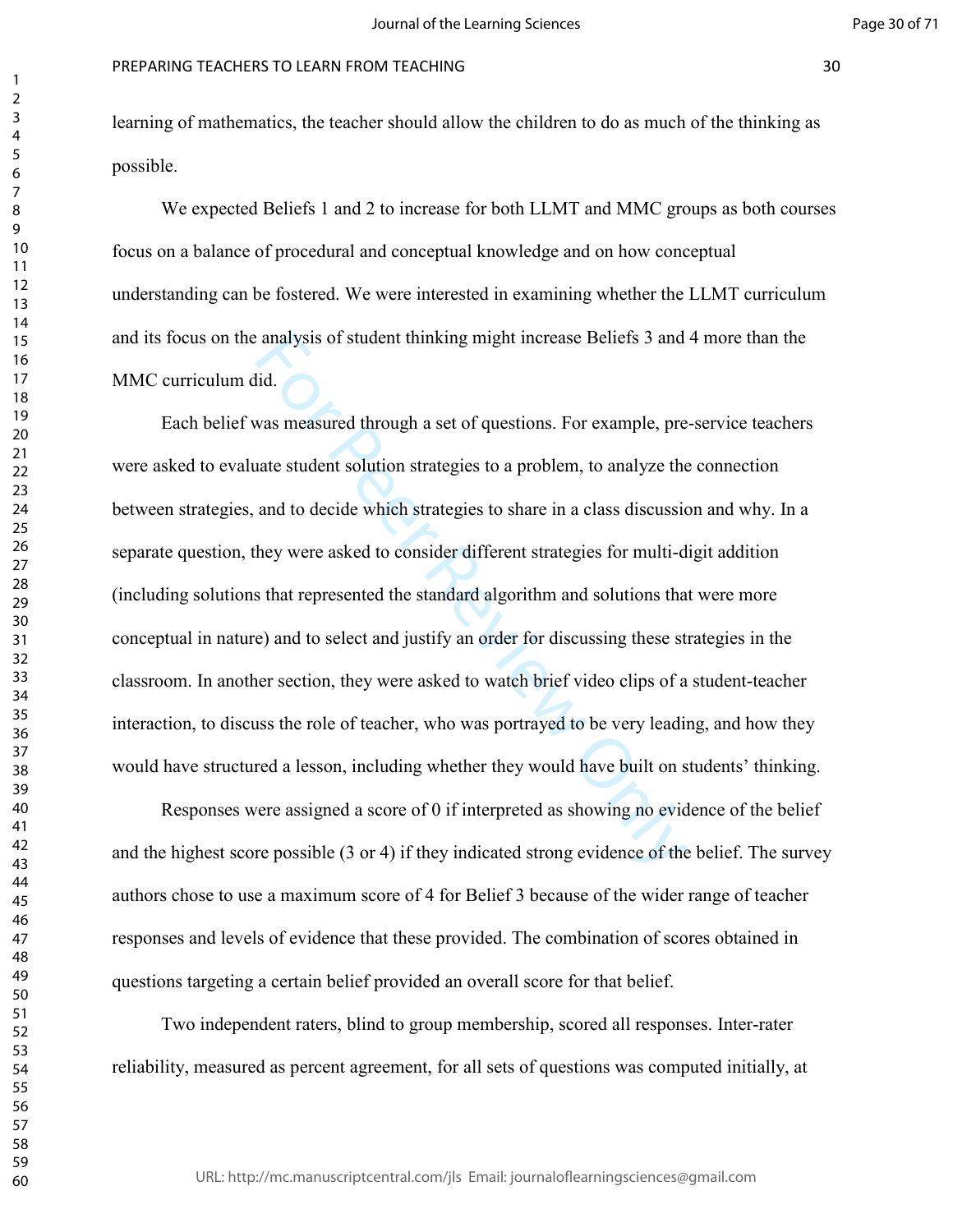learning of mathematics, the teacher should allow the children to do as much of the thinking as possible.

We expected Beliefs 1 and 2 to increase for both LLMT and MMC groups as both courses focus on a balance of procedural and conceptual knowledge and on how conceptual understanding can be fostered. We were interested in examining whether the LLMT curriculum and its focus on the analysis of student thinking might increase Beliefs 3 and 4 more than the MMC curriculum did.

analysis of student thinking might increase Beliefs 3 and<br>id.<br>idd.<br>was measured through a set of questions. For example, pre<br>nate student solution strategies to a problem, to analyze the<br>and to decide which strategies to s Each belief was measured through a set of questions. For example, pre-service teachers were asked to evaluate student solution strategies to a problem, to analyze the connection between strategies, and to decide which strategies to share in a class discussion and why. In a separate question, they were asked to consider different strategies for multi-digit addition (including solutions that represented the standard algorithm and solutions that were more conceptual in nature) and to select and justify an order for discussing these strategies in the classroom. In another section, they were asked to watch brief video clips of a student-teacher interaction, to discuss the role of teacher, who was portrayed to be very leading, and how they would have structured a lesson, including whether they would have built on students' thinking.

Responses were assigned a score of 0 if interpreted as showing no evidence of the belief and the highest score possible (3 or 4) if they indicated strong evidence of the belief. The survey authors chose to use a maximum score of 4 for Belief 3 because of the wider range of teacher responses and levels of evidence that these provided. The combination of scores obtained in questions targeting a certain belief provided an overall score for that belief.

Two independent raters, blind to group membership, scored all responses. Inter-rater reliability, measured as percent agreement, for all sets of questions was computed initially, at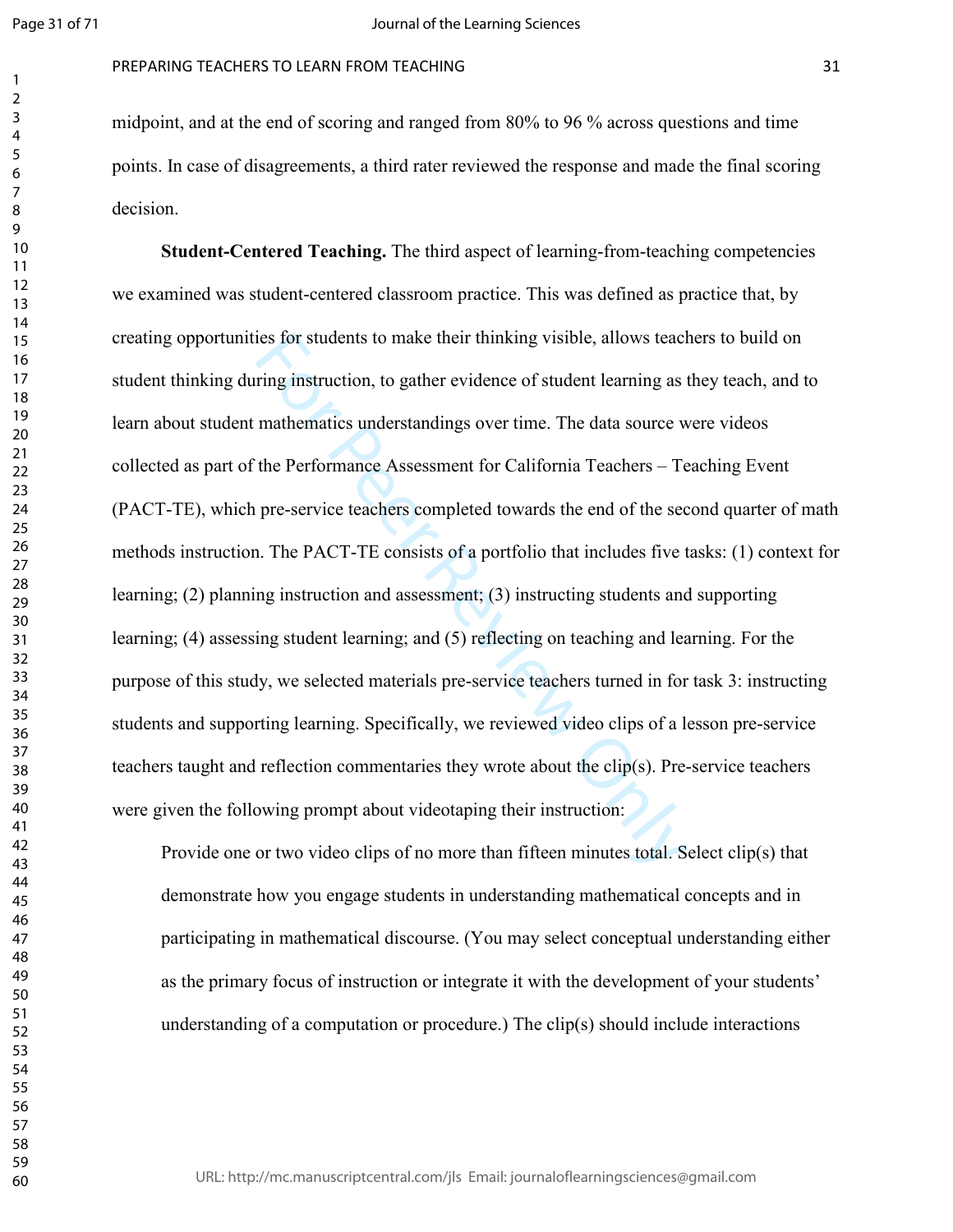## PREPARING TEACHERS TO LEARN FROM TEACHING 31

midpoint, and at the end of scoring and ranged from 80% to 96 % across questions and time points. In case of disagreements, a third rater reviewed the response and made the final scoring decision.

ies for students to make their thinking visible, allows teachting instruction, to gather evidence of student learning as in mathematics understandings over time. The data source we the Performance Assessment for California **Student-Centered Teaching.** The third aspect of learning-from-teaching competencies we examined was student-centered classroom practice. This was defined as practice that, by creating opportunities for students to make their thinking visible, allows teachers to build on student thinking during instruction, to gather evidence of student learning as they teach, and to learn about student mathematics understandings over time. The data source were videos collected as part of the Performance Assessment for California Teachers – Teaching Event (PACT-TE), which pre-service teachers completed towards the end of the second quarter of math methods instruction. The PACT-TE consists of a portfolio that includes five tasks: (1) context for learning; (2) planning instruction and assessment; (3) instructing students and supporting learning; (4) assessing student learning; and (5) reflecting on teaching and learning. For the purpose of this study, we selected materials pre-service teachers turned in for task 3: instructing students and supporting learning. Specifically, we reviewed video clips of a lesson pre-service teachers taught and reflection commentaries they wrote about the clip(s). Pre-service teachers were given the following prompt about videotaping their instruction:

Provide one or two video clips of no more than fifteen minutes total. Select clip(s) that demonstrate how you engage students in understanding mathematical concepts and in participating in mathematical discourse. (You may select conceptual understanding either as the primary focus of instruction or integrate it with the development of your students' understanding of a computation or procedure.) The clip(s) should include interactions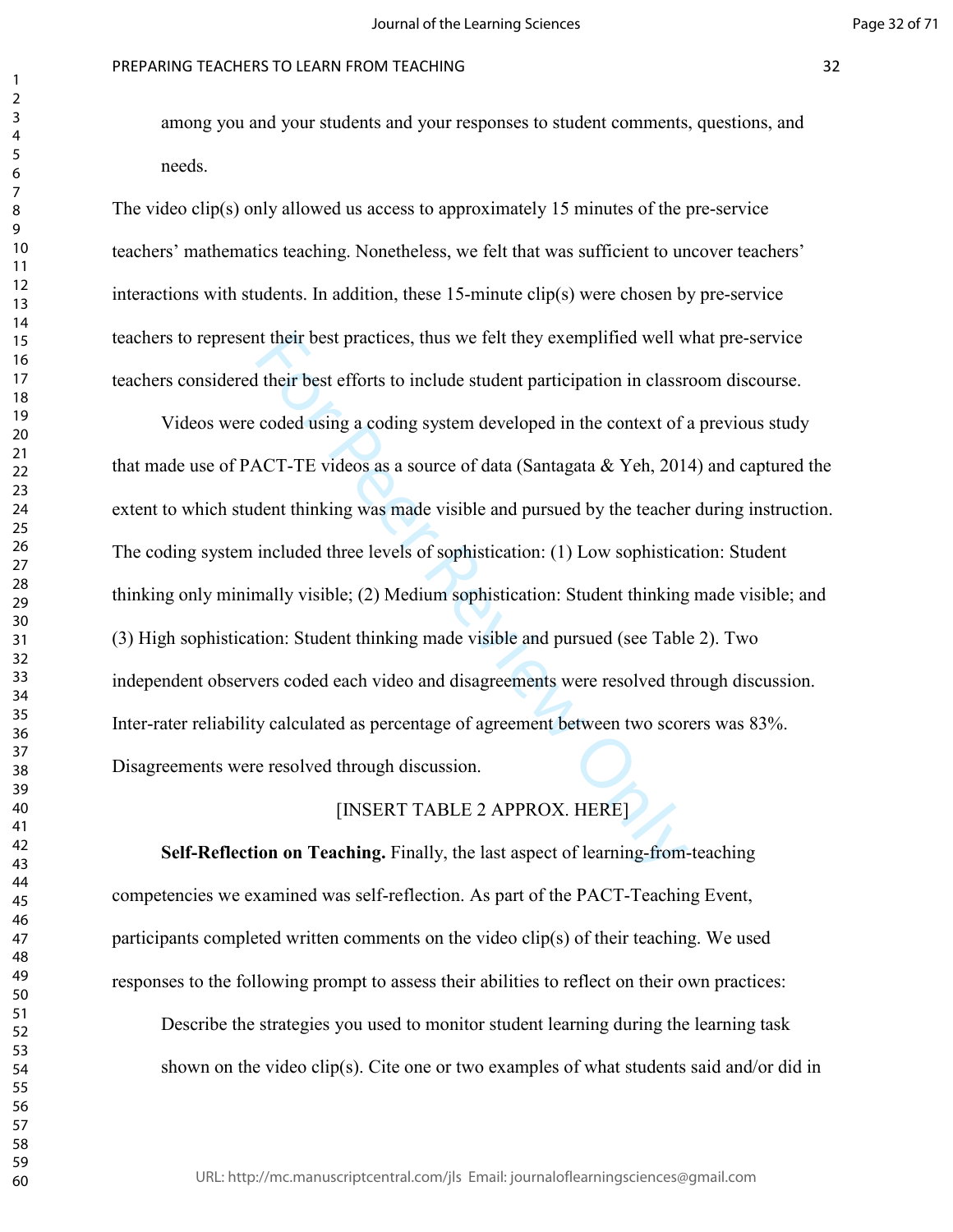among you and your students and your responses to student comments, questions, and needs.

The video clip(s) only allowed us access to approximately 15 minutes of the pre-service teachers' mathematics teaching. Nonetheless, we felt that was sufficient to uncover teachers' interactions with students. In addition, these 15-minute clip(s) were chosen by pre-service teachers to represent their best practices, thus we felt they exemplified well what pre-service teachers considered their best efforts to include student participation in classroom discourse.

It their best practices, thus we felt they exemplified well with their best efforts to include student participation in classer coded using a coding system developed in the context of independent thinking was made visible Videos were coded using a coding system developed in the context of a previous study that made use of PACT-TE videos as a source of data (Santagata & Yeh, 2014) and captured the extent to which student thinking was made visible and pursued by the teacher during instruction. The coding system included three levels of sophistication: (1) Low sophistication: Student thinking only minimally visible; (2) Medium sophistication: Student thinking made visible; and (3) High sophistication: Student thinking made visible and pursued (see Table 2). Two independent observers coded each video and disagreements were resolved through discussion. Inter-rater reliability calculated as percentage of agreement between two scorers was 83%. Disagreements were resolved through discussion.

## [INSERT TABLE 2 APPROX. HERE]

**Self-Reflection on Teaching.** Finally, the last aspect of learning-from-teaching competencies we examined was self-reflection. As part of the PACT-Teaching Event, participants completed written comments on the video clip(s) of their teaching. We used responses to the following prompt to assess their abilities to reflect on their own practices:

Describe the strategies you used to monitor student learning during the learning task shown on the video clip(s). Cite one or two examples of what students said and/or did in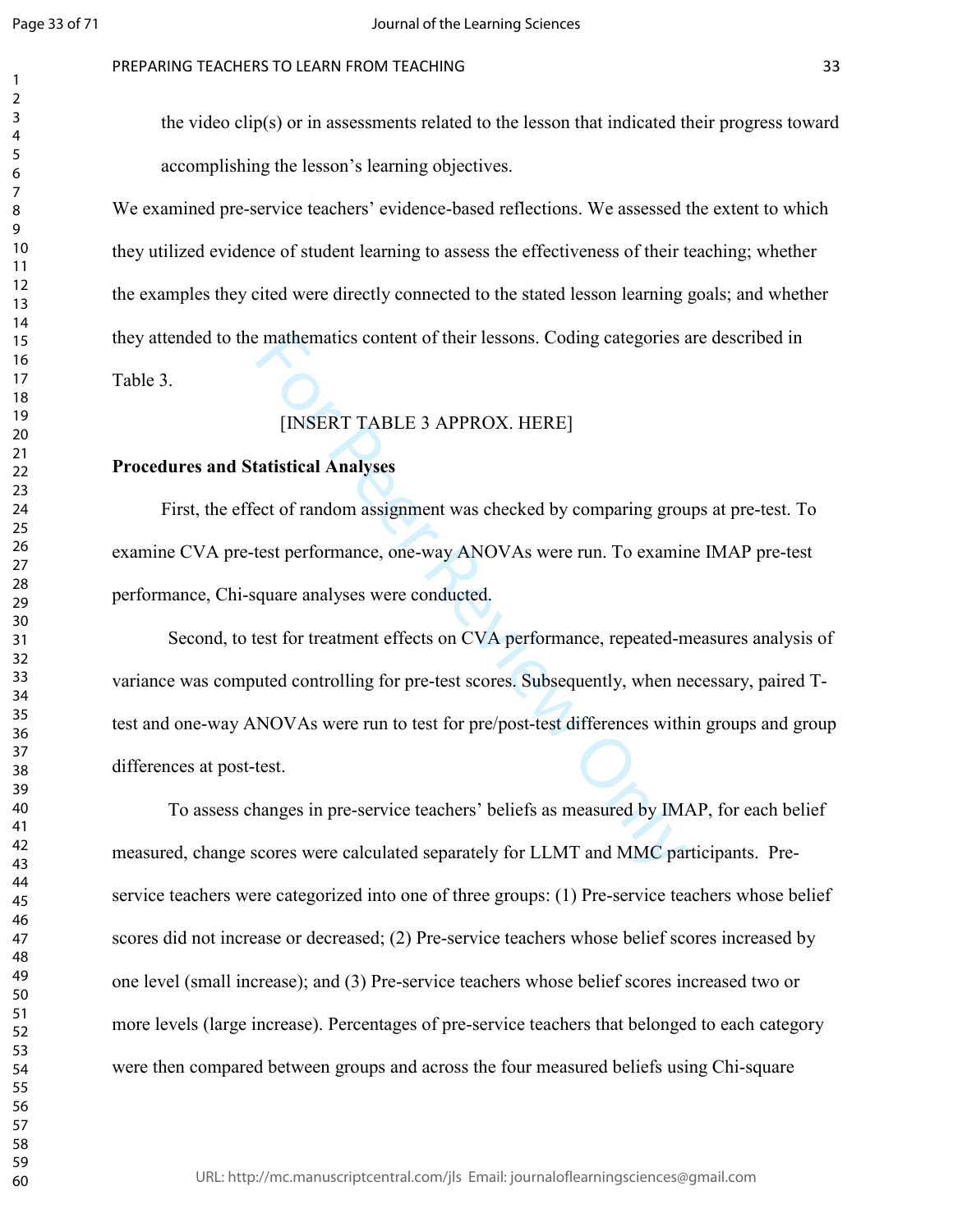## PREPARING TEACHERS TO LEARN FROM TEACHING 33

the video clip(s) or in assessments related to the lesson that indicated their progress toward accomplishing the lesson's learning objectives.

We examined pre-service teachers' evidence-based reflections. We assessed the extent to which they utilized evidence of student learning to assess the effectiveness of their teaching; whether the examples they cited were directly connected to the stated lesson learning goals; and whether they attended to the mathematics content of their lessons. Coding categories are described in Table 3.

## [INSERT TABLE 3 APPROX. HERE]

## **Procedures and Statistical Analyses**

First, the effect of random assignment was checked by comparing groups at pre-test. To examine CVA pre-test performance, one-way ANOVAs were run. To examine IMAP pre-test performance, Chi-square analyses were conducted.

mathematics content of their lessons. Coding categories and<br>
[INSERT TABLE 3 APPROX. HERE]<br>
tatistical Analyses<br>
ect of random assignment was checked by comparing grou<br>
test performance, one-way ANOVAs were run. To examin<br> Second, to test for treatment effects on CVA performance, repeated-measures analysis of variance was computed controlling for pre-test scores. Subsequently, when necessary, paired Ttest and one-way ANOVAs were run to test for pre/post-test differences within groups and group differences at post-test.

To assess changes in pre-service teachers' beliefs as measured by IMAP, for each belief measured, change scores were calculated separately for LLMT and MMC participants. Preservice teachers were categorized into one of three groups: (1) Pre-service teachers whose belief scores did not increase or decreased; (2) Pre-service teachers whose belief scores increased by one level (small increase); and (3) Pre-service teachers whose belief scores increased two or more levels (large increase). Percentages of pre-service teachers that belonged to each category were then compared between groups and across the four measured beliefs using Chi-square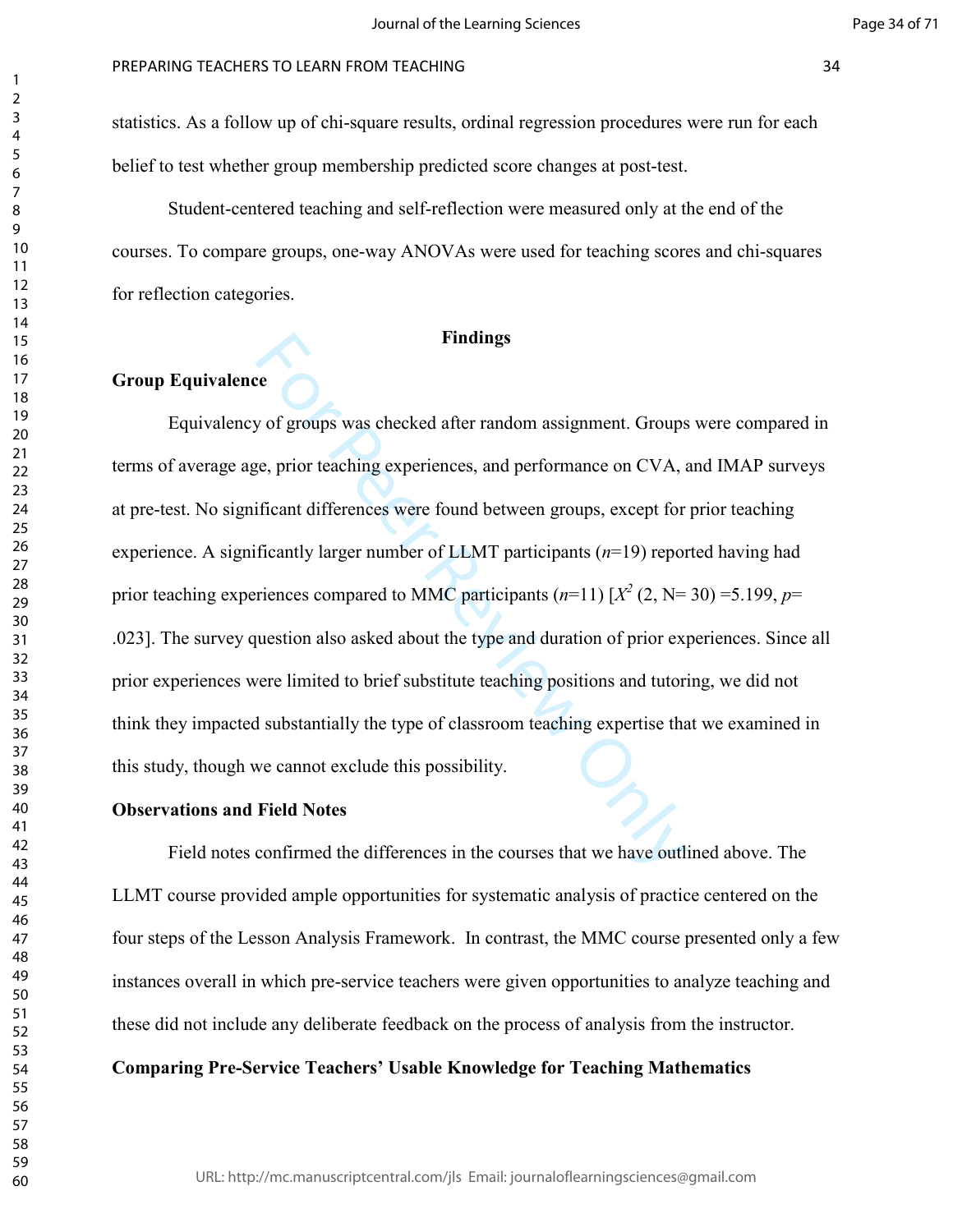#### PREPARING TEACHERS TO LEARN FROM TEACHING 34 AND 1999 12:00 SM NOTES 134

statistics. As a follow up of chi-square results, ordinal regression procedures were run for each belief to test whether group membership predicted score changes at post-test.

Student-centered teaching and self-reflection were measured only at the end of the courses. To compare groups, one-way ANOVAs were used for teaching scores and chi-squares for reflection categories.

#### **Findings**

## **Group Equivalence**

Findings<br>read of groups was checked after random assignment. Groups<br>ge, prior teaching experiences, and performance on CVA, at<br>ificant differences were found between groups, except for<br>ficantly larger number of LLMT parti Equivalency of groups was checked after random assignment. Groups were compared in terms of average age, prior teaching experiences, and performance on CVA, and IMAP surveys at pre-test. No significant differences were found between groups, except for prior teaching experience. A significantly larger number of LLMT participants ( *n*=19) reported having had prior teaching experiences compared to MMC participants  $(n=11)$   $[X^2 (2, N=30) = 5.199, p=$ .023]. The survey question also asked about the type and duration of prior experiences. Since all prior experiences were limited to brief substitute teaching positions and tutoring, we did not think they impacted substantially the type of classroom teaching expertise that we examined in this study, though we cannot exclude this possibility.

#### **Observations and Field Notes**

Field notes confirmed the differences in the courses that we have outlined above. The LLMT course provided ample opportunities for systematic analysis of practice centered on the four steps of the Lesson Analysis Framework. In contrast, the MMC course presented only a few instances overall in which pre-service teachers were given opportunities to analyze teaching and these did not include any deliberate feedback on the process of analysis from the instructor.

## **Comparing Pre-Service Teachers' Usable Knowledge for Teaching Mathematics**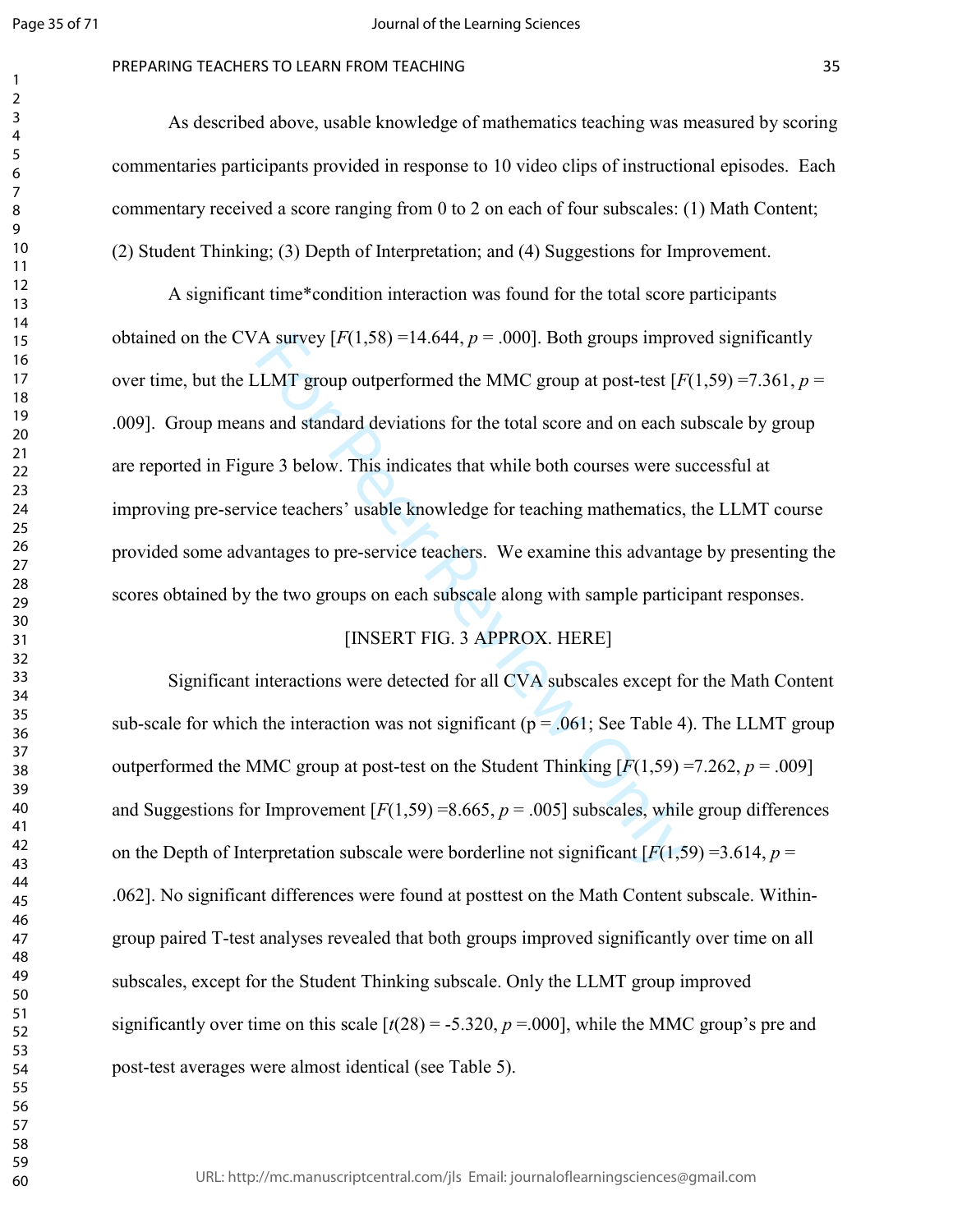#### PREPARING TEACHERS TO LEARN FROM TEACHING 35

As described above, usable knowledge of mathematics teaching was measured by scoring commentaries participants provided in response to 10 video clips of instructional episodes. Each commentary received a score ranging from 0 to 2 on each of four subscales: (1) Math Content; (2) Student Thinking; (3) Depth of Interpretation; and (4) Suggestions for Improvement.

A survey  $[F(1,58) = 14.644, p = .000]$ . Both groups impro<br>LMT group outperformed the MMC group at post-test  $[F$ <br>is and standard deviations for the total score and on each s<br>ire 3 below. This indicates that while both courses A significant time\*condition interaction was found for the total score participants obtained on the CVA survey  $[F(1,58) = 14.644, p = .000]$ . Both groups improved significantly over time, but the LLMT group outperformed the MMC group at post-test  $[F(1,59) = 7.361, p =$ .009]. Group means and standard deviations for the total score and on each subscale by group are reported in Figure 3 below. This indicates that while both courses were successful at improving pre-service teachers' usable knowledge for teaching mathematics, the LLMT course provided some advantages to pre-service teachers. We examine this advantage by presenting the scores obtained by the two groups on each subscale along with sample participant responses.

## [INSERT FIG. 3 APPROX. HERE]

Significant interactions were detected for all CVA subscales except for the Math Content sub-scale for which the interaction was not significant ( $p = .061$ ; See Table 4). The LLMT group outperformed the MMC group at post-test on the Student Thinking  $[F(1,59) = 7.262, p = .009]$ and Suggestions for Improvement  $[F(1,59) = 8.665, p = .005]$  subscales, while group differences on the Depth of Interpretation subscale were borderline not significant  $[F(1,59) = 3.614, p =$ .062]. No significant differences were found at posttest on the Math Content subscale. Withingroup paired T-test analyses revealed that both groups improved significantly over time on all subscales, except for the Student Thinking subscale. Only the LLMT group improved significantly over time on this scale  $\left[t(28) = -5.320, p = .000\right]$ , while the MMC group's pre and post-test averages were almost identical (see Table 5).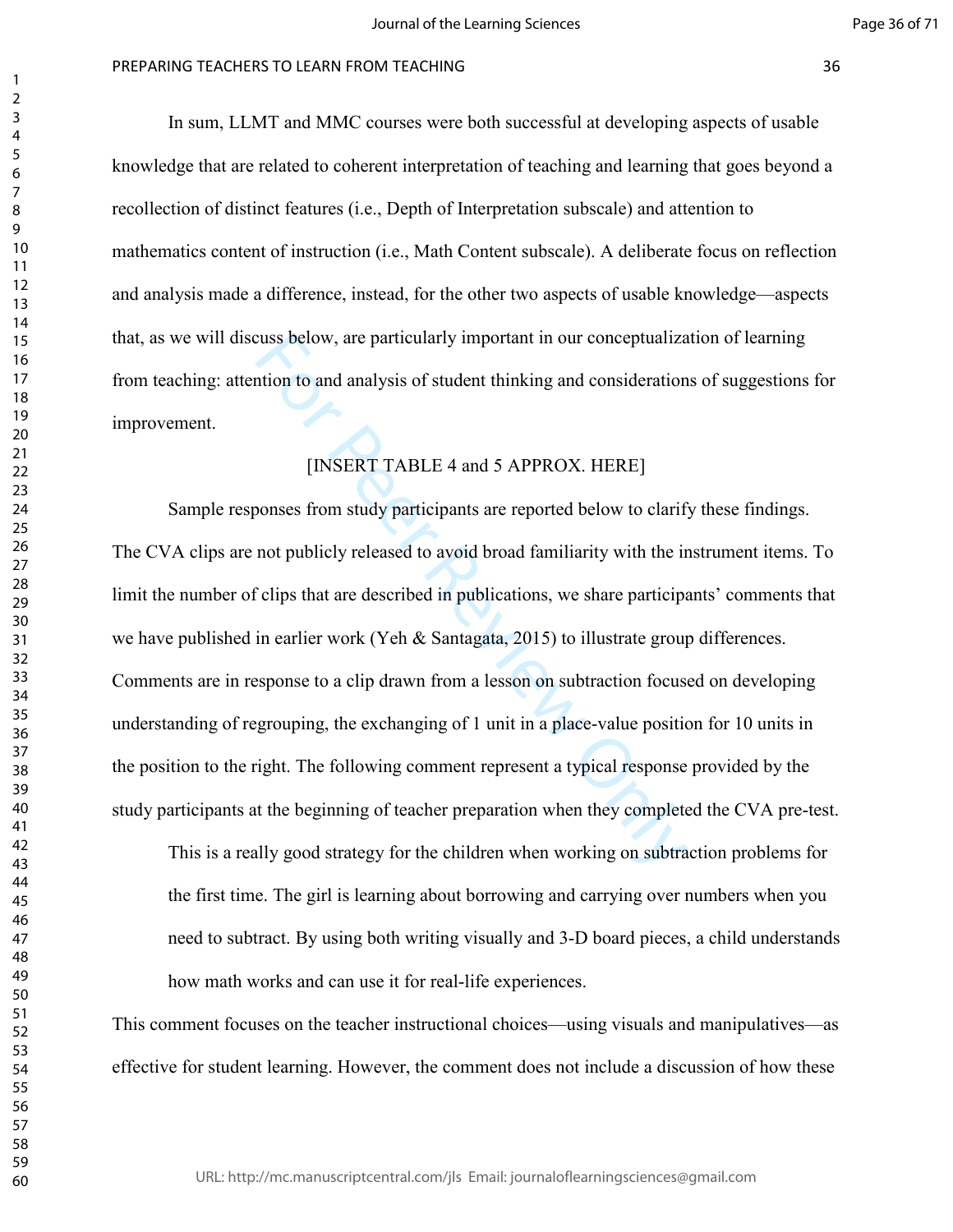#### PREPARING TEACHERS TO LEARN FROM TEACHING 36 NORTH 2001 10 1 236

In sum, LLMT and MMC courses were both successful at developing aspects of usable knowledge that are related to coherent interpretation of teaching and learning that goes beyond a recollection of distinct features (i.e., Depth of Interpretation subscale) and attention to mathematics content of instruction (i.e., Math Content subscale). A deliberate focus on reflection and analysis made a difference, instead, for the other two aspects of usable knowledge—aspects that, as we will discuss below, are particularly important in our conceptualization of learning from teaching: attention to and analysis of student thinking and considerations of suggestions for improvement.

## [INSERT TABLE 4 and 5 APPROX. HERE]

causs below, are particularly important in our conceptualization<br>tion to and analysis of student thinking and consideration<br>[INSERT TABLE 4 and 5 APPROX. HERE]<br>ponses from study participants are reported below to clarif;<br>n Sample responses from study participants are reported below to clarify these findings. The CVA clips are not publicly released to avoid broad familiarity with the instrument items. To limit the number of clips that are described in publications, we share participants' comments that we have published in earlier work (Yeh & Santagata, 2015) to illustrate group differences. Comments are in response to a clip drawn from a lesson on subtraction focused on developing understanding of regrouping, the exchanging of 1 unit in a place-value position for 10 units in the position to the right. The following comment represent a typical response provided by the study participants at the beginning of teacher preparation when they completed the CVA pre-test.

This is a really good strategy for the children when working on subtraction problems for the first time. The girl is learning about borrowing and carrying over numbers when you need to subtract. By using both writing visually and 3-D board pieces, a child understands how math works and can use it for real-life experiences.

This comment focuses on the teacher instructional choices—using visuals and manipulatives—as effective for student learning. However, the comment does not include a discussion of how these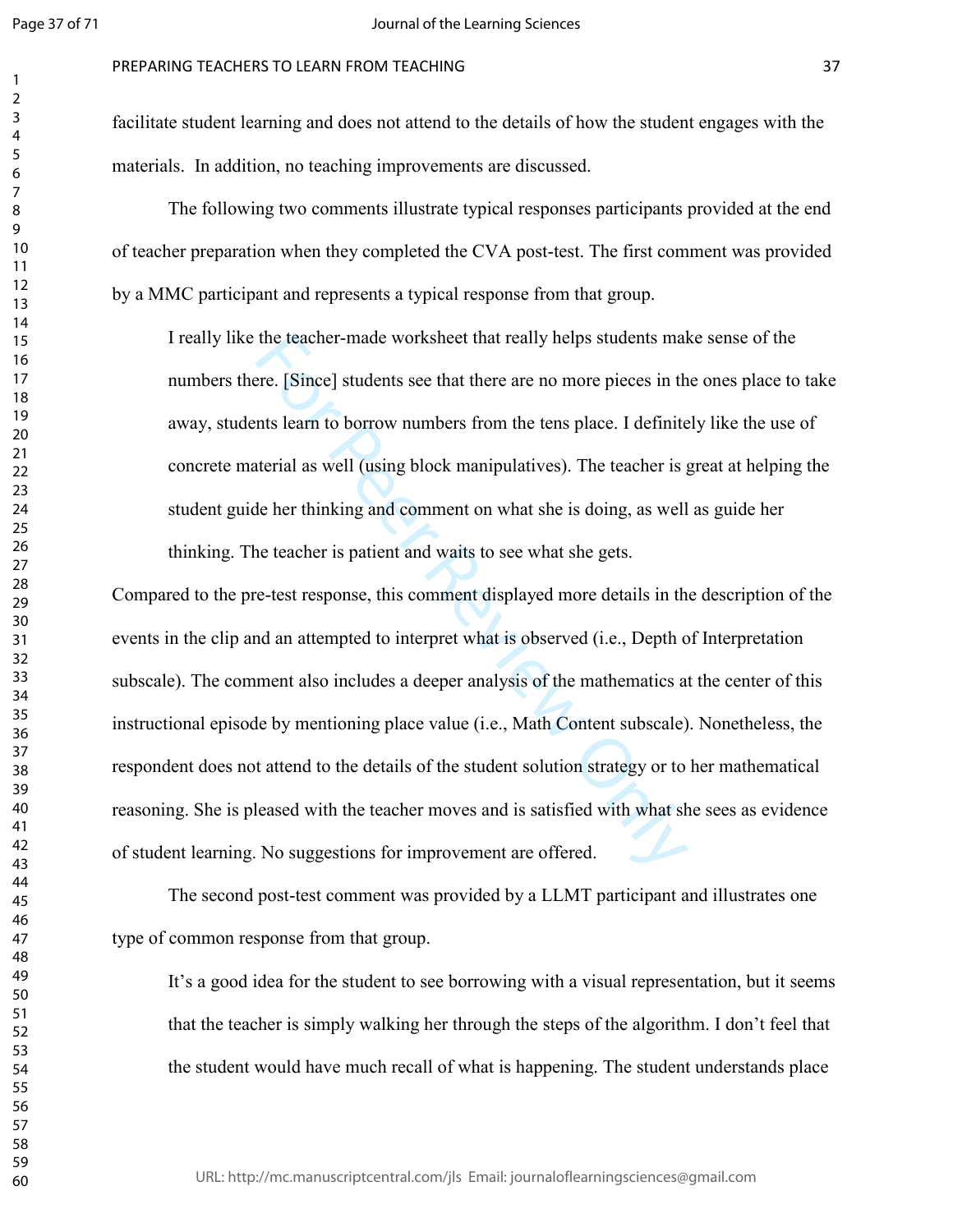## PREPARING TEACHERS TO LEARN FROM TEACHING 37

facilitate student learning and does not attend to the details of how the student engages with the materials. In addition, no teaching improvements are discussed.

The following two comments illustrate typical responses participants provided at the end of teacher preparation when they completed the CVA post-test. The first comment was provided by a MMC participant and represents a typical response from that group.

I really like the teacher-made worksheet that really helps students make sense of the numbers there. [Since] students see that there are no more pieces in the ones place to take away, students learn to borrow numbers from the tens place. I definitely like the use of concrete material as well (using block manipulatives). The teacher is great at helping the student guide her thinking and comment on what she is doing, as well as guide her thinking. The teacher is patient and waits to see what she gets.

the teacher-made worksheet that really helps students mal-<br>rec. [Since] students see that there are no more pieces in the<br>nts learn to borrow numbers from the tens place. I definite<br>terial as well (using block manipulative Compared to the pre-test response, this comment displayed more details in the description of the events in the clip and an attempted to interpret what is observed (i.e., Depth of Interpretation subscale). The comment also includes a deeper analysis of the mathematics at the center of this instructional episode by mentioning place value (i.e., Math Content subscale). Nonetheless, the respondent does not attend to the details of the student solution strategy or to her mathematical reasoning. She is pleased with the teacher moves and is satisfied with what she sees as evidence of student learning. No suggestions for improvement are offered.

 The second post-test comment was provided by a LLMT participant and illustrates one type of common response from that group.

It's a good idea for the student to see borrowing with a visual representation, but it seems that the teacher is simply walking her through the steps of the algorithm. I don't feel that the student would have much recall of what is happening. The student understands place

URL: http://mc.manuscriptcentral.com/jls Email: journaloflearningsciences@gmail.com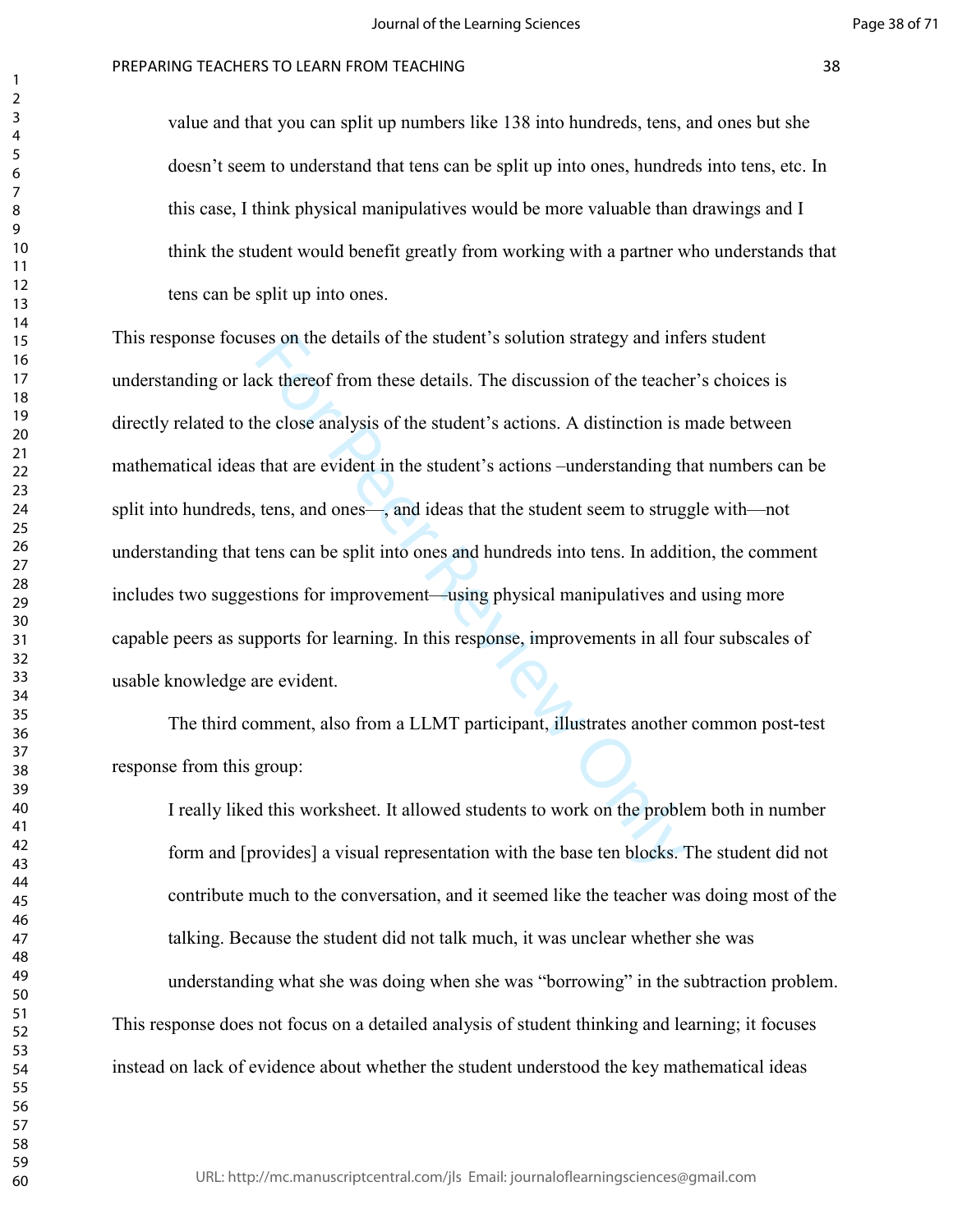value and that you can split up numbers like 138 into hundreds, tens, and ones but she doesn't seem to understand that tens can be split up into ones, hundreds into tens, etc. In this case, I think physical manipulatives would be more valuable than drawings and I think the student would benefit greatly from working with a partner who understands that tens can be split up into ones.

ses on the details of the student's solution strategy and infeck thereof from these details. The discussion of the teache<br>he close analysis of the student's actions. A distinction is r<br>that are evident in the student's act This response focuses on the details of the student's solution strategy and infers student understanding or lack thereof from these details. The discussion of the teacher's choices is directly related to the close analysis of the student's actions. A distinction is made between mathematical ideas that are evident in the student's actions –understanding that numbers can be split into hundreds, tens, and ones—, and ideas that the student seem to struggle with—not understanding that tens can be split into ones and hundreds into tens. In addition, the comment includes two suggestions for improvement—using physical manipulatives and using more capable peers as supports for learning. In this response, improvements in all four subscales of usable knowledge are evident.

 The third comment, also from a LLMT participant, illustrates another common post-test response from this group:

I really liked this worksheet. It allowed students to work on the problem both in number form and [provides] a visual representation with the base ten blocks. The student did not contribute much to the conversation, and it seemed like the teacher was doing most of the talking. Because the student did not talk much, it was unclear whether she was

understanding what she was doing when she was "borrowing" in the subtraction problem. This response does not focus on a detailed analysis of student thinking and learning; it focuses instead on lack of evidence about whether the student understood the key mathematical ideas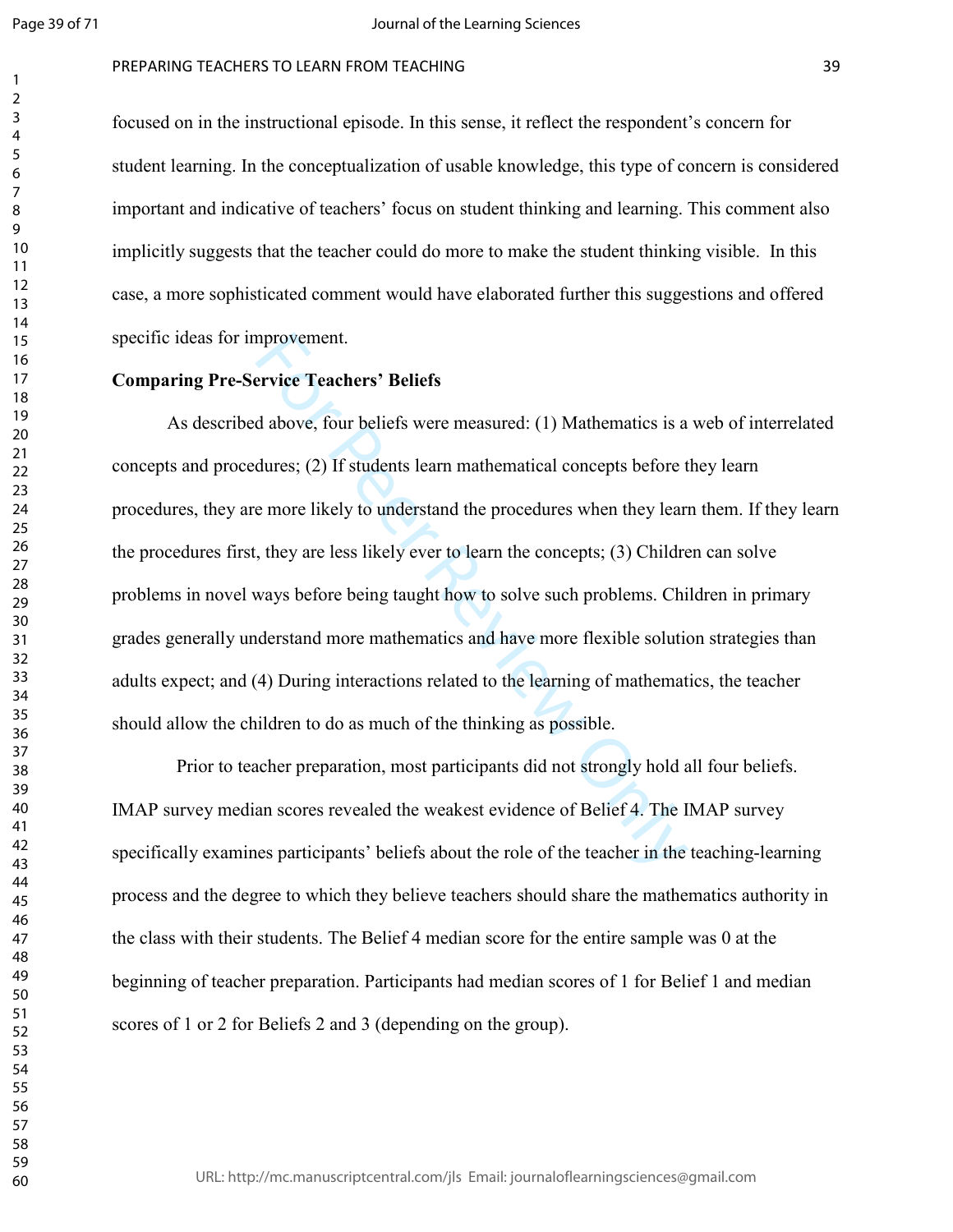#### PREPARING TEACHERS TO LEARN FROM TEACHING 39

focused on in the instructional episode. In this sense, it reflect the respondent's concern for student learning. In the conceptualization of usable knowledge, this type of concern is considered important and indicative of teachers' focus on student thinking and learning. This comment also implicitly suggests that the teacher could do more to make the student thinking visible. In this case, a more sophisticated comment would have elaborated further this suggestions and offered specific ideas for improvement.

### **Comparing Pre-Service Teachers' Beliefs**

mprovement.<br>
ervice Teachers' Beliefs<br>
d above, four beliefs were measured: (1) Mathematics is a<br>
dures; (2) If students learn mathematical concepts before t<br>
e more likely to understand the procedures when they lear<br>
they As described above, four beliefs were measured: (1) Mathematics is a web of interrelated concepts and procedures; (2) If students learn mathematical concepts before they learn procedures, they are more likely to understand the procedures when they learn them. If they learn the procedures first, they are less likely ever to learn the concepts; (3) Children can solve problems in novel ways before being taught how to solve such problems. Children in primary grades generally understand more mathematics and have more flexible solution strategies than adults expect; and (4) During interactions related to the learning of mathematics, the teacher should allow the children to do as much of the thinking as possible.

 Prior to teacher preparation, most participants did not strongly hold all four beliefs. IMAP survey median scores revealed the weakest evidence of Belief 4. The IMAP survey specifically examines participants' beliefs about the role of the teacher in the teaching-learning process and the degree to which they believe teachers should share the mathematics authority in the class with their students. The Belief 4 median score for the entire sample was 0 at the beginning of teacher preparation. Participants had median scores of 1 for Belief 1 and median scores of 1 or 2 for Beliefs 2 and 3 (depending on the group).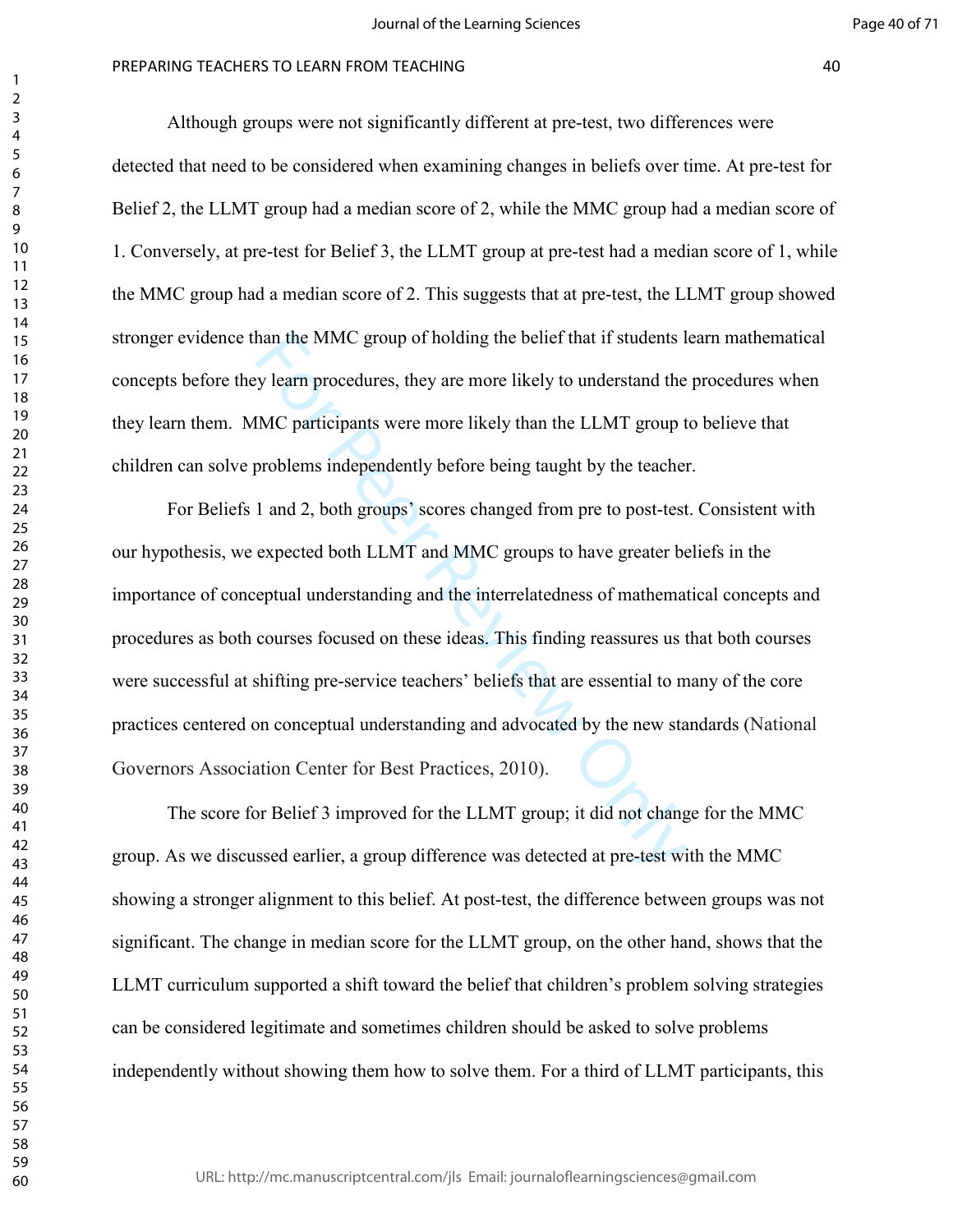#### PREPARING TEACHERS TO LEARN FROM TEACHING **AND THE REPARING 40**

Although groups were not significantly different at pre-test, two differences were detected that need to be considered when examining changes in beliefs over time. At pre-test for Belief 2, the LLMT group had a median score of 2, while the MMC group had a median score of 1. Conversely, at pre-test for Belief 3, the LLMT group at pre-test had a median score of 1, while the MMC group had a median score of 2. This suggests that at pre-test, the LLMT group showed stronger evidence than the MMC group of holding the belief that if students learn mathematical concepts before they learn procedures, they are more likely to understand the procedures when they learn them. MMC participants were more likely than the LLMT group to believe that children can solve problems independently before being taught by the teacher.

han the MMC group of holding the belief that if students I<br>by learn procedures, they are more likely to understand the<br>IMC participants were more likely than the LLMT group t<br>problems independently before being taught by t For Beliefs 1 and 2, both groups' scores changed from pre to post-test. Consistent with our hypothesis, we expected both LLMT and MMC groups to have greater beliefs in the importance of conceptual understanding and the interrelatedness of mathematical concepts and procedures as both courses focused on these ideas. This finding reassures us that both courses were successful at shifting pre-service teachers' beliefs that are essential to many of the core practices centered on conceptual understanding and advocated by the new standards (National Governors Association Center for Best Practices, 2010).

The score for Belief 3 improved for the LLMT group; it did not change for the MMC group. As we discussed earlier, a group difference was detected at pre-test with the MMC showing a stronger alignment to this belief. At post-test, the difference between groups was not significant. The change in median score for the LLMT group, on the other hand, shows that the LLMT curriculum supported a shift toward the belief that children's problem solving strategies can be considered legitimate and sometimes children should be asked to solve problems independently without showing them how to solve them. For a third of LLMT participants, this

URL: http://mc.manuscriptcentral.com/jls Email: journaloflearningsciences@gmail.com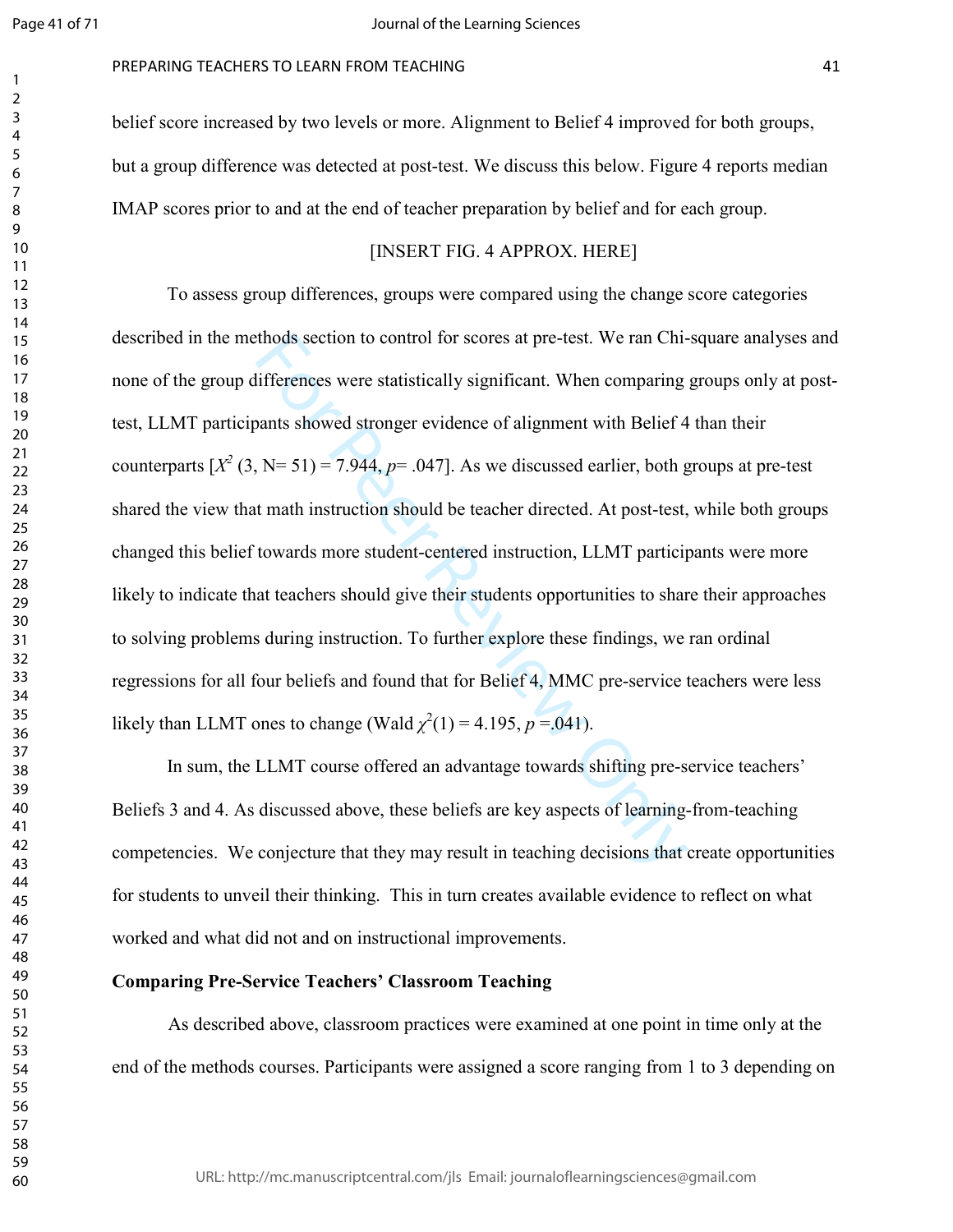## PREPARING TEACHERS TO LEARN FROM TEACHING **ALL 2008** 41

belief score increased by two levels or more. Alignment to Belief 4 improved for both groups, but a group difference was detected at post-test. We discuss this below. Figure 4 reports median IMAP scores prior to and at the end of teacher preparation by belief and for each group.

## [INSERT FIG. 4 APPROX. HERE]

thods section to control for scores at pre-test. We ran Chi-<br>lifferences were statistically significant. When comparing<br>pants showed stronger evidence of alignment with Belief 4<br>, N= 51) = 7.944,  $p$ = .047]. As we discuss To assess group differences, groups were compared using the change score categories described in the methods section to control for scores at pre-test. We ran Chi-square analyses and none of the group differences were statistically significant. When comparing groups only at posttest, LLMT participants showed stronger evidence of alignment with Belief 4 than their counterparts  $[X^2(3, N=51) = 7.944, p = .047]$ . As we discussed earlier, both groups at pre-test shared the view that math instruction should be teacher directed. At post-test, while both groups changed this belief towards more student-centered instruction, LLMT participants were more likely to indicate that teachers should give their students opportunities to share their approaches to solving problems during instruction. To further explore these findings, we ran ordinal regressions for all four beliefs and found that for Belief 4, MMC pre-service teachers were less likely than LLMT ones to change (Wald  $\chi^2(1) = 4.195$ ,  $p = .041$ ).

In sum, the LLMT course offered an advantage towards shifting pre-service teachers' Beliefs 3 and 4. As discussed above, these beliefs are key aspects of learning-from-teaching competencies. We conjecture that they may result in teaching decisions that create opportunities for students to unveil their thinking. This in turn creates available evidence to reflect on what worked and what did not and on instructional improvements.

#### **Comparing Pre-Service Teachers' Classroom Teaching**

As described above, classroom practices were examined at one point in time only at the end of the methods courses. Participants were assigned a score ranging from 1 to 3 depending on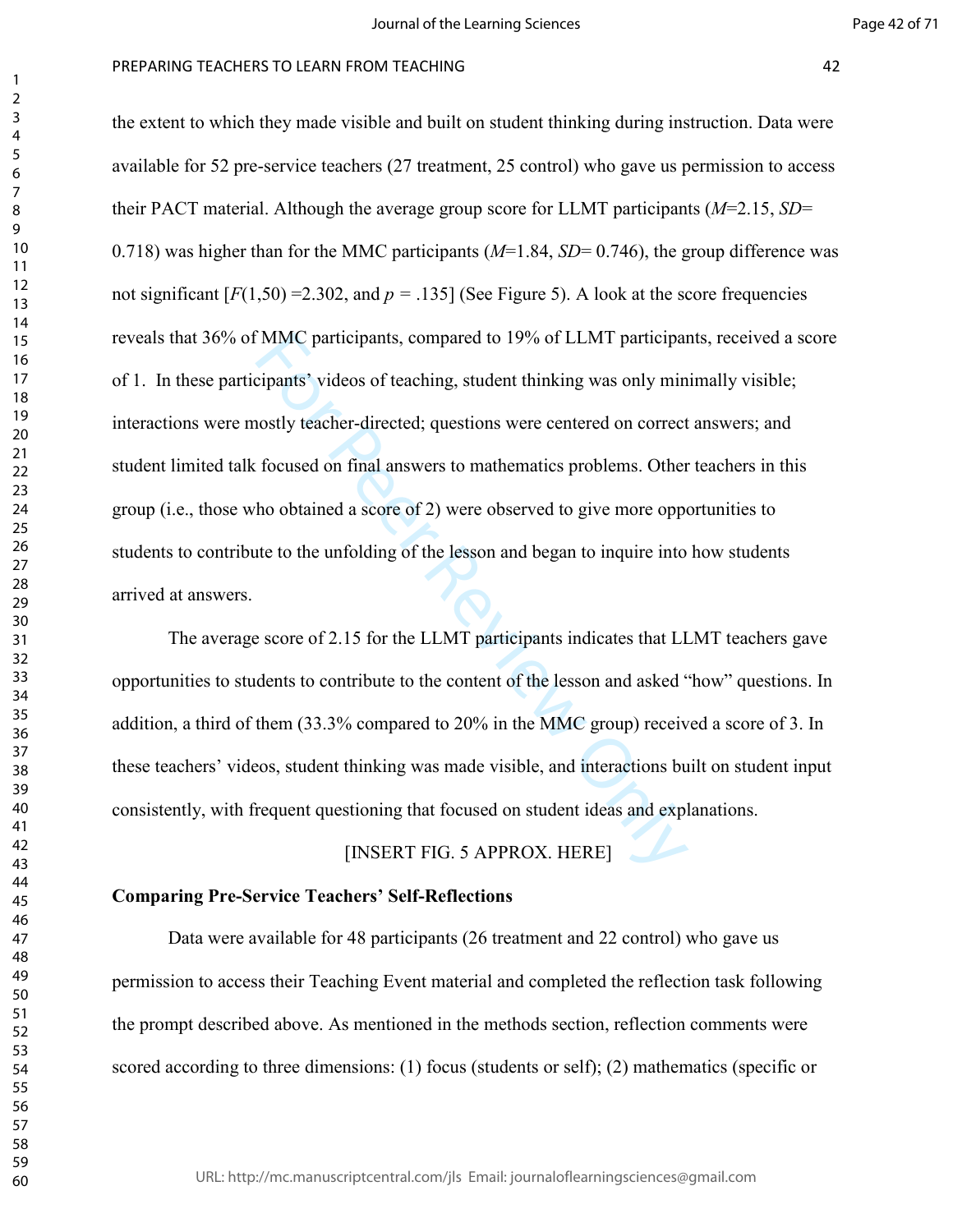#### PREPARING TEACHERS TO LEARN FROM TEACHING **AND THE REPARING 42**

MMC participants, compared to 19% of LLMT participar<br>
eipants' videos of teaching, student thinking was only min<br>
nostly teacher-directed; questions were centered on correct<br>
focused on final answers to mathematics proble the extent to which they made visible and built on student thinking during instruction. Data were available for 52 pre-service teachers (27 treatment, 25 control) who gave us permission to access their PACT material. Although the average group score for LLMT participants (*M*=2.15, *SD*= 0.718) was higher than for the MMC participants (*M*=1.84, *SD*= 0.746), the group difference was not significant  $[F(1,50) = 2.302$ , and  $p = .135]$  (See Figure 5). A look at the score frequencies reveals that 36% of MMC participants, compared to 19% of LLMT participants, received a score of 1. In these participants' videos of teaching, student thinking was only minimally visible; interactions were mostly teacher-directed; questions were centered on correct answers; and student limited talk focused on final answers to mathematics problems. Other teachers in this group (i.e., those who obtained a score of 2) were observed to give more opportunities to students to contribute to the unfolding of the lesson and began to inquire into how students arrived at answers.

The average score of 2.15 for the LLMT participants indicates that LLMT teachers gave opportunities to students to contribute to the content of the lesson and asked "how" questions. In addition, a third of them (33.3% compared to 20% in the MMC group) received a score of 3. In these teachers' videos, student thinking was made visible, and interactions built on student input consistently, with frequent questioning that focused on student ideas and explanations.

# [INSERT FIG. 5 APPROX. HERE]

#### **Comparing Pre-Service Teachers' Self-Reflections**

Data were available for 48 participants (26 treatment and 22 control) who gave us permission to access their Teaching Event material and completed the reflection task following the prompt described above. As mentioned in the methods section, reflection comments were scored according to three dimensions: (1) focus (students or self); (2) mathematics (specific or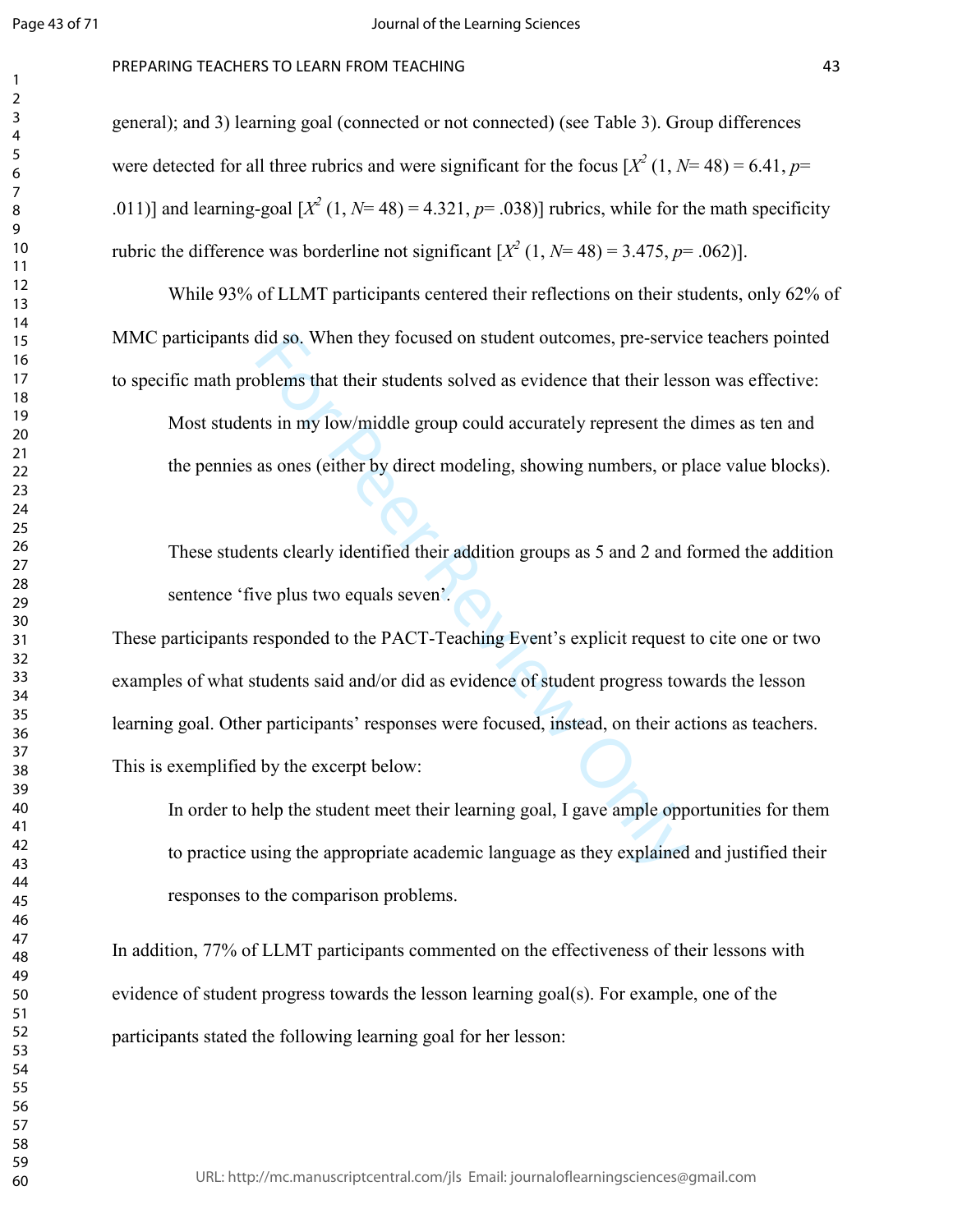#### Journal of the Learning Sciences

#### PREPARING TEACHERS TO LEARN FROM TEACHING 43

general); and 3) learning goal (connected or not connected) (see Table 3). Group differences were detected for all three rubrics and were significant for the focus  $[X^2(1, N=48) = 6.41, p=$ .011)] and learning-goal  $[X^2 (1, N=48) = 4.321, p=.038$ ] rubrics, while for the math specificity rubric the difference was borderline not significant  $[X^2 (1, N=48) = 3.475, p = .062)$ .

While 93% of LLMT participants centered their reflections on their students, only 62% of MMC participants did so. When they focused on student outcomes, pre-service teachers pointed to specific math problems that their students solved as evidence that their lesson was effective:

Most students in my low/middle group could accurately represent the dimes as ten and the pennies as ones (either by direct modeling, showing numbers, or place value blocks).

These students clearly identified their addition groups as 5 and 2 and formed the addition sentence 'five plus two equals seven'.

did so. When they focused on student outcomes, pre-servicely<br>blems that their students solved as evidence that their less<br>tts in my low/middle group could accurately represent the<br>as ones (either by direct modeling, showin These participants responded to the PACT-Teaching Event's explicit request to cite one or two examples of what students said and/or did as evidence of student progress towards the lesson learning goal. Other participants' responses were focused, instead, on their actions as teachers. This is exemplified by the excerpt below:

In order to help the student meet their learning goal, I gave ample opportunities for them to practice using the appropriate academic language as they explained and justified their responses to the comparison problems.

In addition, 77% of LLMT participants commented on the effectiveness of their lessons with evidence of student progress towards the lesson learning goal(s). For example, one of the participants stated the following learning goal for her lesson: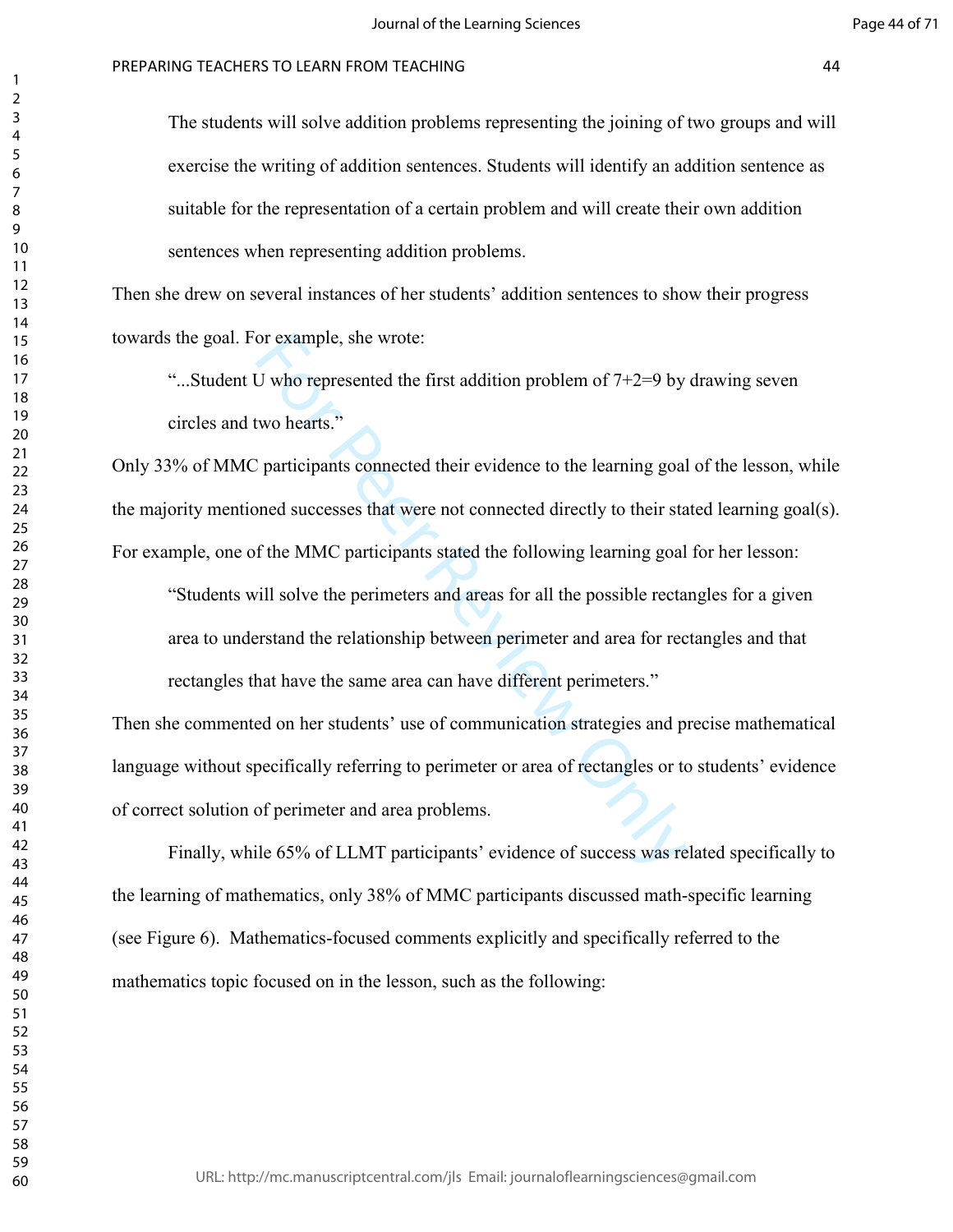#### PREPARING TEACHERS TO LEARN FROM TEACHING 44

The students will solve addition problems representing the joining of two groups and will exercise the writing of addition sentences. Students will identify an addition sentence as suitable for the representation of a certain problem and will create their own addition sentences when representing addition problems.

Then she drew on several instances of her students' addition sentences to show their progress towards the goal. For example, she wrote:

"...Student U who represented the first addition problem of  $7+2=9$  by drawing seven circles and two hearts."

Only 33% of MMC participants connected their evidence to the learning goal of the lesson, while the majority mentioned successes that were not connected directly to their stated learning goal(s). For example, one of the MMC participants stated the following learning goal for her lesson:

"Students will solve the perimeters and areas for all the possible rectangles for a given area to understand the relationship between perimeter and area for rectangles and that rectangles that have the same area can have different perimeters."

or example, she wrote:<br>
U who represented the first addition problem of 7+2=9 by<br>
two hearts."<br>
C participants connected their evidence to the learning goal<br>
oned successes that were not connected directly to their sta<br>
on Then she commented on her students' use of communication strategies and precise mathematical language without specifically referring to perimeter or area of rectangles or to students' evidence of correct solution of perimeter and area problems.

Finally, while 65% of LLMT participants' evidence of success was related specifically to the learning of mathematics, only 38% of MMC participants discussed math-specific learning (see Figure 6). Mathematics-focused comments explicitly and specifically referred to the mathematics topic focused on in the lesson, such as the following: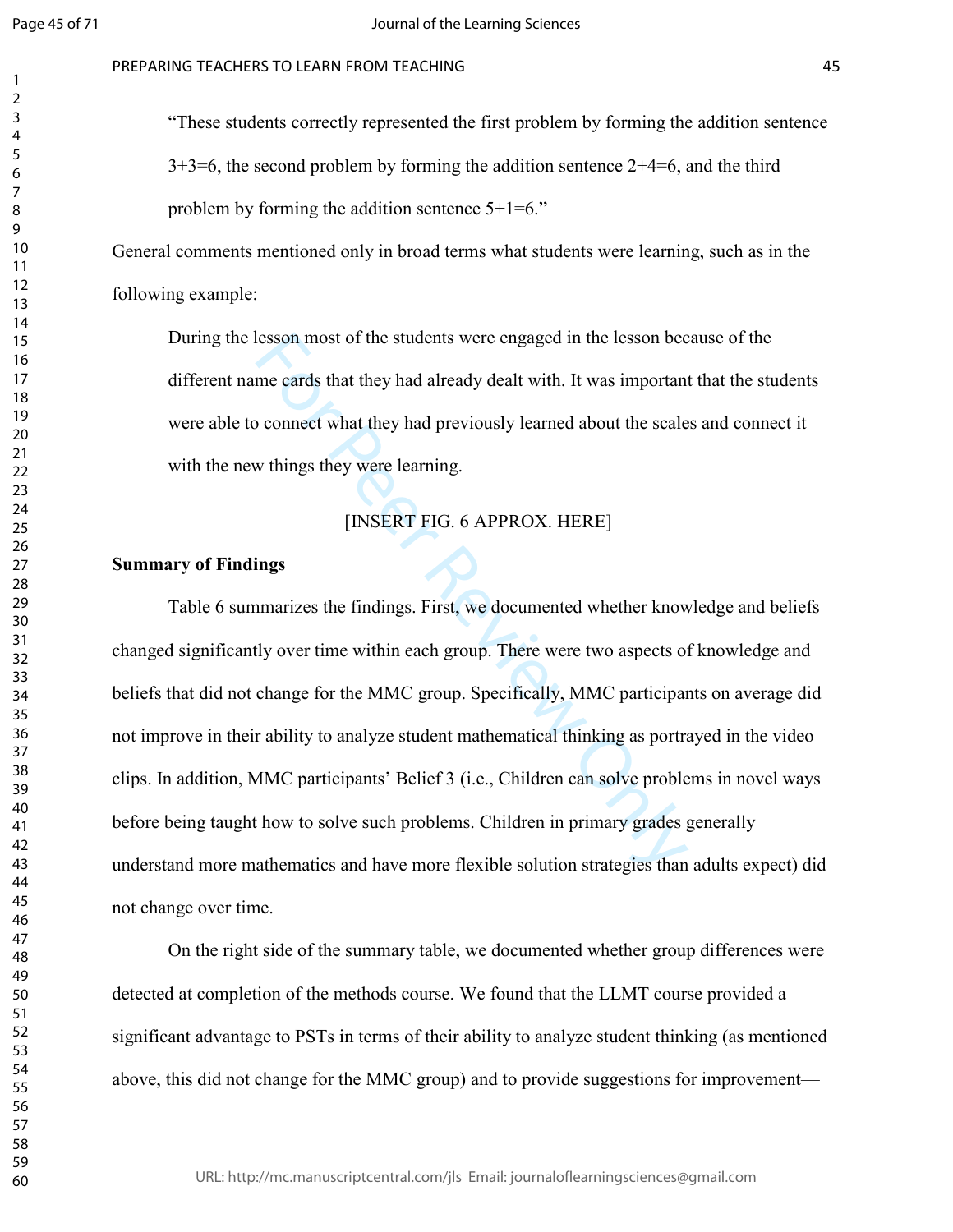#### PREPARING TEACHERS TO LEARN FROM TEACHING 45

"These students correctly represented the first problem by forming the addition sentence  $3+3=6$ , the second problem by forming the addition sentence  $2+4=6$ , and the third problem by forming the addition sentence  $5+1=6$ ."

General comments mentioned only in broad terms what students were learning, such as in the following example:

During the lesson most of the students were engaged in the lesson because of the different name cards that they had already dealt with. It was important that the students were able to connect what they had previously learned about the scales and connect it with the new things they were learning.

### [INSERT FIG. 6 APPROX. HERE]

#### **Summary of Findings**

resson most of the students were engaged in the lesson become cards that they had already dealt with. It was important<br>
connect what they had previously learned about the scale<br>
x things they were learning.<br>
[INSERT FIG. 6 Table 6 summarizes the findings. First, we documented whether knowledge and beliefs changed significantly over time within each group. There were two aspects of knowledge and beliefs that did not change for the MMC group. Specifically, MMC participants on average did not improve in their ability to analyze student mathematical thinking as portrayed in the video clips. In addition, MMC participants' Belief 3 (i.e., Children can solve problems in novel ways before being taught how to solve such problems. Children in primary grades generally understand more mathematics and have more flexible solution strategies than adults expect) did not change over time.

On the right side of the summary table, we documented whether group differences were detected at completion of the methods course. We found that the LLMT course provided a significant advantage to PSTs in terms of their ability to analyze student thinking (as mentioned above, this did not change for the MMC group) and to provide suggestions for improvement—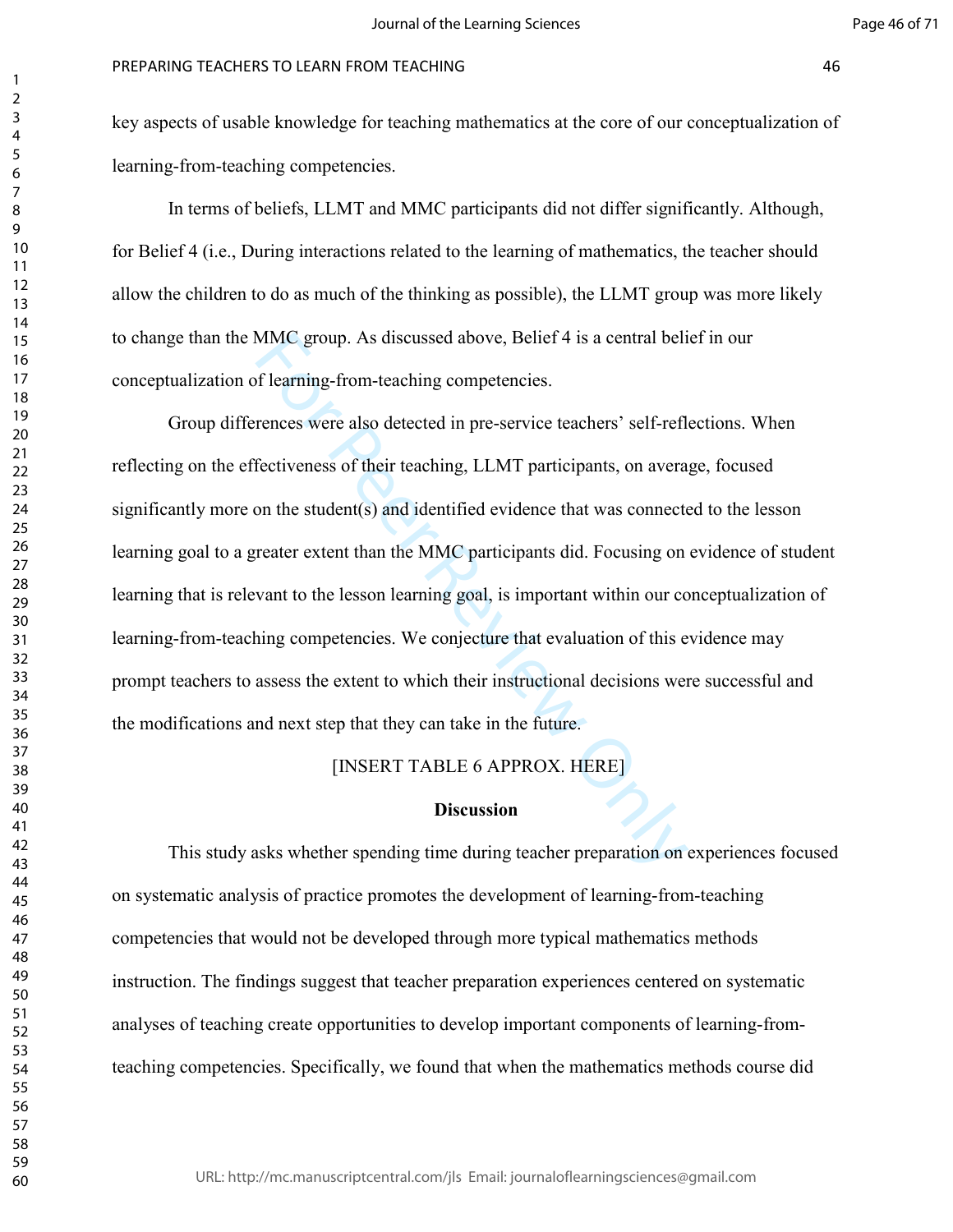## PREPARING TEACHERS TO LEARN FROM TEACHING **ACCOMMUNISTS** 46

key aspects of usable knowledge for teaching mathematics at the core of our conceptualization of learning-from-teaching competencies.

In terms of beliefs, LLMT and MMC participants did not differ significantly. Although, for Belief 4 (i.e., During interactions related to the learning of mathematics, the teacher should allow the children to do as much of the thinking as possible), the LLMT group was more likely to change than the MMC group. As discussed above, Belief 4 is a central belief in our conceptualization of learning-from-teaching competencies.

MMC group. As discussed above, Belief 4 is a central beliff learning-from-teaching competencies.<br>
rences were also detected in pre-service teachers' self-refl<br>
fectiveness of their teaching, LLMT participants, on avera<br>
on Group differences were also detected in pre-service teachers' self-reflections. When reflecting on the effectiveness of their teaching, LLMT participants, on average, focused significantly more on the student(s) and identified evidence that was connected to the lesson learning goal to a greater extent than the MMC participants did. Focusing on evidence of student learning that is relevant to the lesson learning goal, is important within our conceptualization of learning-from-teaching competencies. We conjecture that evaluation of this evidence may prompt teachers to assess the extent to which their instructional decisions were successful and the modifications and next step that they can take in the future.

#### [INSERT TABLE 6 APPROX. HERE]

#### **Discussion**

 This study asks whether spending time during teacher preparation on experiences focused on systematic analysis of practice promotes the development of learning-from-teaching competencies that would not be developed through more typical mathematics methods instruction. The findings suggest that teacher preparation experiences centered on systematic analyses of teaching create opportunities to develop important components of learning-fromteaching competencies. Specifically, we found that when the mathematics methods course did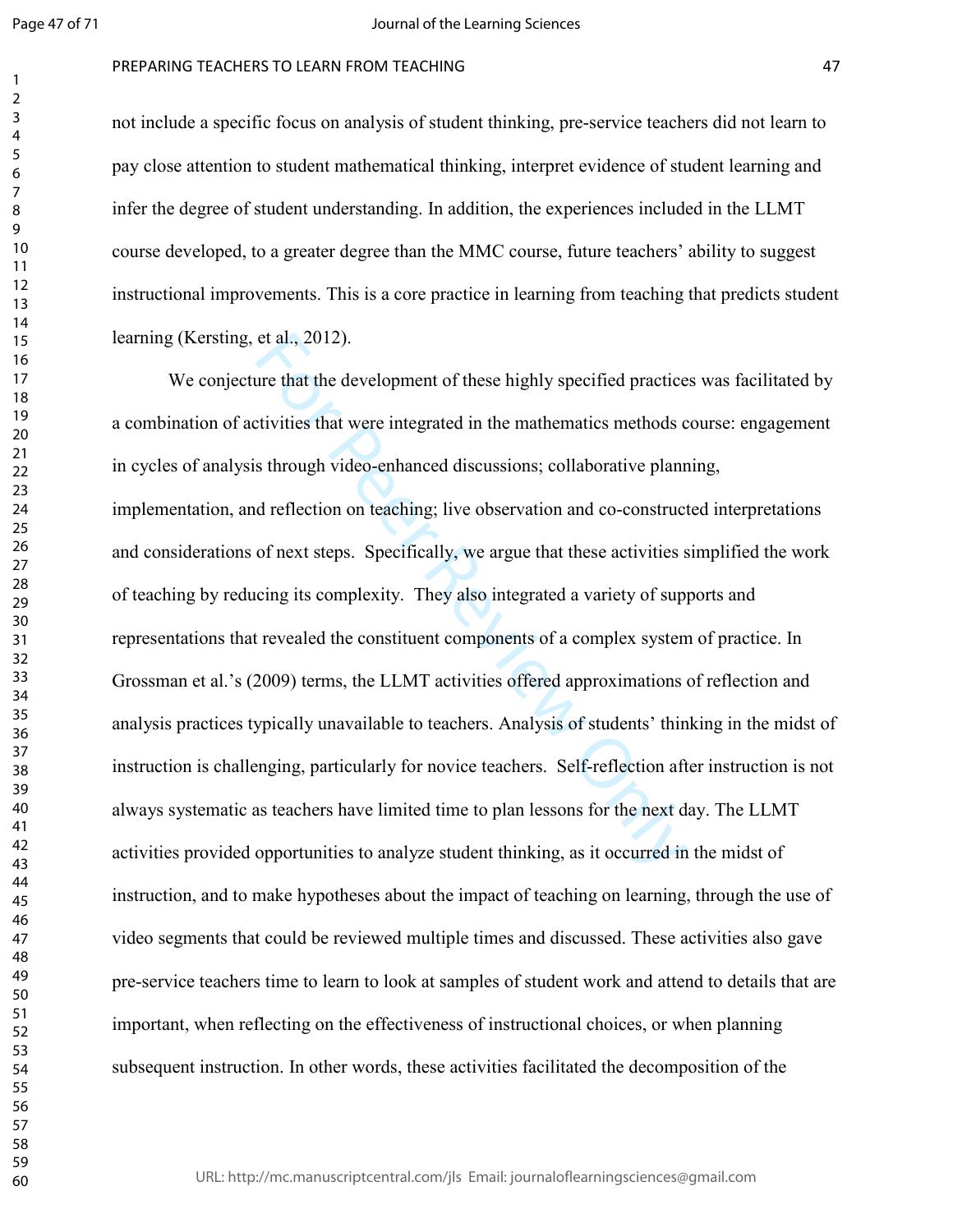## PREPARING TEACHERS TO LEARN FROM TEACHING 47

not include a specific focus on analysis of student thinking, pre-service teachers did not learn to pay close attention to student mathematical thinking, interpret evidence of student learning and infer the degree of student understanding. In addition, the experiences included in the LLMT course developed, to a greater degree than the MMC course, future teachers' ability to suggest instructional improvements. This is a core practice in learning from teaching that predicts student learning (Kersting, et al., 2012).

et al., 2012).<br>
ure that the development of these highly specified practice<br>
trivities that were integrated in the mathematics methods c<br>
s through video-enhanced discussions; collaborative plann<br>
d reflection on teaching; We conjecture that the development of these highly specified practices was facilitated by a combination of activities that were integrated in the mathematics methods course: engagement in cycles of analysis through video-enhanced discussions; collaborative planning, implementation, and reflection on teaching; live observation and co-constructed interpretations and considerations of next steps. Specifically, we argue that these activities simplified the work of teaching by reducing its complexity. They also integrated a variety of supports and representations that revealed the constituent components of a complex system of practice. In Grossman et al.'s (2009) terms, the LLMT activities offered approximations of reflection and analysis practices typically unavailable to teachers. Analysis of students' thinking in the midst of instruction is challenging, particularly for novice teachers. Self-reflection after instruction is not always systematic as teachers have limited time to plan lessons for the next day. The LLMT activities provided opportunities to analyze student thinking, as it occurred in the midst of instruction, and to make hypotheses about the impact of teaching on learning, through the use of video segments that could be reviewed multiple times and discussed. These activities also gave pre-service teachers time to learn to look at samples of student work and attend to details that are important, when reflecting on the effectiveness of instructional choices, or when planning subsequent instruction. In other words, these activities facilitated the decomposition of the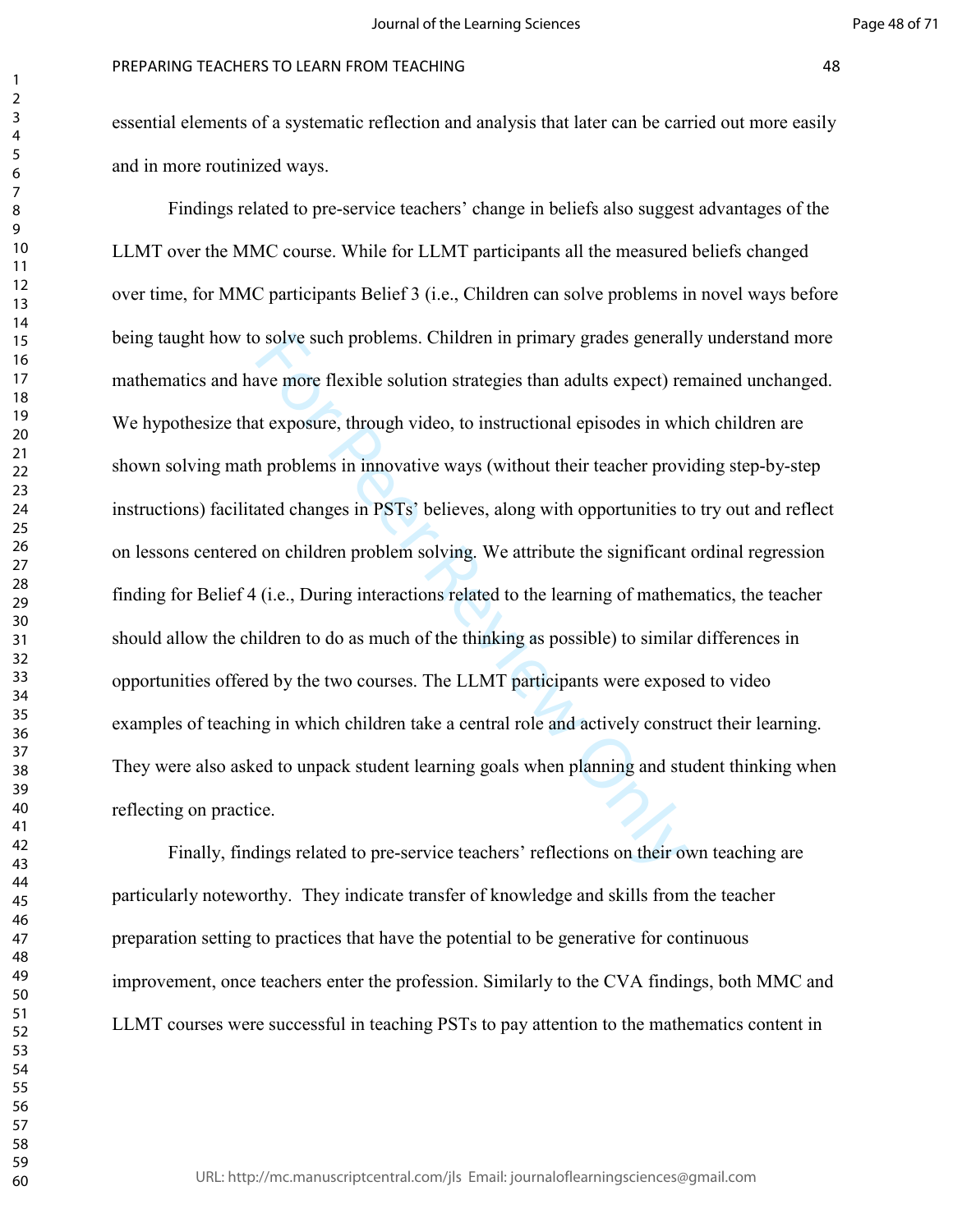### PREPARING TEACHERS TO LEARN FROM TEACHING **ARRIVAL ASSAULT AND A 48**

essential elements of a systematic reflection and analysis that later can be carried out more easily and in more routinized ways.

Solve such problems. Children in primary grades general<br>ave more flexible solution strategies than adults expect) rest<br>exposure, through video, to instructional episodes in wh<br>h problems in innovative ways (without their t Findings related to pre-service teachers' change in beliefs also suggest advantages of the LLMT over the MMC course. While for LLMT participants all the measured beliefs changed over time, for MMC participants Belief 3 (i.e., Children can solve problems in novel ways before being taught how to solve such problems. Children in primary grades generally understand more mathematics and have more flexible solution strategies than adults expect) remained unchanged. We hypothesize that exposure, through video, to instructional episodes in which children are shown solving math problems in innovative ways (without their teacher providing step-by-step instructions) facilitated changes in PSTs' believes, along with opportunities to try out and reflect on lessons centered on children problem solving. We attribute the significant ordinal regression finding for Belief 4 (i.e., During interactions related to the learning of mathematics, the teacher should allow the children to do as much of the thinking as possible) to similar differences in opportunities offered by the two courses. The LLMT participants were exposed to video examples of teaching in which children take a central role and actively construct their learning. They were also asked to unpack student learning goals when planning and student thinking when reflecting on practice.

Finally, findings related to pre-service teachers' reflections on their own teaching are particularly noteworthy. They indicate transfer of knowledge and skills from the teacher preparation setting to practices that have the potential to be generative for continuous improvement, once teachers enter the profession. Similarly to the CVA findings, both MMC and LLMT courses were successful in teaching PSTs to pay attention to the mathematics content in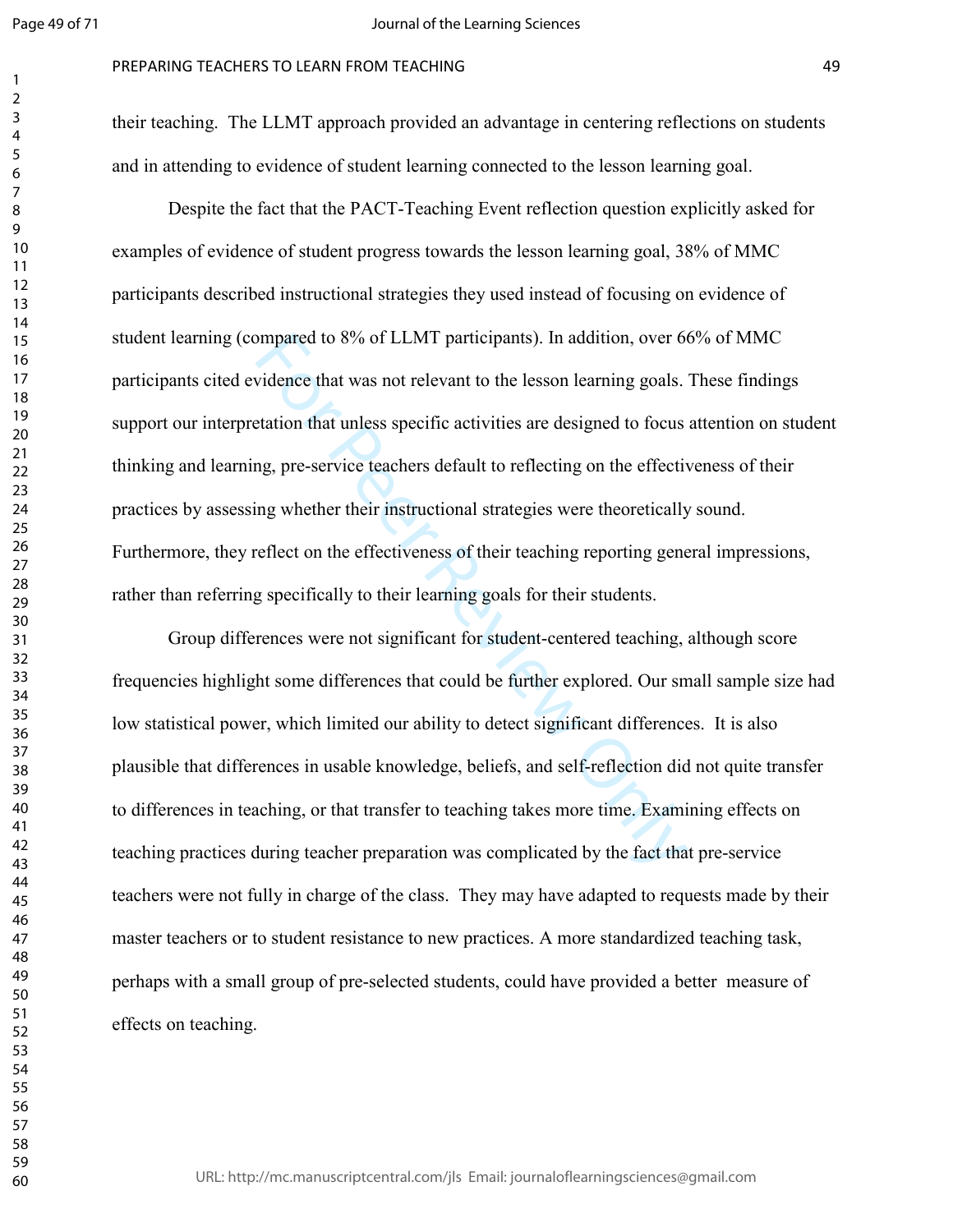#### PREPARING TEACHERS TO LEARN FROM TEACHING **AND THE REPARING 49**

their teaching. The LLMT approach provided an advantage in centering reflections on students and in attending to evidence of student learning connected to the lesson learning goal.

mpared to 8% of LLMT participants). In addition, over 6<br>vidence that was not relevant to the lesson learning goals.<br>Etation that unless specific activities are designed to focus<br>ng, pre-service teachers default to reflecti Despite the fact that the PACT-Teaching Event reflection question explicitly asked for examples of evidence of student progress towards the lesson learning goal, 38% of MMC participants described instructional strategies they used instead of focusing on evidence of student learning (compared to 8% of LLMT participants). In addition, over 66% of MMC participants cited evidence that was not relevant to the lesson learning goals. These findings support our interpretation that unless specific activities are designed to focus attention on student thinking and learning, pre-service teachers default to reflecting on the effectiveness of their practices by assessing whether their instructional strategies were theoretically sound. Furthermore, they reflect on the effectiveness of their teaching reporting general impressions, rather than referring specifically to their learning goals for their students.

Group differences were not significant for student-centered teaching, although score frequencies highlight some differences that could be further explored. Our small sample size had low statistical power, which limited our ability to detect significant differences. It is also plausible that differences in usable knowledge, beliefs, and self-reflection did not quite transfer to differences in teaching, or that transfer to teaching takes more time. Examining effects on teaching practices during teacher preparation was complicated by the fact that pre-service teachers were not fully in charge of the class. They may have adapted to requests made by their master teachers or to student resistance to new practices. A more standardized teaching task, perhaps with a small group of pre-selected students, could have provided a better measure of effects on teaching.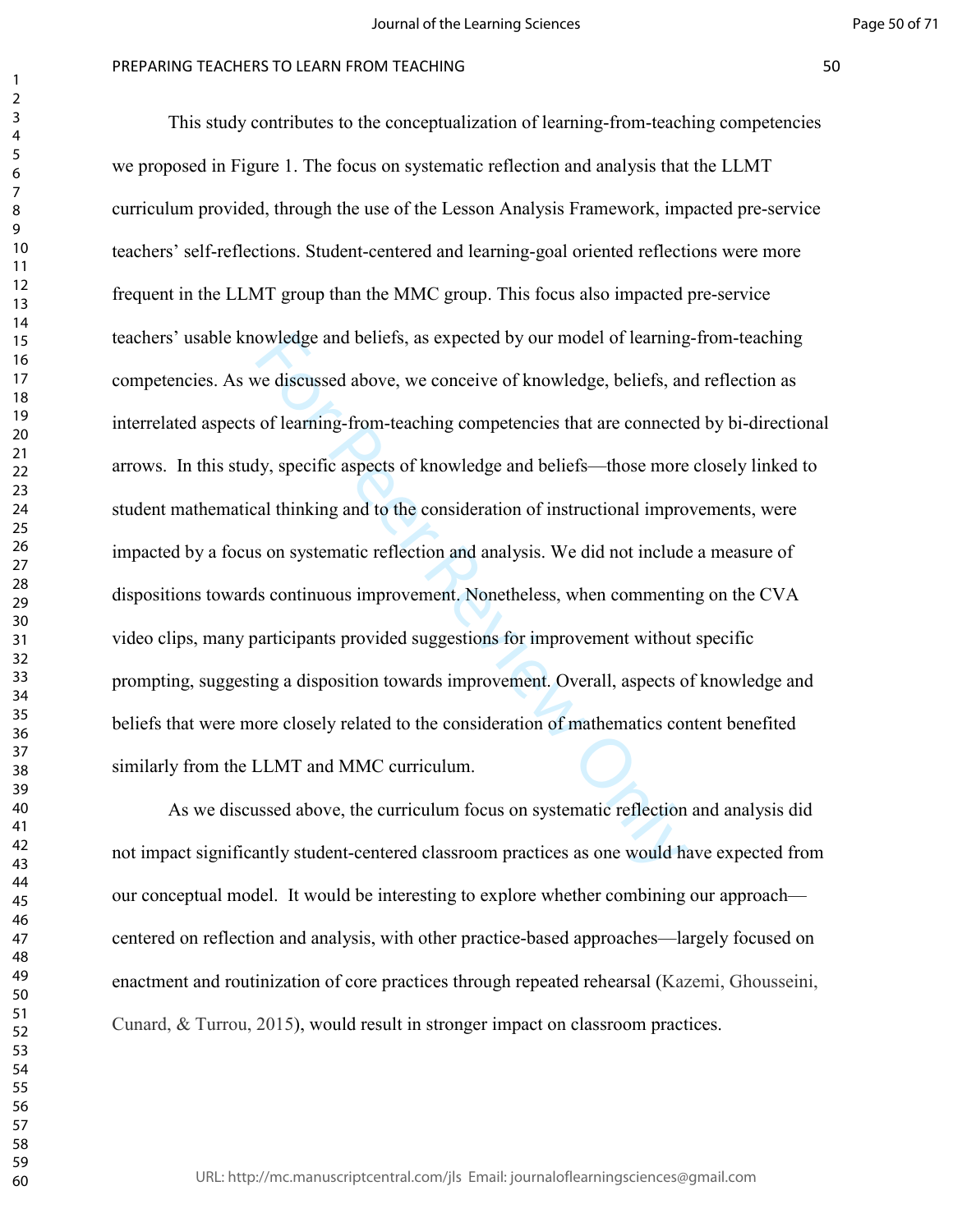#### Page 50 of 71

PREPARING TEACHERS TO LEARN FROM TEACHING **FROM TEACHING** 50

owledge and beliefs, as expected by our model of learning<br>we discussed above, we conceive of knowledge, beliefs, an<br>of learning-from-teaching competencies that are connecte<br>dy, specific aspects of knowledge and beliefs—tho This study contributes to the conceptualization of learning-from-teaching competencies we proposed in Figure 1. The focus on systematic reflection and analysis that the LLMT curriculum provided, through the use of the Lesson Analysis Framework, impacted pre-service teachers' self-reflections. Student-centered and learning-goal oriented reflections were more frequent in the LLMT group than the MMC group. This focus also impacted pre-service teachers' usable knowledge and beliefs, as expected by our model of learning-from-teaching competencies. As we discussed above, we conceive of knowledge, beliefs, and reflection as interrelated aspects of learning-from-teaching competencies that are connected by bi-directional arrows. In this study, specific aspects of knowledge and beliefs—those more closely linked to student mathematical thinking and to the consideration of instructional improvements, were impacted by a focus on systematic reflection and analysis. We did not include a measure of dispositions towards continuous improvement. Nonetheless, when commenting on the CVA video clips, many participants provided suggestions for improvement without specific prompting, suggesting a disposition towards improvement. Overall, aspects of knowledge and beliefs that were more closely related to the consideration of mathematics content benefited similarly from the LLMT and MMC curriculum.

As we discussed above, the curriculum focus on systematic reflection and analysis did not impact significantly student-centered classroom practices as one would have expected from our conceptual model. It would be interesting to explore whether combining our approach centered on reflection and analysis, with other practice-based approaches—largely focused on enactment and routinization of core practices through repeated rehearsal (Kazemi, Ghousseini, Cunard, & Turrou, 2015), would result in stronger impact on classroom practices.

URL: http://mc.manuscriptcentral.com/jls Email: journaloflearningsciences@gmail.com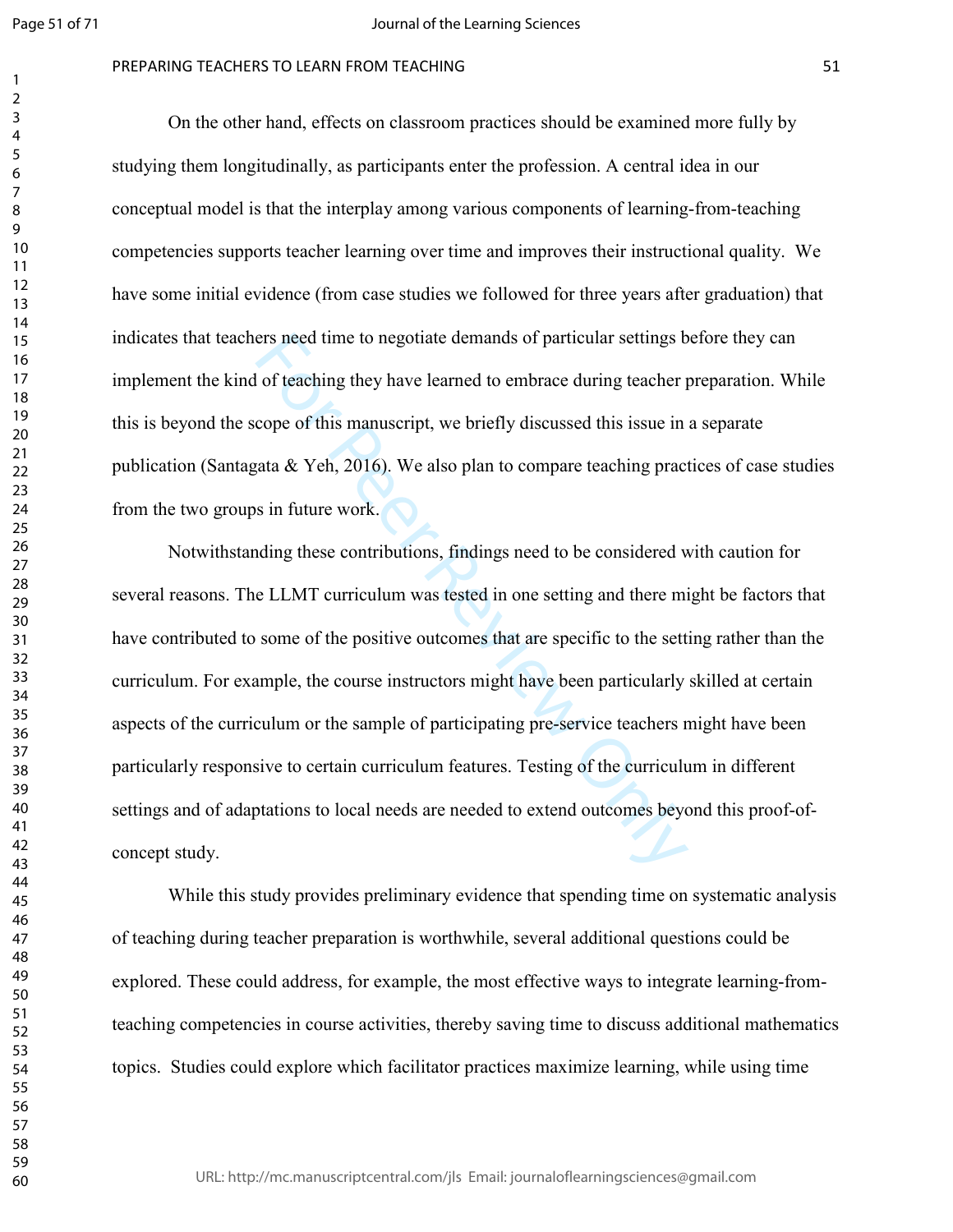#### PREPARING TEACHERS TO LEARN FROM TEACHING **FROM TEACHING** 51

On the other hand, effects on classroom practices should be examined more fully by studying them longitudinally, as participants enter the profession. A central idea in our conceptual model is that the interplay among various components of learning-from-teaching competencies supports teacher learning over time and improves their instructional quality. We have some initial evidence (from case studies we followed for three years after graduation) that indicates that teachers need time to negotiate demands of particular settings before they can implement the kind of teaching they have learned to embrace during teacher preparation. While this is beyond the scope of this manuscript, we briefly discussed this issue in a separate publication (Santagata  $\&$  Yeh, 2016). We also plan to compare teaching practices of case studies from the two groups in future work.

ers need time to negotiate demands of particular settings b<br>of teaching they have learned to embrace during teacher p<br>cope of this manuscript, we briefly discussed this issue in<br>stata & Yeh, 2016). We also plan to compare Notwithstanding these contributions, findings need to be considered with caution for several reasons. The LLMT curriculum was tested in one setting and there might be factors that have contributed to some of the positive outcomes that are specific to the setting rather than the curriculum. For example, the course instructors might have been particularly skilled at certain aspects of the curriculum or the sample of participating pre-service teachers might have been particularly responsive to certain curriculum features. Testing of the curriculum in different settings and of adaptations to local needs are needed to extend outcomes beyond this proof-ofconcept study.

While this study provides preliminary evidence that spending time on systematic analysis of teaching during teacher preparation is worthwhile, several additional questions could be explored. These could address, for example, the most effective ways to integrate learning-fromteaching competencies in course activities, thereby saving time to discuss additional mathematics topics. Studies could explore which facilitator practices maximize learning, while using time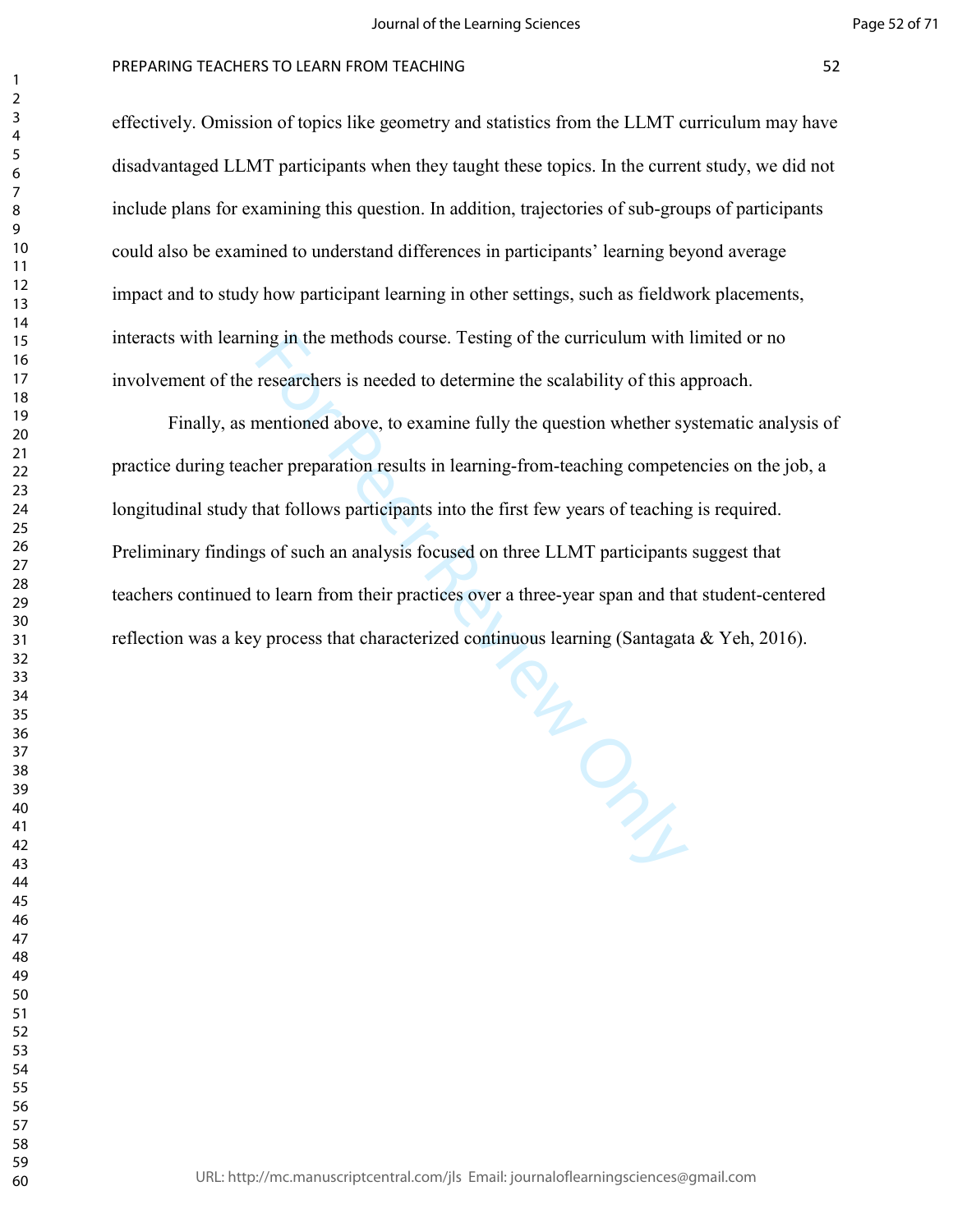#### PREPARING TEACHERS TO LEARN FROM TEACHING **1998 120 SEAL 120 SEARL 120 SEARL 120 SEARL 120 SEARL 120 SEARL 120 SE**

effectively. Omission of topics like geometry and statistics from the LLMT curriculum may have disadvantaged LLMT participants when they taught these topics. In the current study, we did not include plans for examining this question. In addition, trajectories of sub-groups of participants could also be examined to understand differences in participants' learning beyond average impact and to study how participant learning in other settings, such as fieldwork placements, interacts with learning in the methods course. Testing of the curriculum with limited or no involvement of the researchers is needed to determine the scalability of this approach.

Finally, as mentioned above, to examine fully the question whether systematic analysis of practice during teacher preparation results in learning-from-teaching competencies on the job, a longitudinal study that follows participants into the first few years of teaching is required. Preliminary findings of such an analysis focused on three LLMT participants suggest that teachers continued to learn from their practices over a three-year span and that student-centered reflection was a key process that characterized continuous learning (Santagata & Yeh, 2016).

For Peer Review Only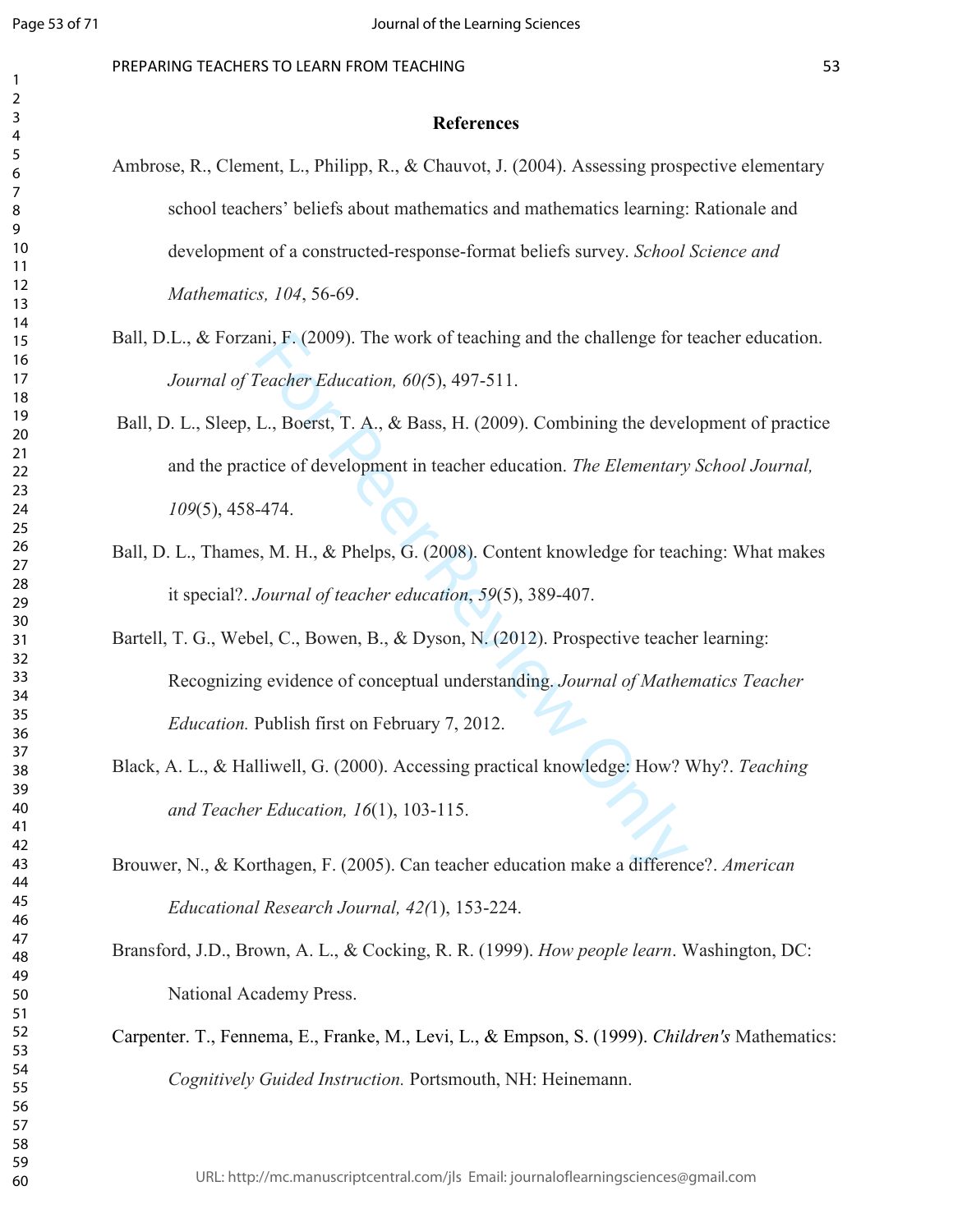#### PREPARING TEACHERS TO LEARN FROM TEACHING **1998 120 SETS** 53

#### **References**

- Ambrose, R., Clement, L., Philipp, R., & Chauvot, J. (2004). Assessing prospective elementary school teachers' beliefs about mathematics and mathematics learning: Rationale and development of a constructed-response-format beliefs survey. *School Science and Mathematics, 104*, 56-69.
- Ball, D.L., & Forzani, F. (2009). The work of teaching and the challenge for teacher education. *Journal of Teacher Education, 60(*5), 497-511.
- Ball, D. L., Sleep, L., Boerst, T. A., & Bass, H. (2009). Combining the development of practice and the practice of development in teacher education. *The Elementary School Journal,*  (5), 458-474.
- Ball, D. L., Thames, M. H., & Phelps, G. (2008). Content knowledge for teaching: What makes it special?. *Journal of teacher education*, *59*(5), 389-407.
- m, F. (2009). The work of teaching and the challenge for the character Education, 60(5), 497-511.<br>
L., Boerst, T. A., & Bass, H. (2009). Combining the devel<br>
titice of development in teacher education. The Elementary<br>
474 Bartell, T. G., Webel, C., Bowen, B., & Dyson, N. (2012). Prospective teacher learning: Recognizing evidence of conceptual understanding. *Journal of Mathematics Teacher Education.* Publish first on February 7, 2012.
- Black, A. L., & Halliwell, G. (2000). Accessing practical knowledge: How? Why?. *Teaching and Teacher Education, 16*(1), 103-115.
- Brouwer, N., & Korthagen, F. (2005). Can teacher education make a difference?. *American Educational Research Journal, 42(*1), 153-224.
- Bransford, J.D., Brown, A. L., & Cocking, R. R. (1999). *How people learn*. Washington, DC: National Academy Press.
- Carpenter. T., Fennema, E., Franke, M., Levi, L., & Empson, S. (1999). *Children's* Mathematics: *Cognitively Guided Instruction.* Portsmouth, NH: Heinemann.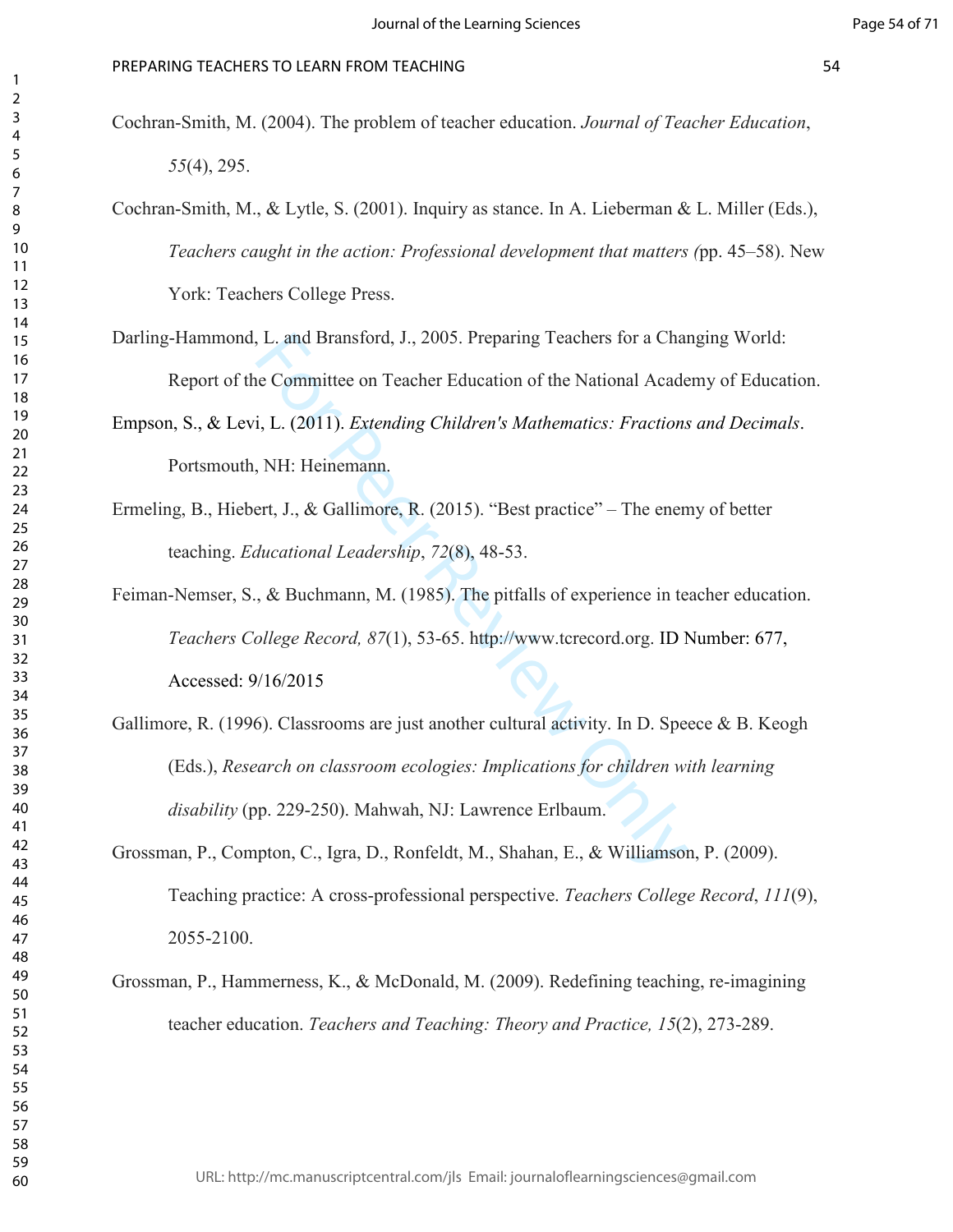- Cochran-Smith, M. (2004). The problem of teacher education. *Journal of Teacher Education*, (4), 295.
- Cochran-Smith, M., & Lytle, S. (2001). Inquiry as stance. In A. Lieberman & L. Miller (Eds.), *Teachers caught in the action: Professional development that matters (*pp. 45–58). New York: Teachers College Press.
- Darling-Hammond, L. and Bransford, J., 2005. Preparing Teachers for a Changing World: Report of the Committee on Teacher Education of the National Academy of Education.
- Empson, S., & Levi, L. (2011). *Extending Children's Mathematics: Fractions and Decimals*. Portsmouth, NH: Heinemann.
- Ermeling, B., Hiebert, J., & Gallimore, R. (2015). "Best practice" The enemy of better teaching. *Educational Leadership*, *72*(8), 48-53.
- Feiman-Nemser, S., & Buchmann, M. (1985). The pitfalls of experience in teacher education. *Teachers College Record, 87*(1), 53-65. http://www.tcrecord.org. ID Number: 677, Accessed: 9/16/2015
- , L. and Bransford, J., 2005. Preparing Teachers for a Chaine Committee on Teacher Education of the National Acade<br>i, L. (2011). *Extending Children's Mathematics: Fractions*, NH: Heinemann.<br>ert, J., & Gallimore, R. (2015) Gallimore, R. (1996). Classrooms are just another cultural activity. In D. Speece & B. Keogh (Eds.), *Research on classroom ecologies: Implications for children with learning disability* (pp. 229-250). Mahwah, NJ: Lawrence Erlbaum.
- Grossman, P., Compton, C., Igra, D., Ronfeldt, M., Shahan, E., & Williamson, P. (2009). Teaching practice: A cross-professional perspective. *Teachers College Record*, *111*(9), 2055-2100.
- Grossman, P., Hammerness, K., & McDonald, M. (2009). Redefining teaching, re-imagining teacher education. *Teachers and Teaching: Theory and Practice, 15*(2), 273-289.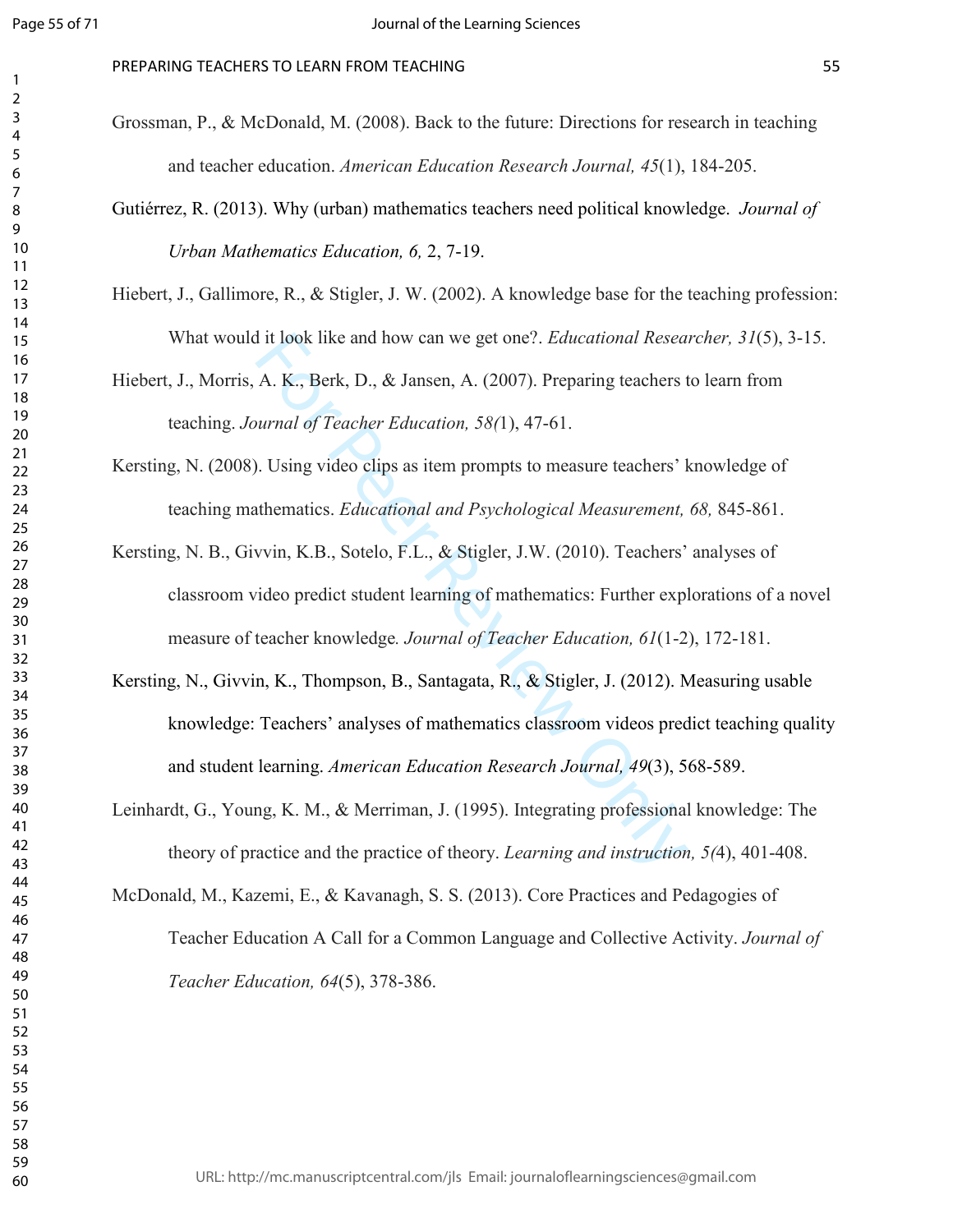#### PREPARING TEACHERS TO LEARN FROM TEACHING **1998 120 SETS** 55

- Grossman, P., & McDonald, M. (2008). Back to the future: Directions for research in teaching and teacher education. *American Education Research Journal, 45*(1), 184-205.
- Gutiérrez, R. (2013). Why (urban) mathematics teachers need political knowledge. *Journal of Urban Mathematics Education, 6,* 2, 7-19.
- Hiebert, J., Gallimore, R., & Stigler, J. W. (2002). A knowledge base for the teaching profession: What would it look like and how can we get one?. *Educational Researcher, 31*(5), 3-15.
- Hiebert, J., Morris, A. K., Berk, D., & Jansen, A. (2007). Preparing teachers to learn from teaching. *Journal of Teacher Education, 58(*1), 47-61.
- Kersting, N. (2008). Using video clips as item prompts to measure teachers' knowledge of teaching mathematics. *Educational and Psychological Measurement, 68,* 845-861.
- 1 t look like and how can we get one?. *Educational Resea*.<br>A. K., Berk, D., & Jansen, A. (2007). Preparing teachers to *urnal of Teacher Education*, 58(1), 47-61.<br>
1. Using video clips as item prompts to measure teachers' Kersting, N. B., Givvin, K.B., Sotelo, F.L., & Stigler, J.W. (2010). Teachers' analyses of classroom video predict student learning of mathematics: Further explorations of a novel measure of teacher knowledge*. Journal of Teacher Education, 61*(1-2), 172-181.
- Kersting, N., Givvin, K., Thompson, B., Santagata, R., & Stigler, J. (2012). Measuring usable knowledge: Teachers' analyses of mathematics classroom videos predict teaching quality and student learning. *American Education Research Journal, 49*(3), 568-589.
- Leinhardt, G., Young, K. M., & Merriman, J. (1995). Integrating professional knowledge: The theory of practice and the practice of theory. *Learning and instruction, 5(*4), 401-408.
- McDonald, M., Kazemi, E., & Kavanagh, S. S. (2013). Core Practices and Pedagogies of Teacher Education A Call for a Common Language and Collective Activity. *Journal of Teacher Education, 64*(5), 378-386.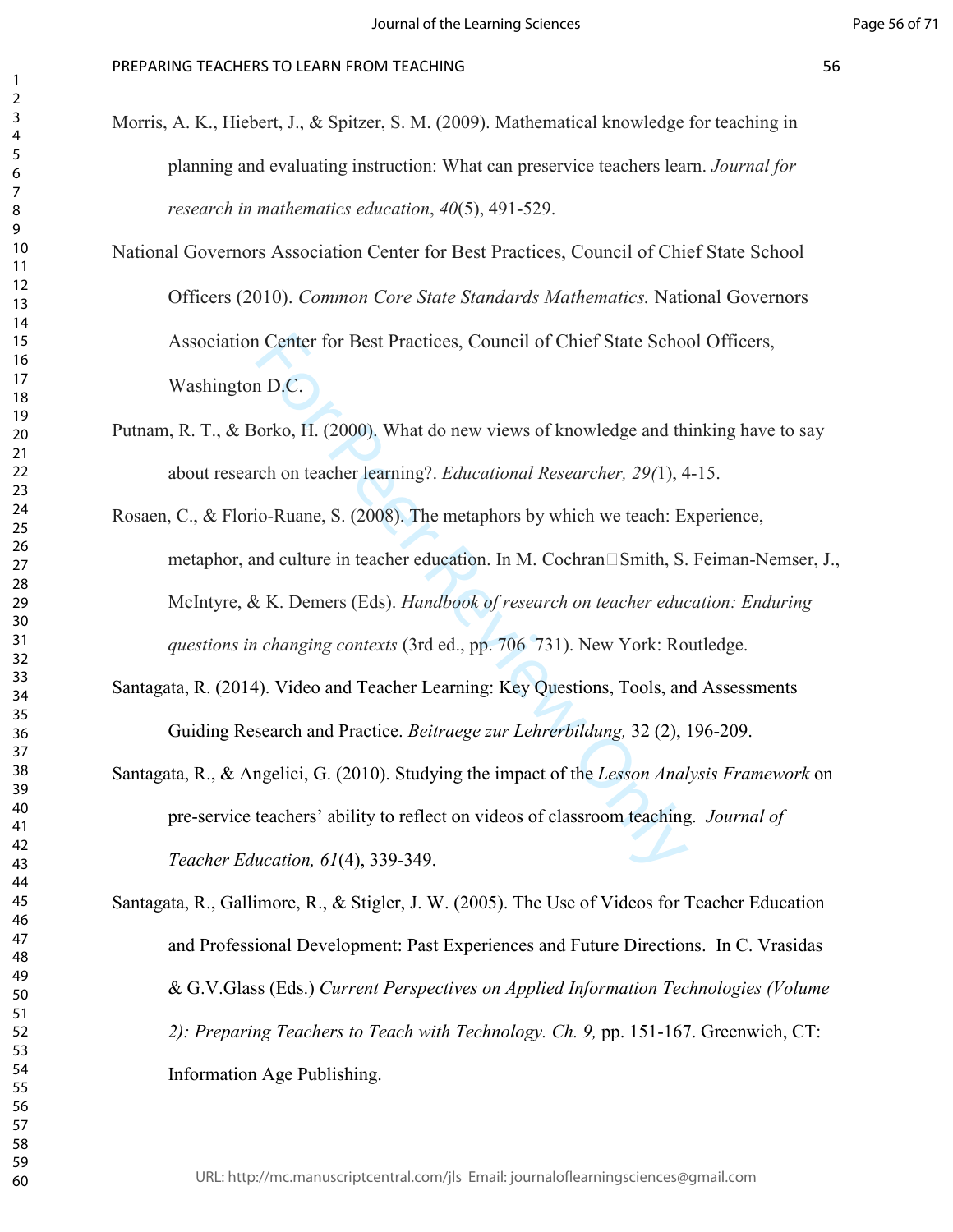- Morris, A. K., Hiebert, J., & Spitzer, S. M. (2009). Mathematical knowledge for teaching in planning and evaluating instruction: What can preservice teachers learn. *Journal for research in mathematics education*, *40*(5), 491-529.
- National Governors Association Center for Best Practices, Council of Chief State School Officers (2010). *Common Core State Standards Mathematics.* National Governors Association Center for Best Practices, Council of Chief State School Officers, Washington D.C.
- Putnam, R. T., & Borko, H. (2000). What do new views of knowledge and thinking have to say about research on teacher learning?. *Educational Researcher, 29(*1), 4-15.
- 1 Center for Best Practices, Council of Chief State Schoon<br>
1 D.C.<br>
1 D.C.<br>
1 O.C.<br>
1 O.C.<br>
1 O.C.<br>
1 O.C.<br>
1 O.C.<br>
1 O.C.<br>
1 O.C.<br>
1 O.C.<br>
1 O.C.<br>
1 O.C.<br>
1 O.C.<br>
1 O.C.<br>
1 O.C.<br>
1 O.C.<br>
1 O.C.<br>
1 O.C.<br>
1 O.C.<br>
1 O.C.<br>
1 Rosaen, C., & Florio-Ruane, S. (2008). The metaphors by which we teach: Experience, metaphor, and culture in teacher education. In M. Cochran□Smith, S. Feiman-Nemser, J., McIntyre, & K. Demers (Eds). *Handbook of research on teacher education: Enduring questions in changing contexts* (3rd ed., pp. 706–731). New York: Routledge.
- Santagata, R. (2014). Video and Teacher Learning: Key Questions, Tools, and Assessments Guiding Research and Practice. *Beitraege zur Lehrerbildung,* 32 (2), 196-209.
- Santagata, R., & Angelici, G. (2010). Studying the impact of the *Lesson Analysis Framework* on pre-service teachers' ability to reflect on videos of classroom teaching. *Journal of Teacher Education, 61*(4), 339-349.
- Santagata, R., Gallimore, R., & Stigler, J. W. (2005). The Use of Videos for Teacher Education and Professional Development: Past Experiences and Future Directions. In C. Vrasidas & G.V.Glass (Eds.) *Current Perspectives on Applied Information Technologies (Volume 2): Preparing Teachers to Teach with Technology. Ch. 9,* pp. 151-167. Greenwich, CT: Information Age Publishing.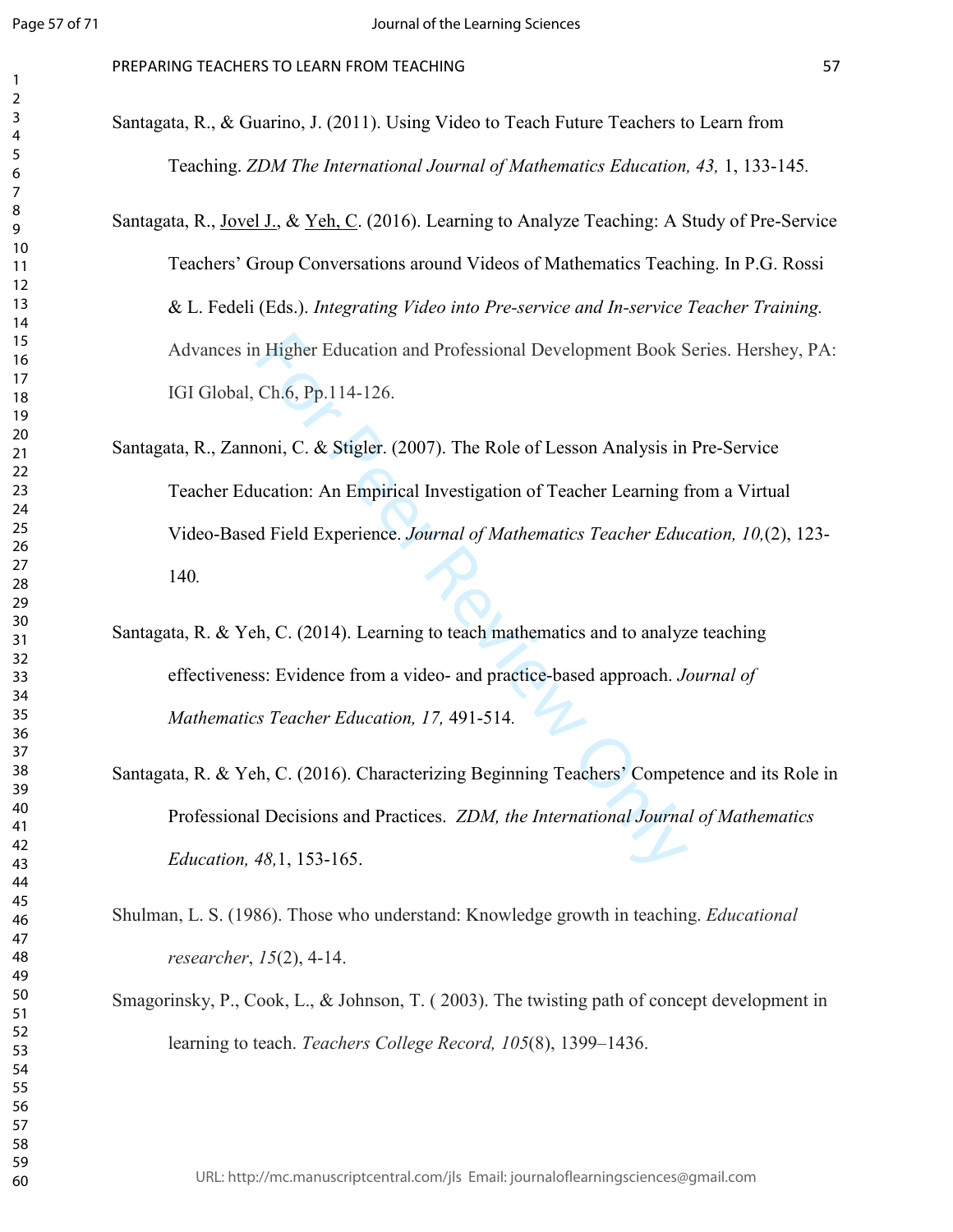- Santagata, R., & Guarino, J. (2011). Using Video to Teach Future Teachers to Learn from Teaching. *ZDM The International Journal of Mathematics Education, 43,* 1, 133-145*.*
- Santagata, R., Jovel J., & Yeh, C. (2016). Learning to Analyze Teaching: A Study of Pre-Service Teachers' Group Conversations around Videos of Mathematics Teaching. In P.G. Rossi & L. Fedeli (Eds.). *Integrating Video into Pre-service and In-service Teacher Training.*  Advances in Higher Education and Professional Development Book Series. Hershey, PA: IGI Global, Ch.6, Pp.114-126.
- 1 Higher Education and Professional Development Book S<br>Ch.6, Pp.114-126.<br>
coni, C. & Stigler. (2007). The Role of Lesson Analysis in<br>
ucation: An Empirical Investigation of Teacher Learning f<br>
d Field Experience. *Journal* Santagata, R., Zannoni, C. & Stigler. (2007). The Role of Lesson Analysis in Pre-Service Teacher Education: An Empirical Investigation of Teacher Learning from a Virtual Video-Based Field Experience. *Journal of Mathematics Teacher Education, 10,*(2), 123- *.*
- Santagata, R. & Yeh, C. (2014). Learning to teach mathematics and to analyze teaching effectiveness: Evidence from a video- and practice-based approach. *Journal of Mathematics Teacher Education, 17,* 491-514*.*
- Santagata, R. & Yeh, C. (2016). Characterizing Beginning Teachers' Competence and its Role in Professional Decisions and Practices. *ZDM, the International Journal of Mathematics Education, 48,*1, 153-165.
- Shulman, L. S. (1986). Those who understand: Knowledge growth in teaching. *Educational researcher*, *15*(2), 4-14.
- Smagorinsky, P., Cook, L., & Johnson, T. ( 2003). The twisting path of concept development in learning to teach. *Teachers College Record, 105*(8), 1399–1436.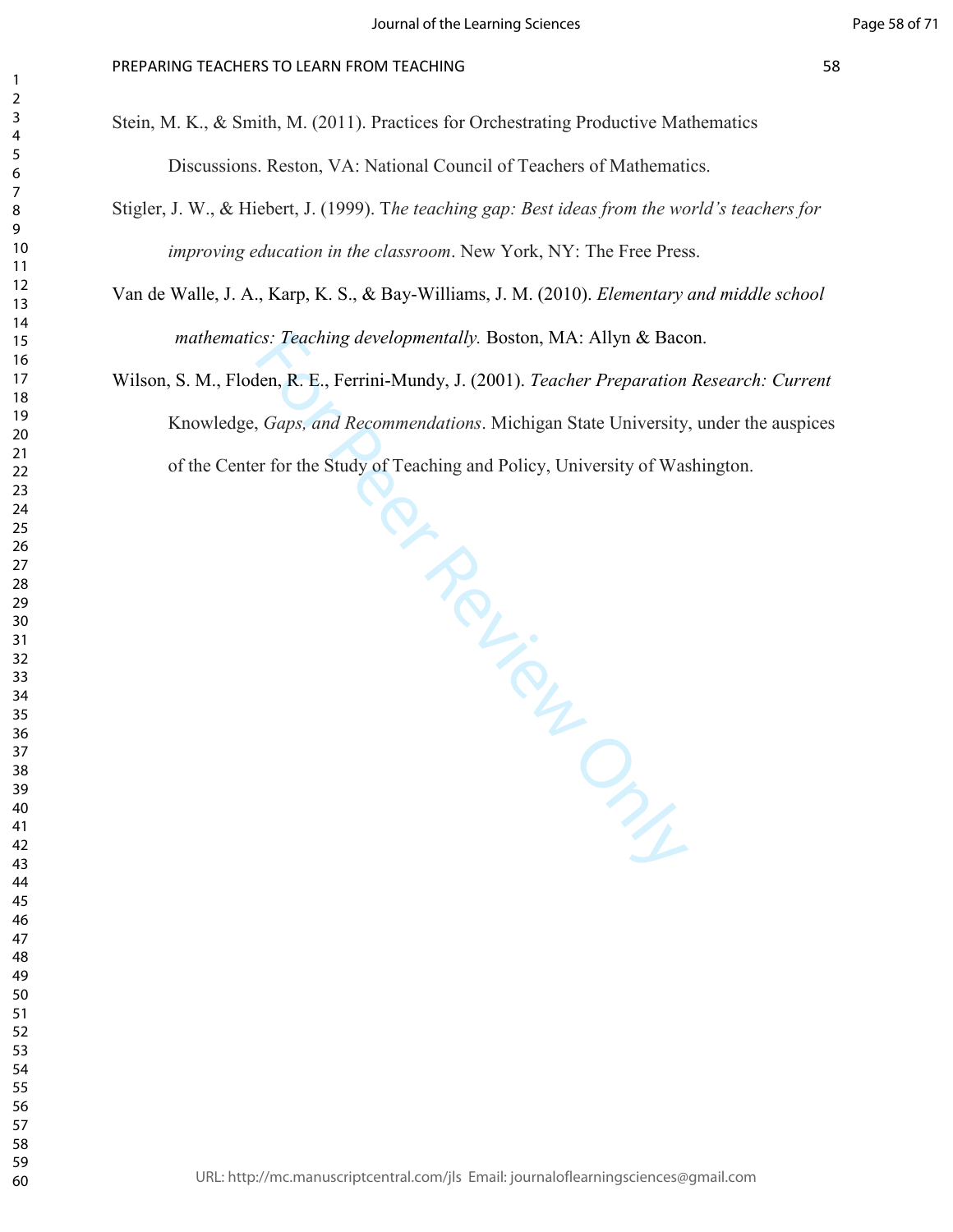Stein, M. K., & Smith, M. (2011). Practices for Orchestrating Productive Mathematics Discussions. Reston, VA: National Council of Teachers of Mathematics.

- Stigler, J. W., & Hiebert, J. (1999). T *he teaching gap: Best ideas from the world's teachers for improving education in the classroom*. New York, NY: The Free Press.
- Van de Walle, J. A., Karp, K. S., & Bay-Williams, J. M. (2010). *Elementary and middle school mathematics: Teaching developmentally.* Boston, MA: Allyn & Bacon.
- For Perching and Manuscript Contraction of the Contraction of Contraction of Contraction of Contraction of Contraction of Contraction of Contraction of Contraction of Contraction of Contraction of Contraction of Contractio Wilson, S. M., Floden, R. E., Ferrini-Mundy, J. (2001). *Teacher Preparation Research: Current*  Knowledge, *Gaps, and Recommendations*. Michigan State University, under the auspices of the Center for the Study of Teaching and Policy, University of Washington.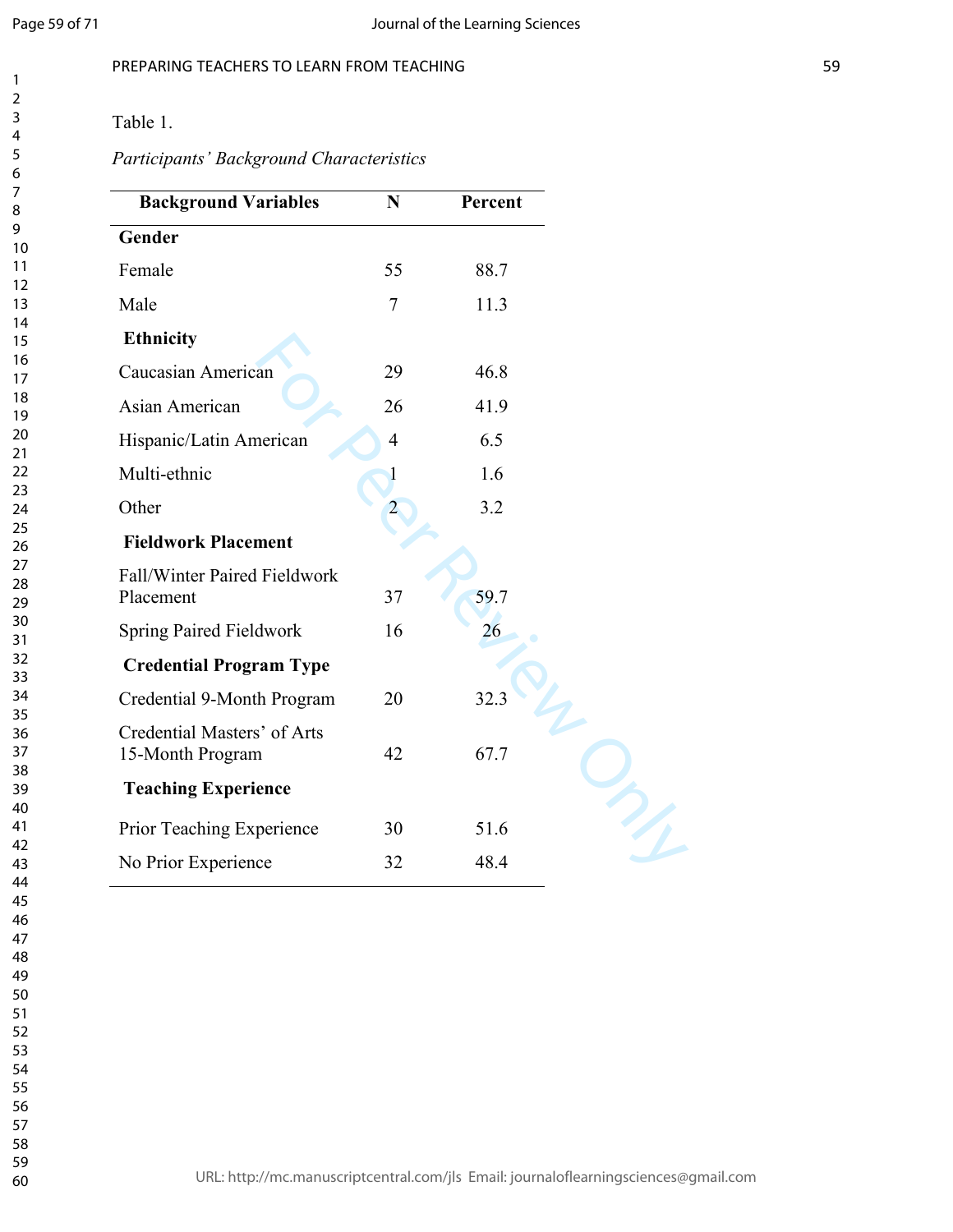#### PREPARING TEACHERS TO LEARN FROM TEACHING **FRAME ASSAULT ASSAULT ASSAULT ASSAULT** SP

## Table 1.

## *Participants' Background Characteristics*

| <b>Background Variables</b>                     | N              | Percent |
|-------------------------------------------------|----------------|---------|
| Gender                                          |                |         |
| Female                                          | 55             | 88.7    |
| Male                                            | 7              | 11.3    |
| <b>Ethnicity</b>                                |                |         |
| Caucasian American                              | 29             | 46.8    |
| Asian American                                  | 26             | 41.9    |
| Hispanic/Latin American                         | $\overline{4}$ | 6.5     |
| Multi-ethnic                                    |                | 1.6     |
| Other                                           | 2              | 3.2     |
| <b>Fieldwork Placement</b>                      |                |         |
| Fall/Winter Paired Fieldwork                    |                |         |
| Placement                                       | 37             | 59.7    |
| <b>Spring Paired Fieldwork</b>                  | 16             | 26      |
| <b>Credential Program Type</b>                  |                |         |
| Credential 9-Month Program                      | 20             | 32.3    |
| Credential Masters' of Arts<br>15-Month Program | 42             | 67.7    |
| <b>Teaching Experience</b>                      |                |         |
| Prior Teaching Experience                       | 30             | 51.6    |
| No Prior Experience                             | 32             | 48.4    |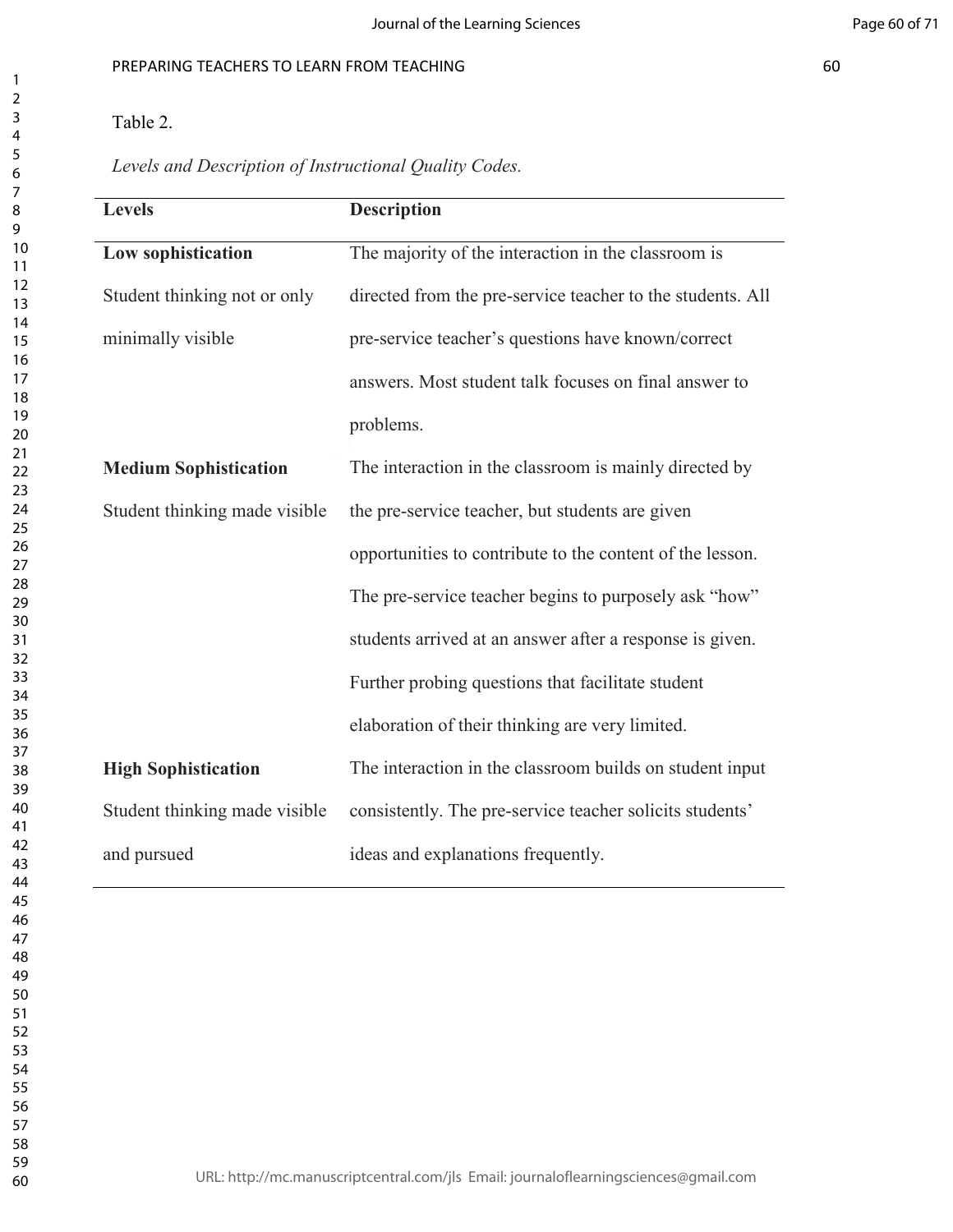## Table 2.

*Levels and Description of Instructional Quality Codes.* 

| <b>Levels</b>                 | <b>Description</b>                                         |
|-------------------------------|------------------------------------------------------------|
| Low sophistication            | The majority of the interaction in the classroom is        |
| Student thinking not or only  | directed from the pre-service teacher to the students. All |
| minimally visible             | pre-service teacher's questions have known/correct         |
|                               | answers. Most student talk focuses on final answer to      |
|                               | problems.                                                  |
| <b>Medium Sophistication</b>  | The interaction in the classroom is mainly directed by     |
| Student thinking made visible | the pre-service teacher, but students are given            |
|                               | opportunities to contribute to the content of the lesson.  |
|                               | The pre-service teacher begins to purposely ask "how"      |
|                               | students arrived at an answer after a response is given.   |
|                               | Further probing questions that facilitate student          |
|                               | elaboration of their thinking are very limited.            |
| <b>High Sophistication</b>    | The interaction in the classroom builds on student input   |
| Student thinking made visible | consistently. The pre-service teacher solicits students'   |
| and pursued                   | ideas and explanations frequently.                         |
|                               |                                                            |

 $\mathbf{1}$  $\overline{2}$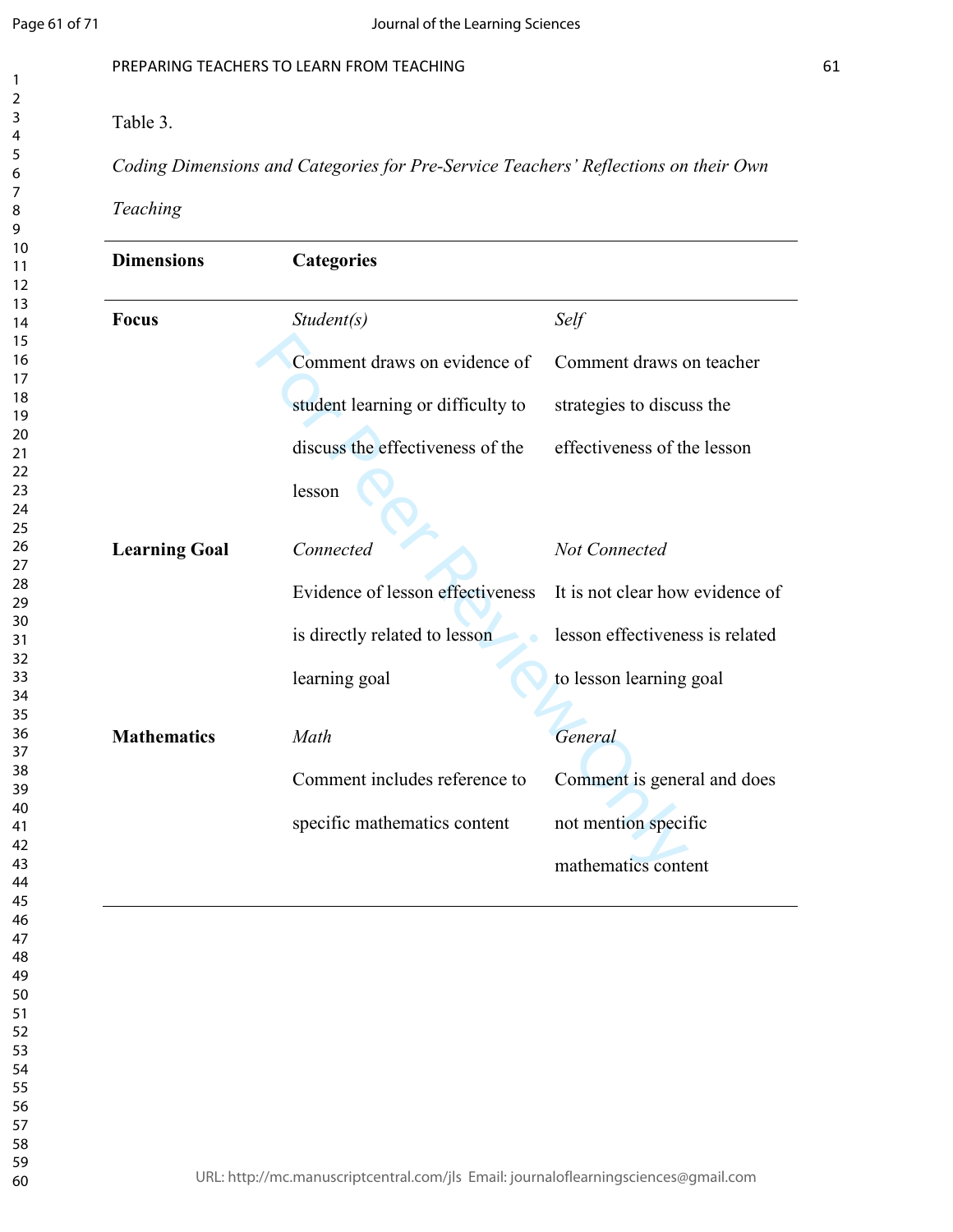## Table 3.

*Coding Dimensions and Categories for Pre-Service Teachers' Reflections on their Own* 

*Teaching*

| <b>Categories</b>                 |                                 |
|-----------------------------------|---------------------------------|
| Student(s)                        | Self                            |
| Comment draws on evidence of      | Comment draws on teacher        |
| student learning or difficulty to | strategies to discuss the       |
| discuss the effectiveness of the  | effectiveness of the lesson     |
| lesson                            |                                 |
| Connected                         | Not Connected                   |
| Evidence of lesson effectiveness  | It is not clear how evidence of |
| is directly related to lesson     | lesson effectiveness is related |
| learning goal                     | to lesson learning goal         |
| Math                              | General                         |
| Comment includes reference to     | Comment is general and does     |
| specific mathematics content      | not mention specific            |
|                                   | mathematics content             |
|                                   |                                 |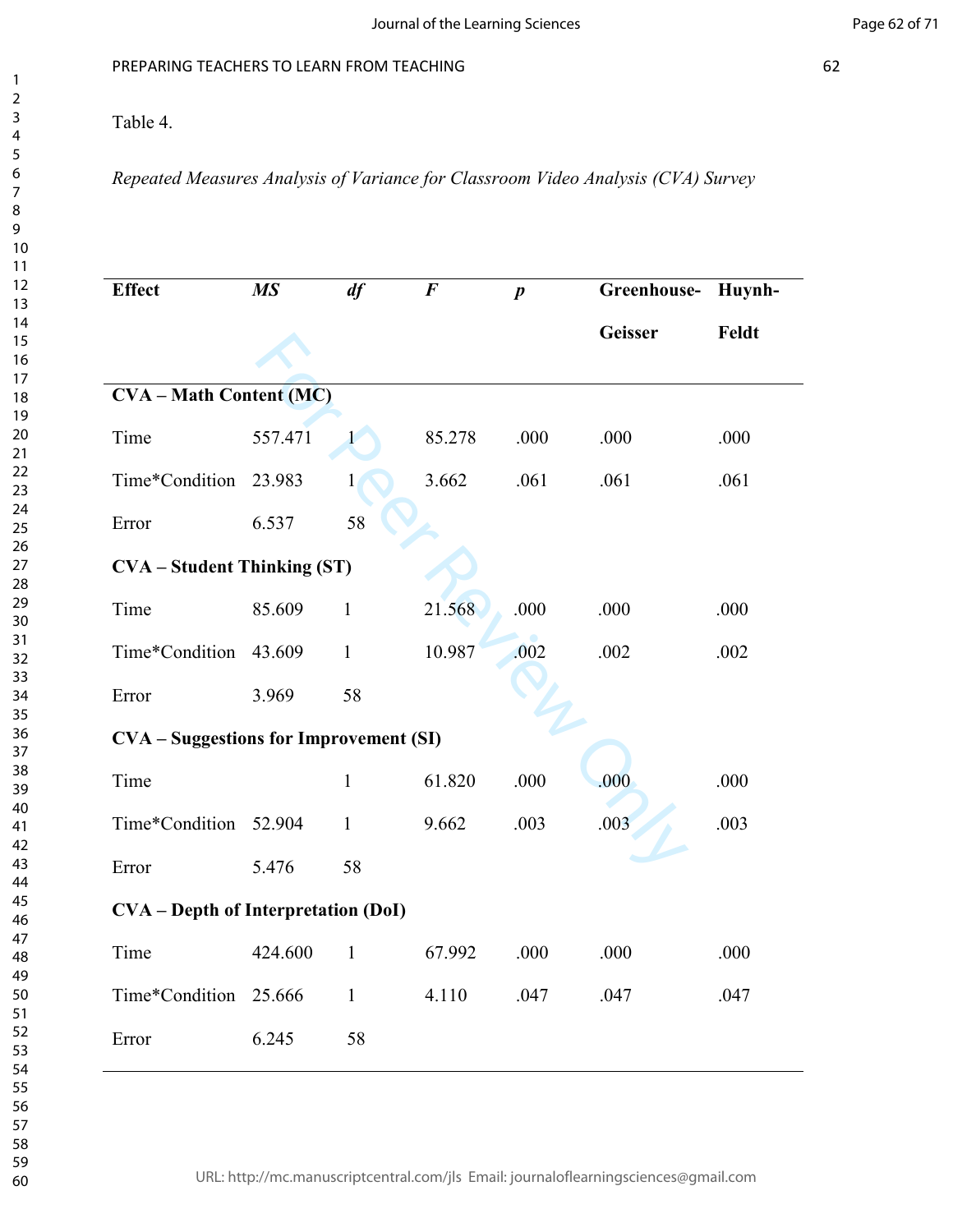#### PREPARING TEACHERS TO LEARN FROM TEACHING 62

Page 62 of 71

Table 4.

*Repeated Measures Analysis of Variance for Classroom Video Analysis (CVA) Survey* 

| <b>Effect</b>                                 | $\overline{MS}$ | df           | $\boldsymbol{F}$ | $\boldsymbol{p}$ | Greenhouse- | Huynh- |
|-----------------------------------------------|-----------------|--------------|------------------|------------------|-------------|--------|
|                                               |                 |              |                  |                  | Geisser     | Feldt  |
| <b>CVA</b> – Math Content (MC)                |                 |              |                  |                  |             |        |
| Time                                          | 557.471         | T            | 85.278           | .000             | .000        | .000   |
| Time*Condition 23.983                         |                 | $\mathbf{1}$ | 3.662            | .061             | .061        | .061   |
| Error                                         | 6.537           | 58           |                  |                  |             |        |
| <b>CVA</b> – Student Thinking (ST)            |                 |              |                  |                  |             |        |
| Time                                          | 85.609          | $\mathbf{1}$ | 21.568           | .000             | .000        | .000   |
| Time*Condition 43.609                         |                 | $\mathbf{1}$ | 10.987           | .002             | .002        | .002   |
| Error                                         | 3.969           | 58           |                  |                  |             |        |
| <b>CVA</b> - Suggestions for Improvement (SI) |                 |              |                  |                  |             |        |
| Time                                          |                 | $\mathbf{1}$ | 61.820           | .000             | .000        | .000   |
| Time*Condition 52.904                         |                 | $\mathbf{1}$ | 9.662            | .003             | .003        | .003   |
| Error                                         | 5.476           | 58           |                  |                  |             |        |
| <b>CVA</b> – Depth of Interpretation (DoI)    |                 |              |                  |                  |             |        |
| Time                                          | 424.600         | $\mathbf{1}$ | 67.992           | .000             | .000        | .000   |
| Time*Condition 25.666                         |                 | $\mathbf{1}$ | 4.110            | .047             | .047        | .047   |
| Error                                         | 6.245           | 58           |                  |                  |             |        |

 $\mathbf{1}$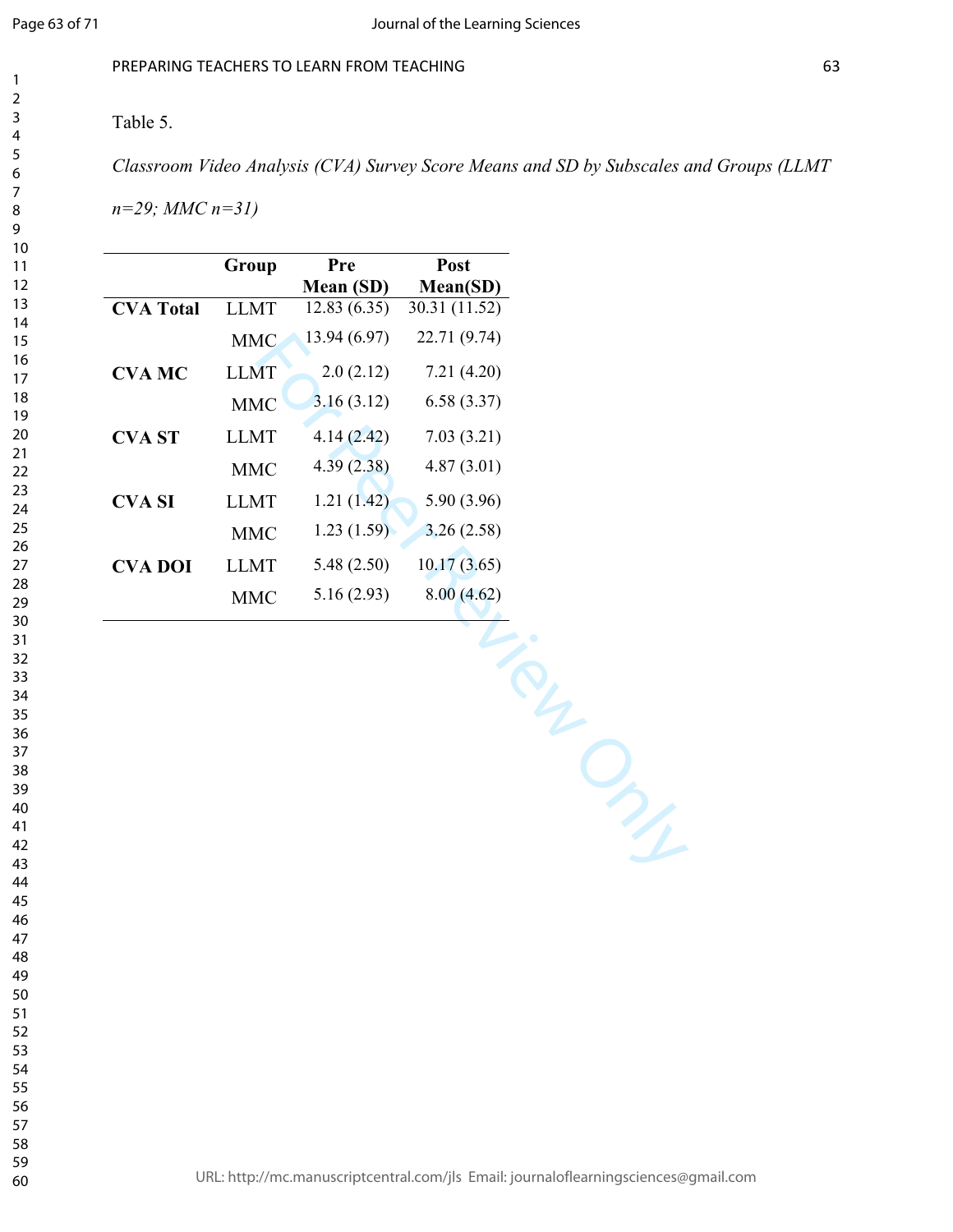$\mathbf{1}$  $\overline{2}$ 3  $\overline{4}$ 5 6  $\overline{7}$ 8 9

#### PREPARING TEACHERS TO LEARN FROM TEACHING **FRAME ASSAULT AND SET ASSAULT** 63

## Table 5.

*Classroom Video Analysis (CVA) Survey Score Means and SD by Subscales and Groups (LLMT* 

*n=29; MMC n=31)* 

|                  | Group       | Pre          | Post          |
|------------------|-------------|--------------|---------------|
|                  |             | Mean (SD)    | Mean(SD)      |
| <b>CVA Total</b> | <b>LLMT</b> | 12.83(6.35)  | 30.31 (11.52) |
|                  | <b>MMC</b>  | 13.94 (6.97) | 22.71 (9.74)  |
| <b>CVA MC</b>    | <b>LLMT</b> | 2.0(2.12)    | 7.21(4.20)    |
|                  | <b>MMC</b>  | 3.16(3.12)   | 6.58(3.37)    |
| <b>CVA ST</b>    | <b>LLMT</b> | 4.14(2.42)   | 7.03(3.21)    |
|                  | <b>MMC</b>  | 4.39(2.38)   | 4.87(3.01)    |
| <b>CVA SI</b>    | <b>LLMT</b> | 1.21(1.42)   | 5.90 (3.96)   |
|                  | <b>MMC</b>  | 1.23(1.59)   | 3.26(2.58)    |
| <b>CVA DOI</b>   | <b>LLMT</b> | 5.48(2.50)   | 10.17(3.65)   |
|                  | <b>MMC</b>  | 5.16(2.93)   | 8.00(4.62)    |
|                  |             |              |               |
|                  |             |              |               |
|                  |             |              |               |
|                  |             |              |               |
|                  |             |              |               |
|                  |             |              |               |
|                  |             |              |               |
|                  |             |              |               |
|                  |             |              |               |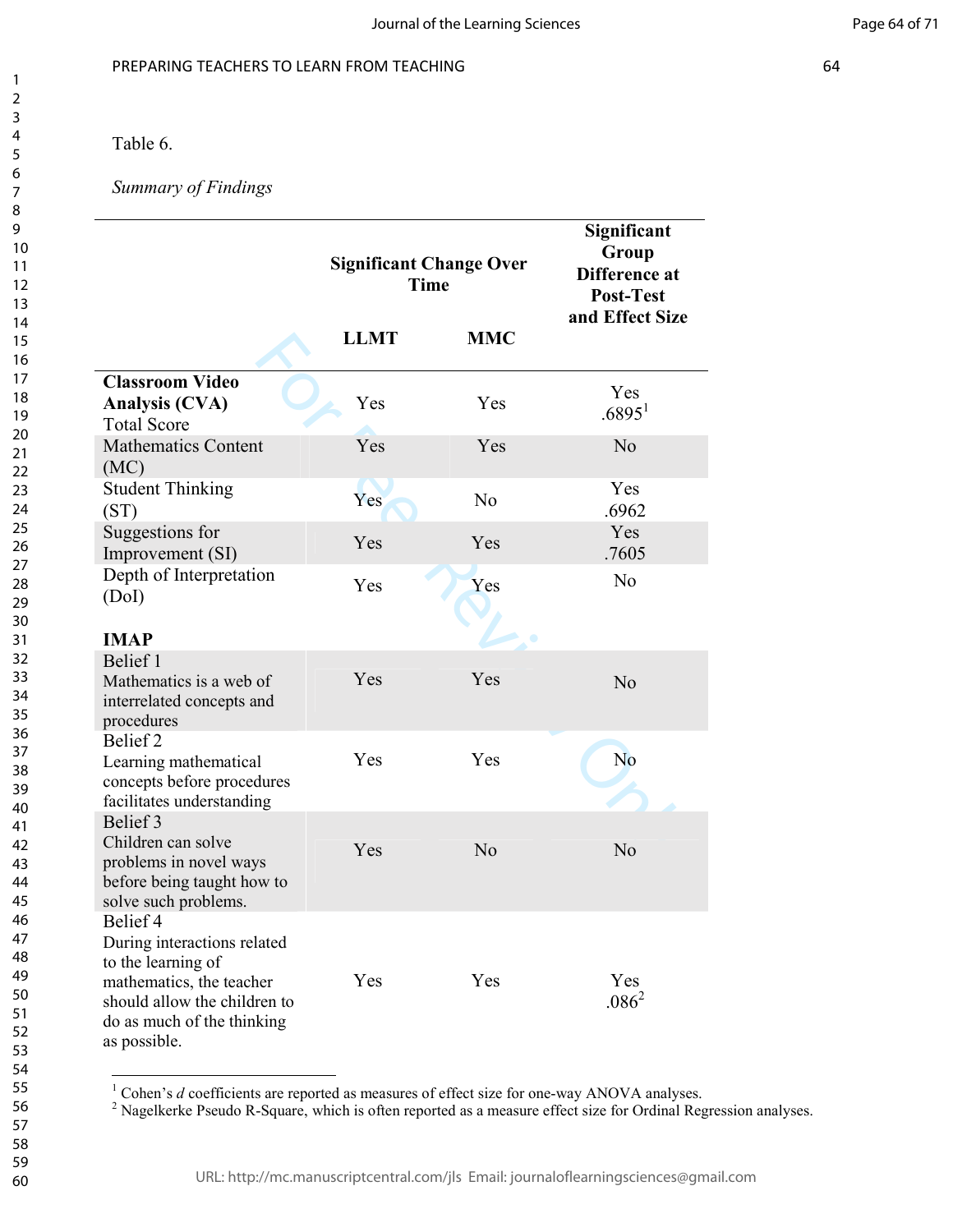#### PREPARING TEACHERS TO LEARN FROM TEACHING **FROM TEACHING** 64

Page 64 of 71

## Table 6.

# *Summary of Findings*

|                                                                                                                                                                         | <b>Significant Change Over</b><br><b>Time</b> |                | Significant<br>Group<br>Difference at<br>Post-Test |  |
|-------------------------------------------------------------------------------------------------------------------------------------------------------------------------|-----------------------------------------------|----------------|----------------------------------------------------|--|
|                                                                                                                                                                         | <b>LLMT</b>                                   | <b>MMC</b>     | and Effect Size                                    |  |
| <b>Classroom Video</b><br><b>Analysis (CVA)</b><br><b>Total Score</b>                                                                                                   | Yes                                           | Yes            | Yes<br>.6895 <sup>1</sup>                          |  |
| <b>Mathematics Content</b><br>(MC)                                                                                                                                      | Yes                                           | Yes            | N <sub>o</sub>                                     |  |
| <b>Student Thinking</b><br>(ST)                                                                                                                                         | <b>Yes</b>                                    | N <sub>0</sub> | Yes<br>.6962                                       |  |
| Suggestions for<br>Improvement (SI)                                                                                                                                     | Yes                                           | Yes            | Yes<br>.7605                                       |  |
| Depth of Interpretation<br>(DoI)                                                                                                                                        | Yes                                           | Yes            | N <sub>o</sub>                                     |  |
| <b>IMAP</b>                                                                                                                                                             |                                               |                |                                                    |  |
| Belief 1<br>Mathematics is a web of<br>interrelated concepts and<br>procedures                                                                                          | Yes                                           | Yes            | N <sub>o</sub>                                     |  |
| Belief <sub>2</sub><br>Learning mathematical<br>concepts before procedures<br>facilitates understanding                                                                 | Yes                                           | Yes            | N <sub>o</sub>                                     |  |
| Belief 3<br>Children can solve<br>problems in novel ways<br>before being taught how to<br>solve such problems.                                                          | Yes                                           | N <sub>o</sub> | N <sub>0</sub>                                     |  |
| Belief 4<br>During interactions related<br>to the learning of<br>mathematics, the teacher<br>should allow the children to<br>do as much of the thinking<br>as possible. | Yes                                           | Yes            | Yes<br>$.086^2$                                    |  |

<sup>&</sup>lt;sup>1</sup> Cohen's *d* coefficients are reported as measures of effect size for one-way ANOVA analyses.

 $2$  Nagelkerke Pseudo R-Square, which is often reported as a measure effect size for Ordinal Regression analyses.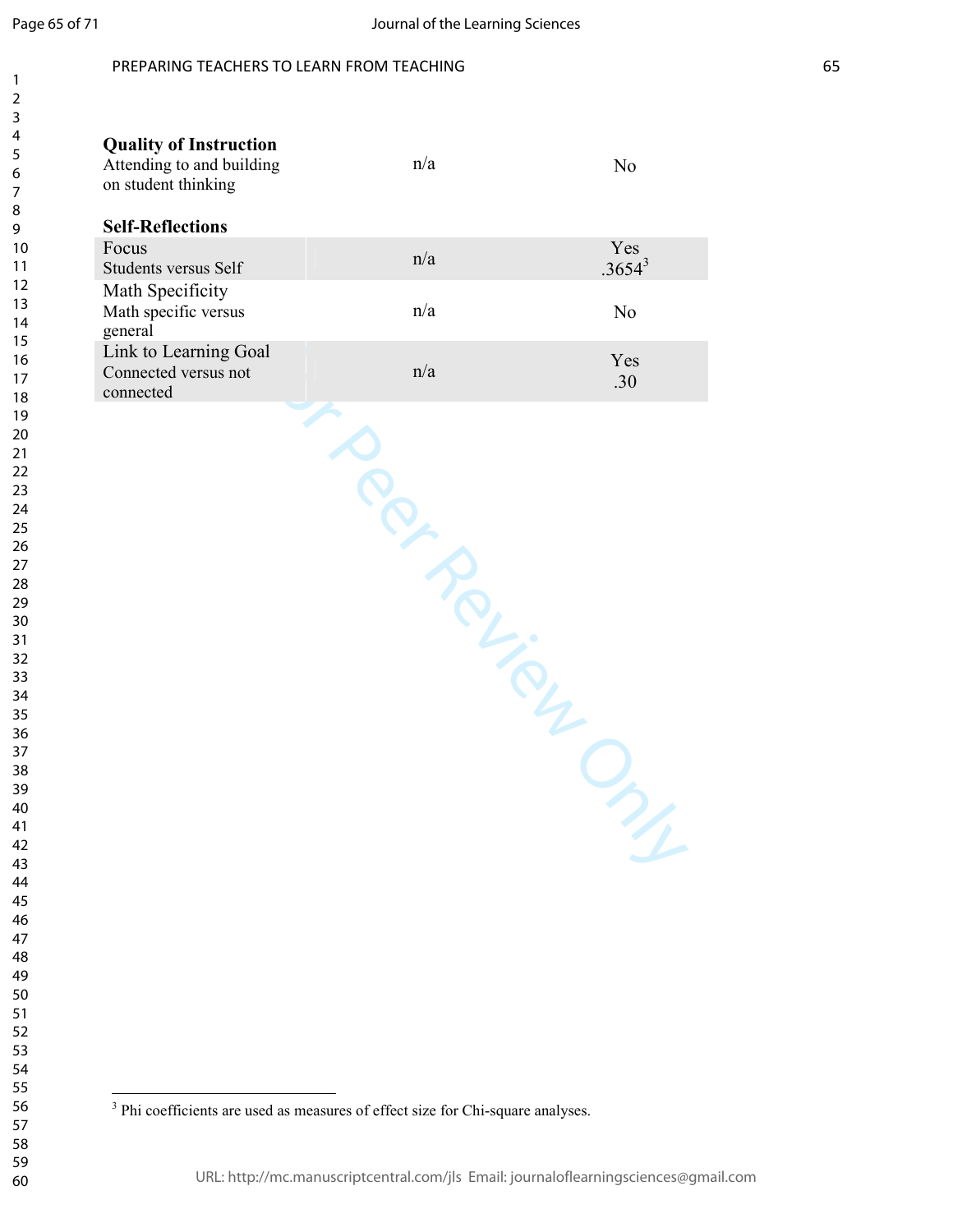$\mathbf{1}$  $\overline{2}$ 

## PREPARING TEACHERS TO LEARN FROM TEACHING **65** 65

| <b>Quality of Instruction</b><br>Attending to and building | n/a    | N <sub>0</sub>     |
|------------------------------------------------------------|--------|--------------------|
| on student thinking                                        |        |                    |
| <b>Self-Reflections</b>                                    |        |                    |
| Focus<br>Students versus Self                              | n/a    | Yes<br>$.3654^{3}$ |
| Math Specificity<br>Math specific versus<br>general        | n/a    | N <sub>0</sub>     |
| Link to Learning Goal<br>Connected versus not<br>connected | n/a    | Yes<br>.30         |
|                                                            | INDER- |                    |
|                                                            |        |                    |
|                                                            |        |                    |
|                                                            |        | Uny                |

<sup>&</sup>lt;sup>3</sup> Phi coefficients are used as measures of effect size for Chi-square analyses.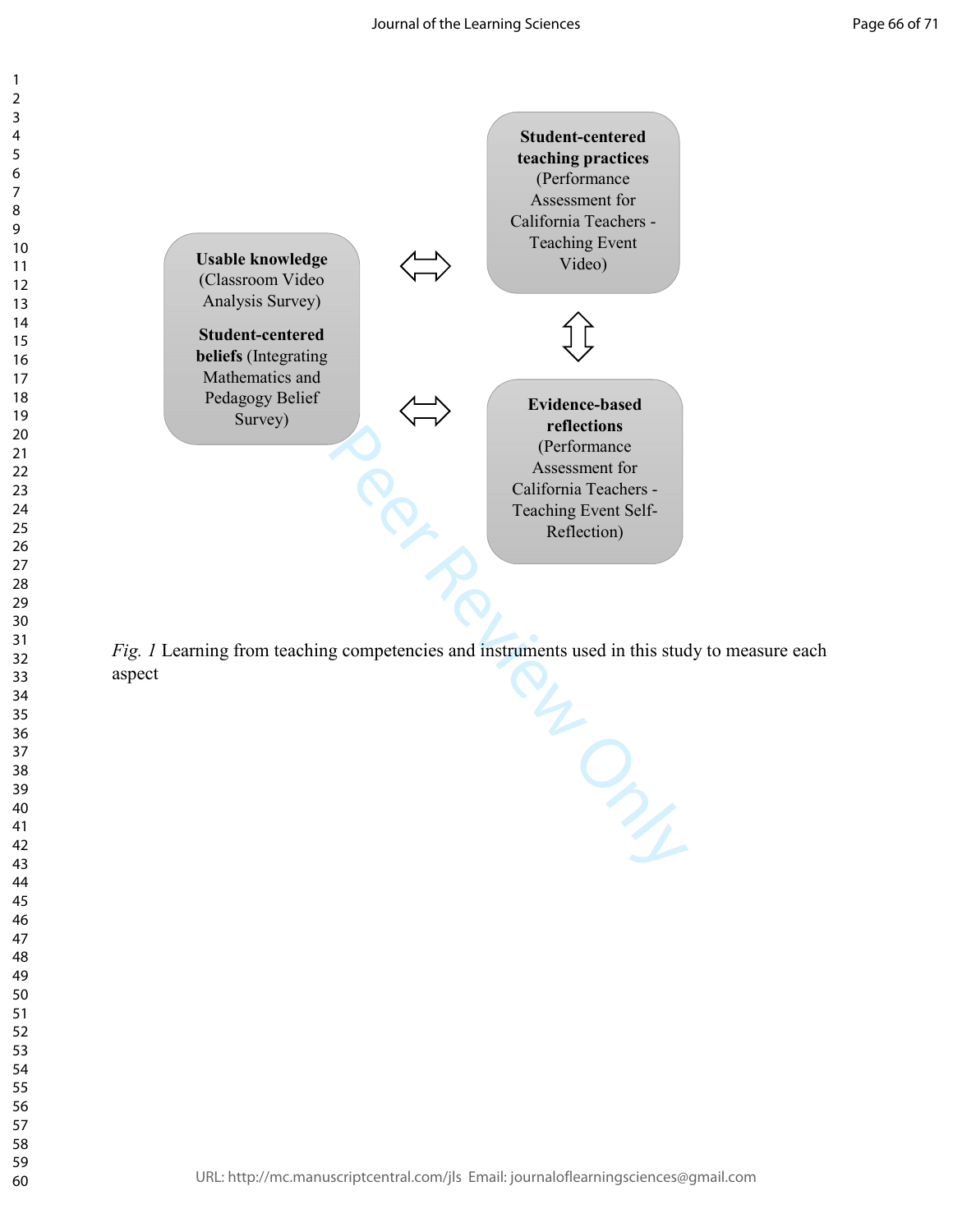

 $\mathbf{1}$  $\overline{2}$  $\overline{4}$  $\overline{7}$ 

*Fig. 1* Learning from teaching competencies and instruments used in this study to measure each aspect

URL: http://mc.manuscriptcentral.com/jls Email: journaloflearningsciences@gmail.com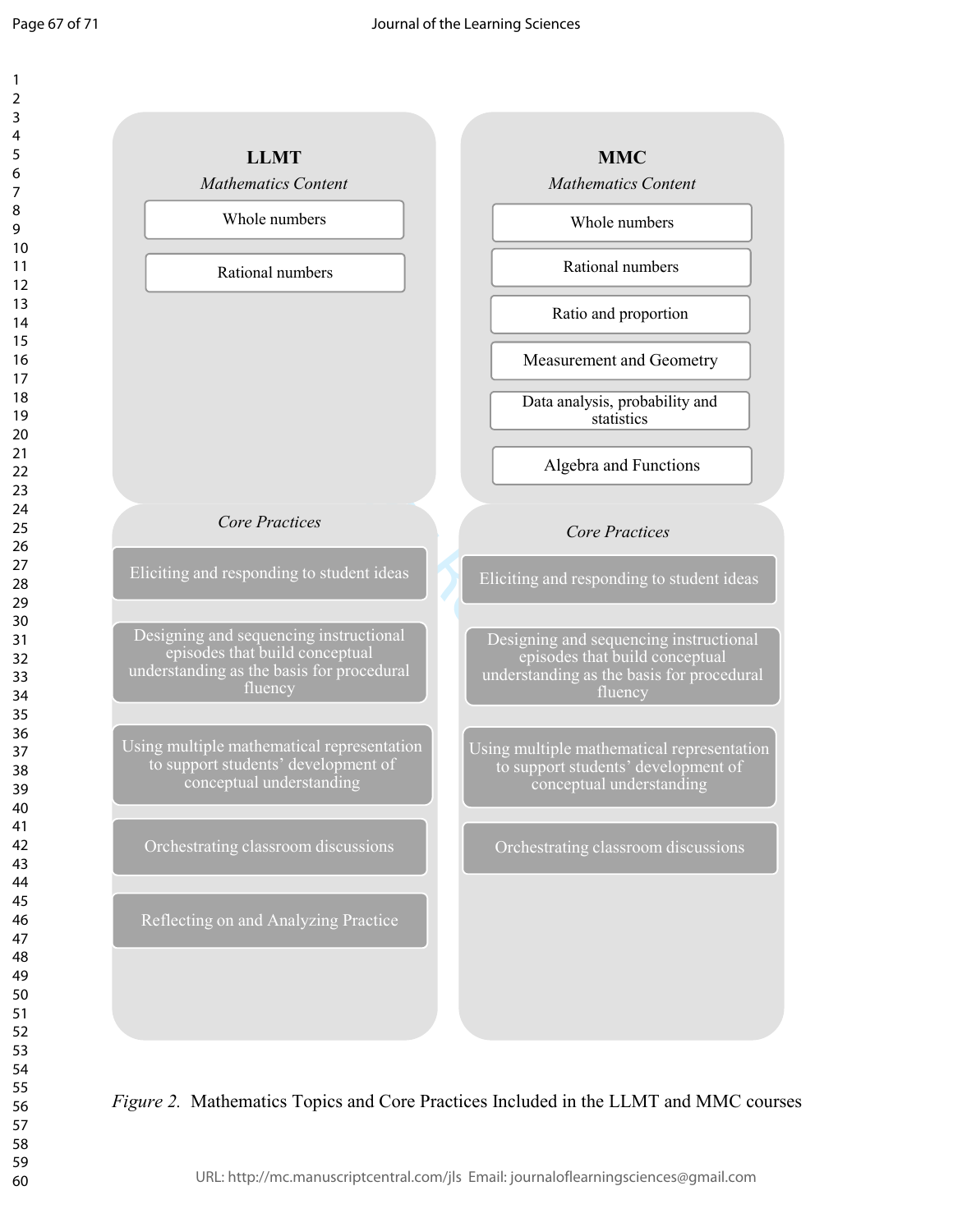

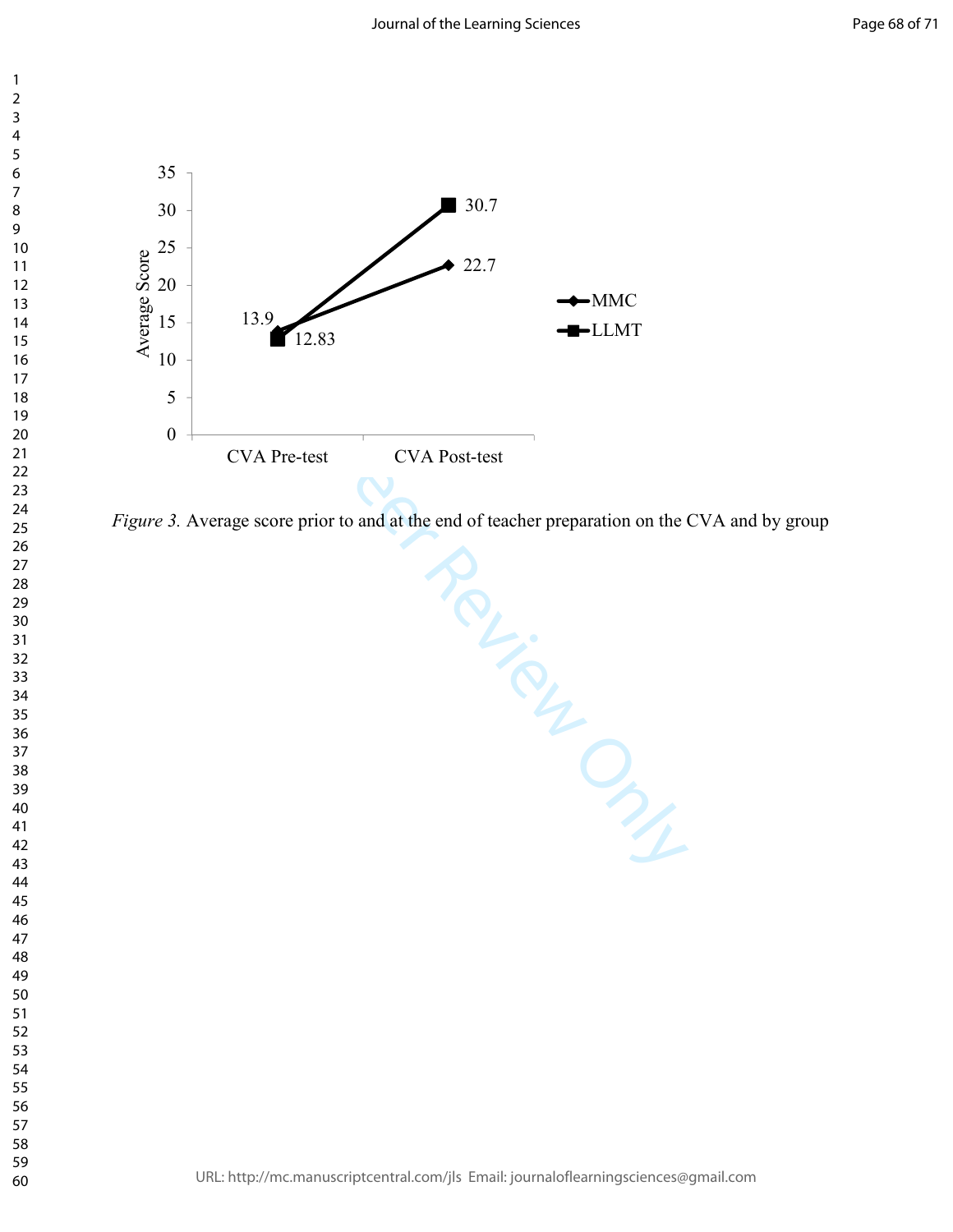

*Figure 3.* Average score prior to and at the end of teacher preparation on the CVA and by group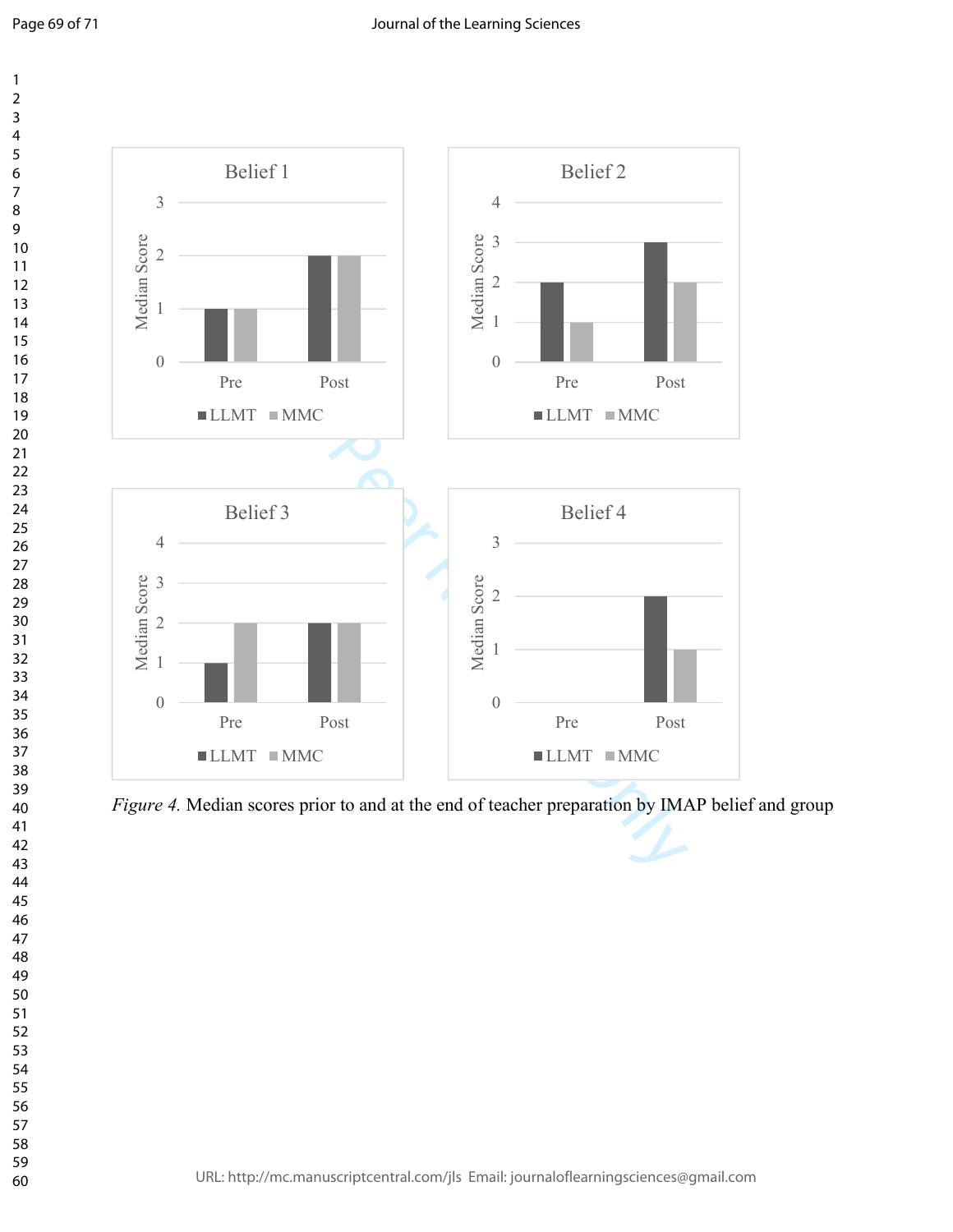Page 69 of 71

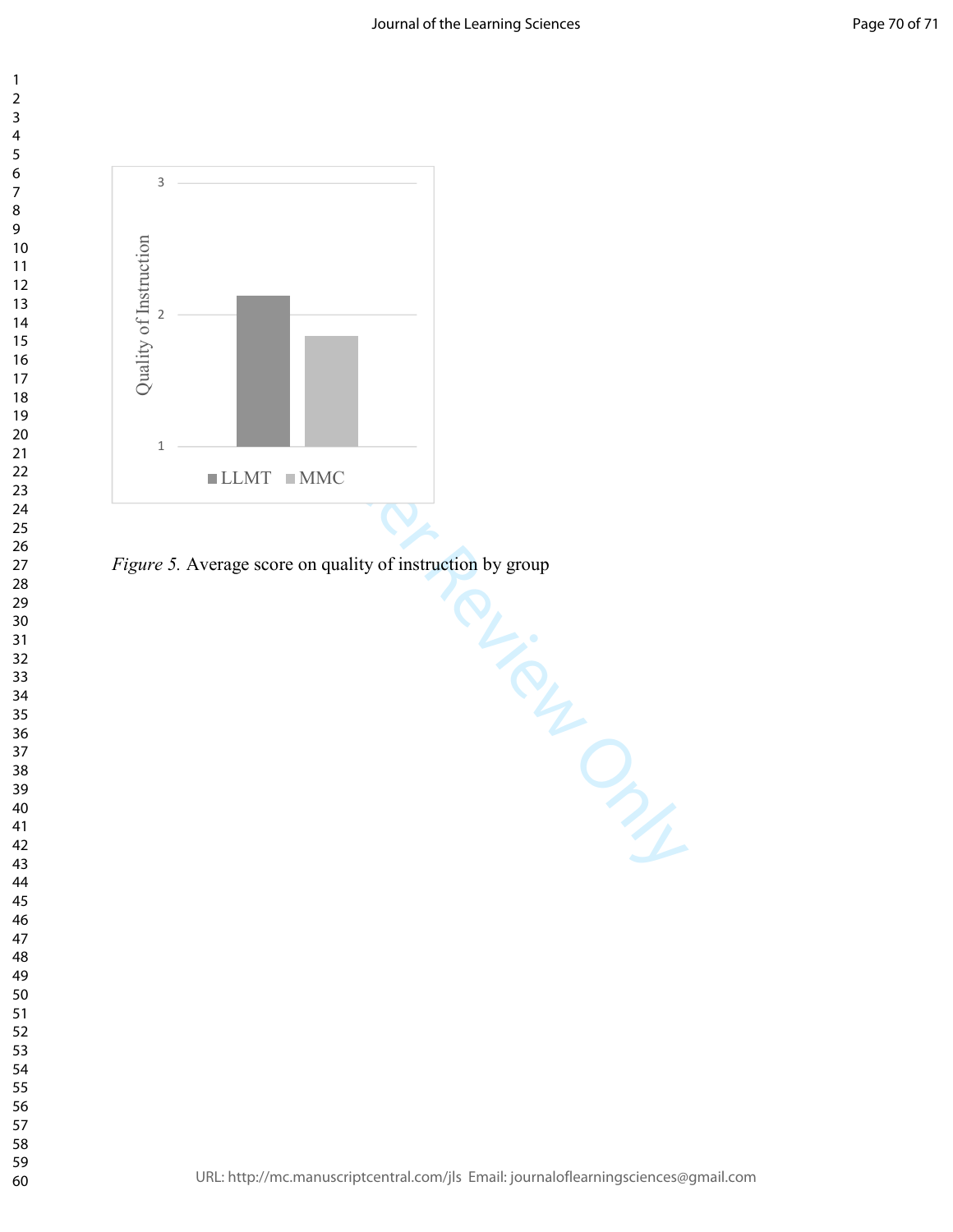

Figure 5. Average score on quality of instruction by group

URL: http://mc.manuscriptcentral.com/jls Email: journaloflearningsciences@gmail.com